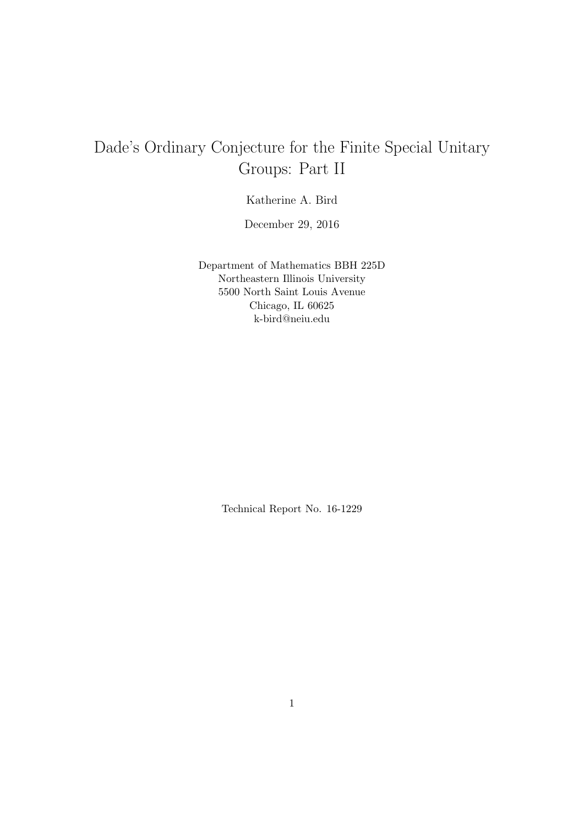# Dade's Ordinary Conjecture for the Finite Special Unitary Groups: Part II

Katherine A. Bird

December 29, 2016

Department of Mathematics BBH 225D Northeastern Illinois University 5500 North Saint Louis Avenue Chicago, IL 60625 k-bird@neiu.edu

Technical Report No. 16-1229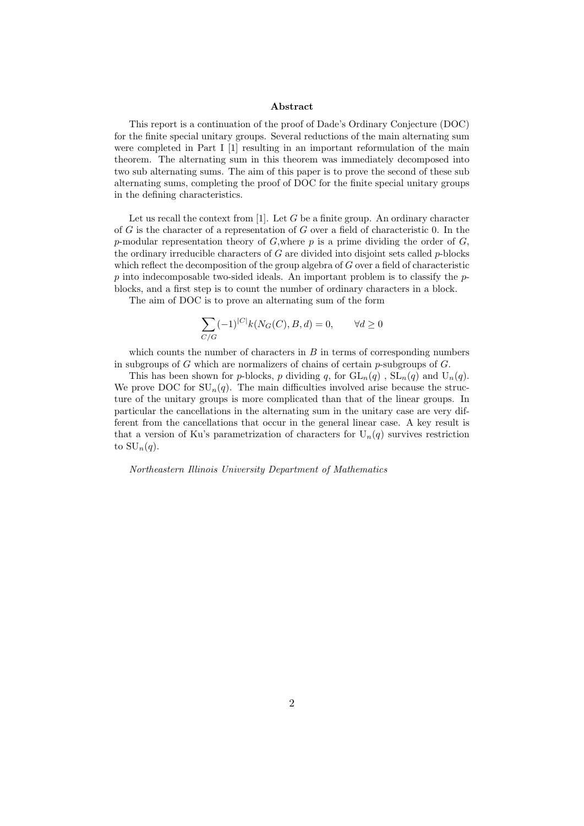#### Abstract

This report is a continuation of the proof of Dade's Ordinary Conjecture (DOC) for the finite special unitary groups. Several reductions of the main alternating sum were completed in Part I [1] resulting in an important reformulation of the main theorem. The alternating sum in this theorem was immediately decomposed into two sub alternating sums. The aim of this paper is to prove the second of these sub alternating sums, completing the proof of DOC for the finite special unitary groups in the defining characteristics.

Let us recall the context from  $[1]$ . Let G be a finite group. An ordinary character of  $G$  is the character of a representation of  $G$  over a field of characteristic 0. In the p-modular representation theory of  $G$ , where p is a prime dividing the order of  $G$ , the ordinary irreducible characters of  $G$  are divided into disjoint sets called  $p$ -blocks which reflect the decomposition of the group algebra of  $G$  over a field of characteristic  $p$  into indecomposable two-sided ideals. An important problem is to classify the  $p$ blocks, and a first step is to count the number of ordinary characters in a block.

The aim of DOC is to prove an alternating sum of the form

$$
\sum_{C/G} (-1)^{|C|} k(N_G(C), B, d) = 0, \qquad \forall d \ge 0
$$

which counts the number of characters in  $B$  in terms of corresponding numbers in subgroups of  $G$  which are normalizers of chains of certain p-subgroups of  $G$ .

This has been shown for p-blocks, p dividing q, for  $GL_n(q)$ ,  $SL_n(q)$  and  $U_n(q)$ . We prove DOC for  $SU_n(q)$ . The main difficulties involved arise because the structure of the unitary groups is more complicated than that of the linear groups. In particular the cancellations in the alternating sum in the unitary case are very different from the cancellations that occur in the general linear case. A key result is that a version of Ku's parametrization of characters for  $U_n(q)$  survives restriction to  $\mathrm{SU}_n(q)$ .

Northeastern Illinois University Department of Mathematics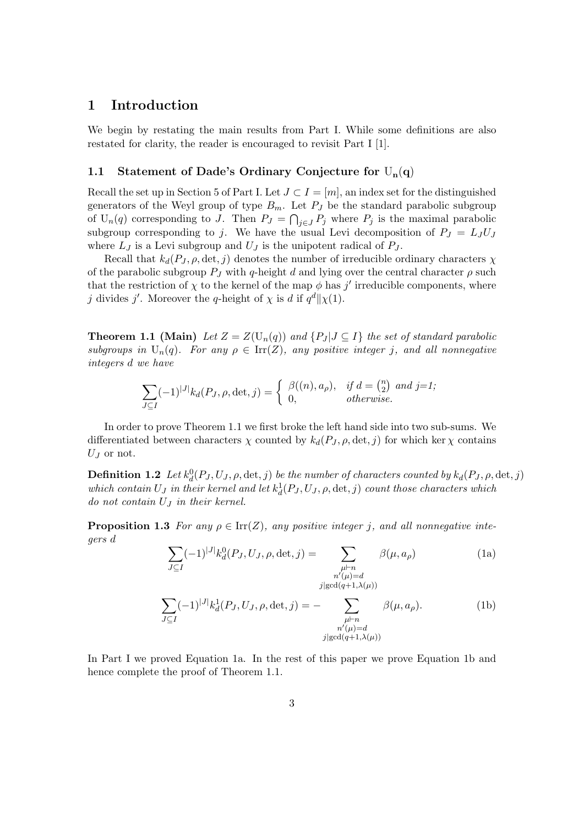# 1 Introduction

We begin by restating the main results from Part I. While some definitions are also restated for clarity, the reader is encouraged to revisit Part I [1].

## 1.1 Statement of Dade's Ordinary Conjecture for  $U_n(q)$

Recall the set up in Section 5 of Part I. Let  $J \subset I = [m]$ , an index set for the distinguished generators of the Weyl group of type  $B_m$ . Let  $P_J$  be the standard parabolic subgroup of  $U_n(q)$  corresponding to J. Then  $P_J = \bigcap_{j \in J} P_j$  where  $P_j$  is the maximal parabolic subgroup corresponding to j. We have the usual Levi decomposition of  $P_J = L_J U_J$ where  $L_J$  is a Levi subgroup and  $U_J$  is the unipotent radical of  $P_J$ .

Recall that  $k_d(P_J, \rho, \det, j)$  denotes the number of irreducible ordinary characters  $\chi$ of the parabolic subgroup  $P_J$  with q-height d and lying over the central character  $\rho$  such that the restriction of  $\chi$  to the kernel of the map  $\phi$  has j' irreducible components, where j divides j'. Moreover the q-height of  $\chi$  is d if  $q^d \|\chi(1)$ .

**Theorem 1.1 (Main)** Let  $Z = Z(U_n(q))$  and  $\{P_J | J \subseteq I\}$  the set of standard parabolic subgroups in  $U_n(q)$ . For any  $\rho \in \text{Irr}(Z)$ , any positive integer j, and all nonnegative integers d we have

$$
\sum_{J \subseteq I} (-1)^{|J|} k_d(P_J, \rho, \det, j) = \begin{cases} \beta((n), a_\rho), & \text{if } d = \binom{n}{2} \text{ and } j = 1; \\ 0, & \text{otherwise.} \end{cases}
$$

In order to prove Theorem 1.1 we first broke the left hand side into two sub-sums. We differentiated between characters  $\chi$  counted by  $k_d(P_J, \rho, \det, j)$  for which ker  $\chi$  contains  $U_J$  or not.

**Definition 1.2** Let  $k_d^0(P_J, U_J, \rho, \det, j)$  be the number of characters counted by  $k_d(P_J, \rho, \det, j)$ which contain  $U_J$  in their kernel and let  $k_d^1(P_J, U_J, \rho, \det, j)$  count those characters which do not contain  $U_J$  in their kernel.

**Proposition 1.3** For any  $\rho \in \text{Irr}(Z)$ , any positive integer j, and all nonnegative integers d

$$
\sum_{J \subseteq I} (-1)^{|J|} k_d^0(P_J, U_J, \rho, \det, j) = \sum_{\substack{\mu \vdash n \\ n'(\mu) = d \\ j \mid \gcd(q+1,\lambda(\mu))}} \beta(\mu, a_\rho)
$$
(1a)  

$$
\sum_{J \subseteq I} (-1)^{|J|} k_d^1(P_J, U_J, \rho, \det, j) = - \sum_{\substack{\mu \vdash n \\ n'(\mu) = d \\ j \mid \gcd(q+1,\lambda(\mu))}} \beta(\mu, a_\rho).
$$
(1b)

In Part I we proved Equation 1a. In the rest of this paper we prove Equation 1b and hence complete the proof of Theorem 1.1.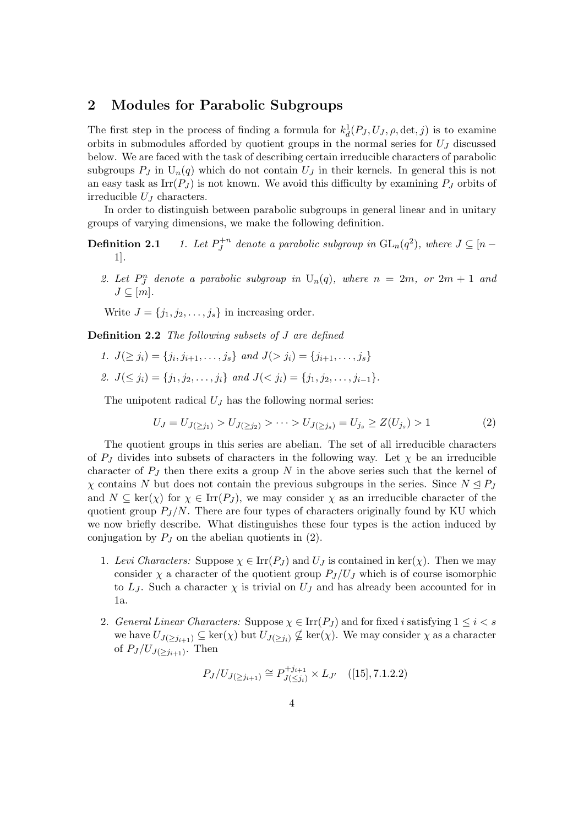# 2 Modules for Parabolic Subgroups

The first step in the process of finding a formula for  $k_d^1(P_J, U_J, \rho, \det, j)$  is to examine orbits in submodules afforded by quotient groups in the normal series for  $U_J$  discussed below. We are faced with the task of describing certain irreducible characters of parabolic subgroups  $P_J$  in  $U_n(q)$  which do not contain  $U_J$  in their kernels. In general this is not an easy task as  $\text{Irr}(P_J)$  is not known. We avoid this difficulty by examining  $P_J$  orbits of irreducible  $U_J$  characters.

In order to distinguish between parabolic subgroups in general linear and in unitary groups of varying dimensions, we make the following definition.

- Definition 2.1  $+n$  $J_J^{+n}$  denote a parabolic subgroup in  $\mathrm{GL}_n(q^2)$ , where  $J\subseteq [n-1]$ 1].
	- 2. Let  $P_J^n$  denote a parabolic subgroup in  $U_n(q)$ , where  $n = 2m$ , or  $2m + 1$  and  $J\subset [m]$ .

Write  $J = \{j_1, j_2, \ldots, j_s\}$  in increasing order.

Definition 2.2 The following subsets of J are defined

- 1.  $J(\geq j_i) = \{j_i, j_{i+1}, \ldots, j_s\}$  and  $J(\geq j_i) = \{j_{i+1}, \ldots, j_s\}$
- 2.  $J(\leq j_i) = \{j_1, j_2, \ldots, j_i\}$  and  $J(\leq j_i) = \{j_1, j_2, \ldots, j_{i-1}\}.$

The unipotent radical  $U_J$  has the following normal series:

$$
U_J = U_{J(\ge j_1)} > U_{J(\ge j_2)} > \dots > U_{J(\ge j_s)} = U_{j_s} \ge Z(U_{j_s}) > 1 \tag{2}
$$

The quotient groups in this series are abelian. The set of all irreducible characters of  $P_J$  divides into subsets of characters in the following way. Let  $\chi$  be an irreducible character of  $P_J$  then there exits a group N in the above series such that the kernel of  $\chi$  contains N but does not contain the previous subgroups in the series. Since  $N \leq P_J$ and  $N \subseteq \text{ker}(\chi)$  for  $\chi \in \text{Irr}(P_J)$ , we may consider  $\chi$  as an irreducible character of the quotient group  $P_J/N$ . There are four types of characters originally found by KU which we now briefly describe. What distinguishes these four types is the action induced by conjugation by  $P_J$  on the abelian quotients in (2).

- 1. Levi Characters: Suppose  $\chi \in \text{Irr}(P_J)$  and  $U_J$  is contained in ker( $\chi$ ). Then we may consider  $\chi$  a character of the quotient group  $P_J/U_J$  which is of course isomorphic to  $L_J$ . Such a character  $\chi$  is trivial on  $U_J$  and has already been accounted for in 1a.
- 2. General Linear Characters: Suppose  $\chi \in \text{Irr}(P_J)$  and for fixed i satisfying  $1 \leq i < s$ we have  $U_{J(\geq j_{i+1})} \subseteq \ker(\chi)$  but  $U_{J(\geq j_i)} \nsubseteq \ker(\chi)$ . We may consider  $\chi$  as a character of  $P_J/U_{J(\geq j_{i+1})}$ . Then

$$
P_J/U_{J(\ge j_{i+1})} \cong P_{J(\le j_i)}^{+j_{i+1}} \times L_{J'} \quad ([15], 7.1.2.2)
$$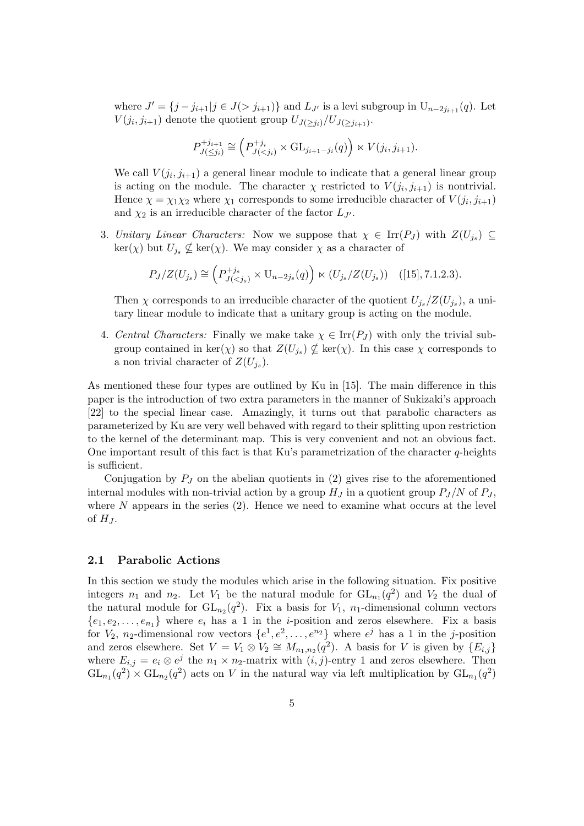where  $J' = \{j - j_{i+1} | j \in J(> j_{i+1})\}$  and  $L_{J'}$  is a levi subgroup in  $U_{n-2j_{i+1}}(q)$ . Let  $V(j_i, j_{i+1})$  denote the quotient group  $U_{J(\geq j_i)}/U_{J(\geq j_{i+1})}$ .

$$
P_{J(\leq j_i)}^{+j_{i+1}} \cong \left( P_{J(
$$

We call  $V(j_i, j_{i+1})$  a general linear module to indicate that a general linear group is acting on the module. The character  $\chi$  restricted to  $V(j_i, j_{i+1})$  is nontrivial. Hence  $\chi = \chi_1 \chi_2$  where  $\chi_1$  corresponds to some irreducible character of  $V(j_i, j_{i+1})$ and  $\chi_2$  is an irreducible character of the factor  $L_{J'}$ .

3. Unitary Linear Characters: Now we suppose that  $\chi \in \text{Irr}(P_J)$  with  $Z(U_{j_s}) \subseteq$  $\ker(\chi)$  but  $U_{j_s} \nsubseteq \ker(\chi)$ . We may consider  $\chi$  as a character of

$$
P_J/Z(U_{j_s}) \cong \left(P_{J(
$$

Then  $\chi$  corresponds to an irreducible character of the quotient  $U_{j_s}/Z(U_{j_s})$ , a unitary linear module to indicate that a unitary group is acting on the module.

4. Central Characters: Finally we make take  $\chi \in \text{Irr}(P_I)$  with only the trivial subgroup contained in  $\ker(\chi)$  so that  $Z(U_{j_s}) \nsubseteq \ker(\chi)$ . In this case  $\chi$  corresponds to a non trivial character of  $Z(U_{j_s})$ .

As mentioned these four types are outlined by Ku in [15]. The main difference in this paper is the introduction of two extra parameters in the manner of Sukizaki's approach [22] to the special linear case. Amazingly, it turns out that parabolic characters as parameterized by Ku are very well behaved with regard to their splitting upon restriction to the kernel of the determinant map. This is very convenient and not an obvious fact. One important result of this fact is that Ku's parametrization of the character  $q$ -heights is sufficient.

Conjugation by  $P_J$  on the abelian quotients in (2) gives rise to the aforementioned internal modules with non-trivial action by a group  $H_J$  in a quotient group  $P_J/N$  of  $P_J$ , where  $N$  appears in the series  $(2)$ . Hence we need to examine what occurs at the level of  $H_J$ .

#### 2.1 Parabolic Actions

In this section we study the modules which arise in the following situation. Fix positive integers  $n_1$  and  $n_2$ . Let  $V_1$  be the natural module for  $GL_{n_1}(q^2)$  and  $V_2$  the dual of the natural module for  $GL_{n_2}(q^2)$ . Fix a basis for  $V_1$ ,  $n_1$ -dimensional column vectors  $\{e_1, e_2, \ldots, e_{n_1}\}\$  where  $e_i$  has a 1 in the *i*-position and zeros elsewhere. Fix a basis for  $V_2$ , n<sub>2</sub>-dimensional row vectors  $\{e^1, e^2, \ldots, e^{n_2}\}$  where  $e^j$  has a 1 in the j-position and zeros elsewhere. Set  $V = V_1 \otimes V_2 \cong M_{n_1,n_2}(q^2)$ . A basis for V is given by  $\{E_{i,j}\}\$ where  $E_{i,j} = e_i \otimes e^j$  the  $n_1 \times n_2$ -matrix with  $(i,j)$ -entry 1 and zeros elsewhere. Then  $GL_{n_1}(q^2) \times GL_{n_2}(q^2)$  acts on V in the natural way via left multiplication by  $GL_{n_1}(q^2)$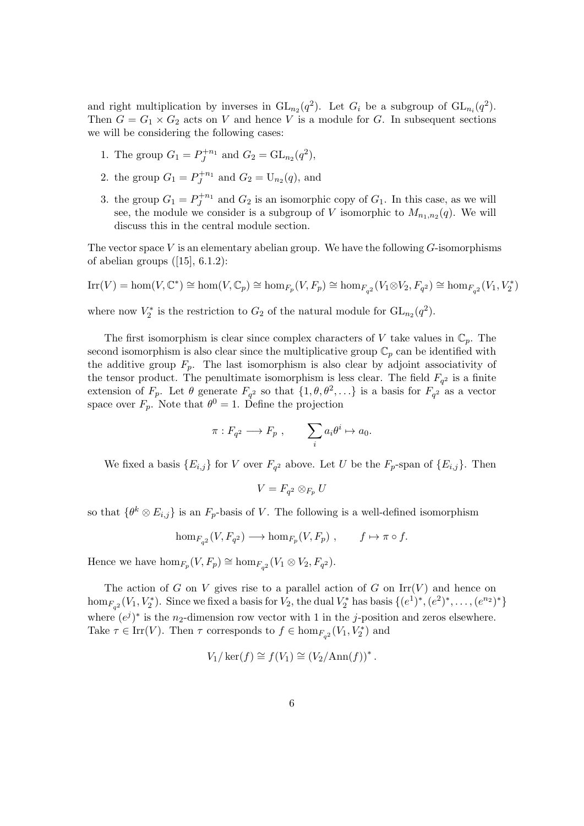and right multiplication by inverses in  $GL_{n_2}(q^2)$ . Let  $G_i$  be a subgroup of  $GL_{n_i}(q^2)$ . Then  $G = G_1 \times G_2$  acts on V and hence V is a module for G. In subsequent sections we will be considering the following cases:

- 1. The group  $G_1 = P_J^{+n_1}$  and  $G_2 = GL_{n_2}(q^2)$ ,
- 2. the group  $G_1 = P_J^{+n_1}$  and  $G_2 = U_{n_2}(q)$ , and
- 3. the group  $G_1 = P_J^{+n_1}$  and  $G_2$  is an isomorphic copy of  $G_1$ . In this case, as we will see, the module we consider is a subgroup of V isomorphic to  $M_{n_1,n_2}(q)$ . We will discuss this in the central module section.

The vector space  $V$  is an elementary abelian group. We have the following  $G$ -isomorphisms of abelian groups  $([15], 6.1.2)$ :

$$
\mathrm{Irr}(V)=\hom(V,\mathbb{C}^*)\cong\hom(V,\mathbb{C}_p)\cong\hom_{F_p}(V,F_p)\cong\hom_{F_{q^2}}(V_1\otimes V_2,F_{q^2})\cong\hom_{F_{q^2}}(V_1,V_2^*)
$$

where now  $V_2^*$  is the restriction to  $G_2$  of the natural module for  $GL_{n_2}(q^2)$ .

The first isomorphism is clear since complex characters of V take values in  $\mathbb{C}_p$ . The second isomorphism is also clear since the multiplicative group  $\mathbb{C}_p$  can be identified with the additive group  $F_p$ . The last isomorphism is also clear by adjoint associativity of the tensor product. The penultimate isomorphism is less clear. The field  $F_{q^2}$  is a finite extension of  $F_p$ . Let  $\theta$  generate  $F_{q^2}$  so that  $\{1, \theta, \theta^2, \ldots\}$  is a basis for  $F_{q^2}$  as a vector space over  $F_p$ . Note that  $\theta^0 = 1$ . Define the projection

$$
\pi: F_{q^2} \longrightarrow F_p , \qquad \sum_i a_i \theta^i \mapsto a_0.
$$

We fixed a basis  ${E_{i,j}}$  for V over  $F_{q^2}$  above. Let U be the  $F_p$ -span of  ${E_{i,j}}$ . Then

$$
V = F_{q^2} \otimes_{F_p} U
$$

so that  $\{\theta^k \otimes E_{i,j}\}\$ is an  $F_p$ -basis of V. The following is a well-defined isomorphism

$$
\hom_{F_{q^2}}(V, F_{q^2}) \longrightarrow \hom_{F_p}(V, F_p) , \qquad f \mapsto \pi \circ f.
$$

Hence we have  $\hom_{F_p}(V, F_p) \cong \hom_{F_{q^2}}(V_1 \otimes V_2, F_{q^2})$ .

The action of G on V gives rise to a parallel action of G on  $\text{Irr}(V)$  and hence on hom<sub> $F_{q^2}(V_1, V_2^*)$ </sub>. Since we fixed a basis for  $V_2$ , the dual  $V_2^*$  has basis  $\{(e^1)^*, (e^2)^*, \ldots, (e^{n_2})^*\}$ where  $(e^{j})^*$  is the n<sub>2</sub>-dimension row vector with 1 in the j-position and zeros elsewhere. Take  $\tau \in \text{Irr}(V)$ . Then  $\tau$  corresponds to  $f \in \text{hom}_{F_{q^2}}(V_1, V_2^*)$  and

$$
V_1/\ker(f) \cong f(V_1) \cong (V_2/\mathrm{Ann}(f))^*.
$$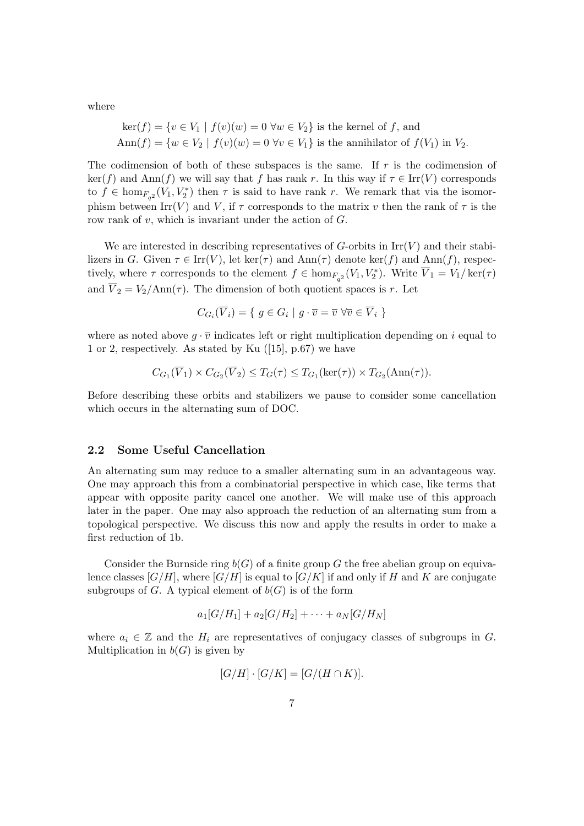where

$$
\ker(f) = \{ v \in V_1 \mid f(v)(w) = 0 \,\forall w \in V_2 \} \text{ is the Kernel of } f, \text{ and}
$$
  
Ann
$$
(f) = \{ w \in V_2 \mid f(v)(w) = 0 \,\forall v \in V_1 \} \text{ is the annihilator of } f(V_1) \text{ in } V_2.
$$

The codimension of both of these subspaces is the same. If  $r$  is the codimension of  $\ker(f)$  and  $\text{Ann}(f)$  we will say that f has rank r. In this way if  $\tau \in \text{Irr}(V)$  corresponds to  $f \in \text{hom}_{F_{q^2}}(V_1, V_2^*)$  then  $\tau$  is said to have rank r. We remark that via the isomorphism between Irr(V) and V, if  $\tau$  corresponds to the matrix v then the rank of  $\tau$  is the row rank of  $v$ , which is invariant under the action of  $G$ .

We are interested in describing representatives of  $G$ -orbits in  $\mathrm{Irr}(V)$  and their stabilizers in G. Given  $\tau \in \text{Irr}(V)$ , let ker( $\tau$ ) and Ann( $\tau$ ) denote ker(f) and Ann(f), respectively, where  $\tau$  corresponds to the element  $f \in \text{hom}_{F_{q^2}}(V_1, V_2^*)$ . Write  $\overline{V}_1 = V_1/\ker(\tau)$ and  $\overline{V}_2 = V_2/\text{Ann}(\tau)$ . The dimension of both quotient spaces is r. Let

$$
C_{G_i}(\overline{V}_i) = \{ g \in G_i \mid g \cdot \overline{v} = \overline{v} \,\forall \overline{v} \in \overline{V}_i \}
$$

where as noted above  $g \cdot \overline{v}$  indicates left or right multiplication depending on i equal to 1 or 2, respectively. As stated by Ku ([15], p.67) we have

$$
C_{G_1}(\overline{V}_1) \times C_{G_2}(\overline{V}_2) \le T_G(\tau) \le T_{G_1}(\ker(\tau)) \times T_{G_2}(\text{Ann}(\tau)).
$$

Before describing these orbits and stabilizers we pause to consider some cancellation which occurs in the alternating sum of DOC.

# 2.2 Some Useful Cancellation

An alternating sum may reduce to a smaller alternating sum in an advantageous way. One may approach this from a combinatorial perspective in which case, like terms that appear with opposite parity cancel one another. We will make use of this approach later in the paper. One may also approach the reduction of an alternating sum from a topological perspective. We discuss this now and apply the results in order to make a first reduction of 1b.

Consider the Burnside ring  $b(G)$  of a finite group G the free abelian group on equivalence classes  $[G/H]$ , where  $[G/H]$  is equal to  $[G/K]$  if and only if H and K are conjugate subgroups of G. A typical element of  $b(G)$  is of the form

$$
a_1[G/H_1] + a_2[G/H_2] + \cdots + a_N[G/H_N]
$$

where  $a_i \in \mathbb{Z}$  and the  $H_i$  are representatives of conjugacy classes of subgroups in G. Multiplication in  $b(G)$  is given by

$$
[G/H] \cdot [G/K] = [G/(H \cap K)].
$$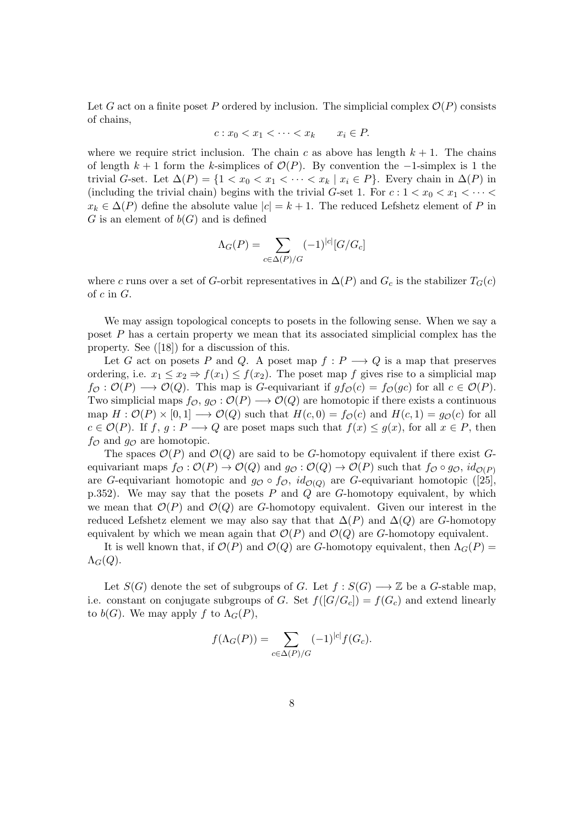Let G act on a finite poset P ordered by inclusion. The simplicial complex  $\mathcal{O}(P)$  consists of chains,

$$
c: x_0 < x_1 < \cdots < x_k \qquad x_i \in P.
$$

where we require strict inclusion. The chain c as above has length  $k + 1$ . The chains of length  $k + 1$  form the k-simplices of  $\mathcal{O}(P)$ . By convention the -1-simplex is 1 the trivial G-set. Let  $\Delta(P) = \{1 < x_0 < x_1 < \cdots < x_k \mid x_i \in P\}$ . Every chain in  $\Delta(P)$  in (including the trivial chain) begins with the trivial G-set 1. For  $c: 1 < x_0 < x_1 < \cdots <$  $x_k \in \Delta(P)$  define the absolute value  $|c| = k + 1$ . The reduced Lefshetz element of P in G is an element of  $b(G)$  and is defined

$$
\Lambda_G(P) = \sum_{c \in \Delta(P)/G} (-1)^{|c|} [G/G_c]
$$

where c runs over a set of G-orbit representatives in  $\Delta(P)$  and  $G_c$  is the stabilizer  $T_G(c)$ of  $c$  in  $G$ .

We may assign topological concepts to posets in the following sense. When we say a poset P has a certain property we mean that its associated simplicial complex has the property. See ([18]) for a discussion of this.

Let G act on posets P and Q. A poset map  $f: P \longrightarrow Q$  is a map that preserves ordering, i.e.  $x_1 \leq x_2 \Rightarrow f(x_1) \leq f(x_2)$ . The poset map f gives rise to a simplicial map  $f_{\mathcal{O}}: \mathcal{O}(P) \longrightarrow \mathcal{O}(Q)$ . This map is G-equivariant if  $gf_{\mathcal{O}}(c) = f_{\mathcal{O}}(gc)$  for all  $c \in \mathcal{O}(P)$ . Two simplicial maps  $f_{\mathcal{O}}, g_{\mathcal{O}}: \mathcal{O}(P) \longrightarrow \mathcal{O}(Q)$  are homotopic if there exists a continuous map  $H: \mathcal{O}(P) \times [0,1] \longrightarrow \mathcal{O}(Q)$  such that  $H(c, 0) = f_{\mathcal{O}}(c)$  and  $H(c, 1) = g_{\mathcal{O}}(c)$  for all  $c \in \mathcal{O}(P)$ . If  $f, g: P \longrightarrow Q$  are poset maps such that  $f(x) \leq g(x)$ , for all  $x \in P$ , then  $f_{\mathcal{O}}$  and  $g_{\mathcal{O}}$  are homotopic.

The spaces  $\mathcal{O}(P)$  and  $\mathcal{O}(Q)$  are said to be G-homotopy equivalent if there exist Gequivariant maps  $f_{\mathcal{O}} : \mathcal{O}(P) \to \mathcal{O}(Q)$  and  $g_{\mathcal{O}} : \mathcal{O}(Q) \to \mathcal{O}(P)$  such that  $f_{\mathcal{O}} \circ g_{\mathcal{O}}$ ,  $id_{\mathcal{O}(P)}$ are G-equivariant homotopic and  $g_{\mathcal{O}} \circ f_{\mathcal{O}}$ ,  $id_{\mathcal{O}(Q)}$  are G-equivariant homotopic ([25], p.352). We may say that the posets  $P$  and  $Q$  are  $G$ -homotopy equivalent, by which we mean that  $\mathcal{O}(P)$  and  $\mathcal{O}(Q)$  are G-homotopy equivalent. Given our interest in the reduced Lefshetz element we may also say that that  $\Delta(P)$  and  $\Delta(Q)$  are G-homotopy equivalent by which we mean again that  $\mathcal{O}(P)$  and  $\mathcal{O}(Q)$  are G-homotopy equivalent.

It is well known that, if  $\mathcal{O}(P)$  and  $\mathcal{O}(Q)$  are G-homotopy equivalent, then  $\Lambda_G(P)$  =  $\Lambda_G(Q)$ .

Let  $S(G)$  denote the set of subgroups of G. Let  $f : S(G) \longrightarrow \mathbb{Z}$  be a G-stable map, i.e. constant on conjugate subgroups of G. Set  $f([G/G_c]) = f(G_c)$  and extend linearly to  $b(G)$ . We may apply f to  $\Lambda_G(P)$ ,

$$
f(\Lambda_G(P)) = \sum_{c \in \Delta(P)/G} (-1)^{|c|} f(G_c).
$$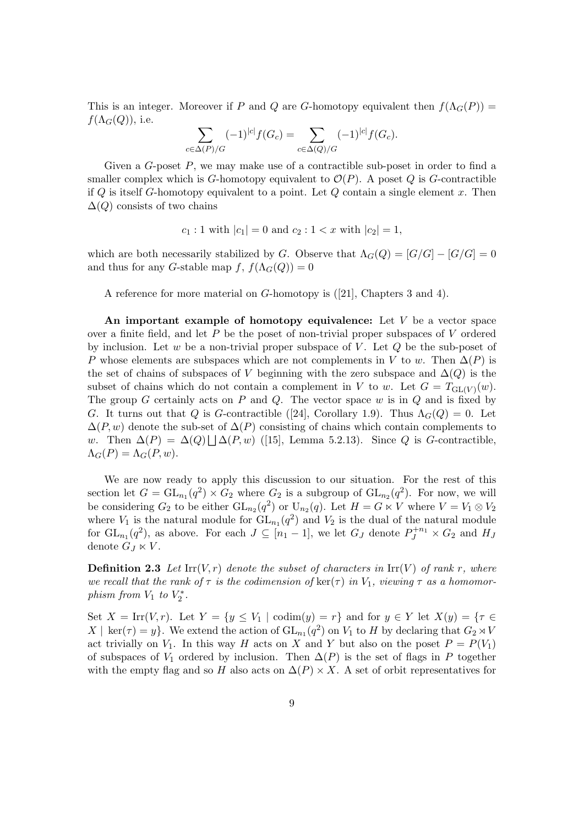This is an integer. Moreover if P and Q are G-homotopy equivalent then  $f(\Lambda_G(P)) =$  $f(\Lambda_G(Q))$ , i.e.

$$
\sum_{c \in \Delta(P)/G} (-1)^{|c|} f(G_c) = \sum_{c \in \Delta(Q)/G} (-1)^{|c|} f(G_c).
$$

Given a  $G$ -poset  $P$ , we may make use of a contractible sub-poset in order to find a smaller complex which is G-homotopy equivalent to  $\mathcal{O}(P)$ . A poset Q is G-contractible if Q is itself G-homotopy equivalent to a point. Let  $Q$  contain a single element  $x$ . Then  $\Delta(Q)$  consists of two chains

$$
c_1: 1
$$
 with  $|c_1| = 0$  and  $c_2: 1 < x$  with  $|c_2| = 1$ ,

which are both necessarily stabilized by G. Observe that  $\Lambda_G(Q) = [G/G] - [G/G] = 0$ and thus for any G-stable map f,  $f(\Lambda_G(Q)) = 0$ 

A reference for more material on G-homotopy is ([21], Chapters 3 and 4).

An important example of homotopy equivalence: Let  $V$  be a vector space over a finite field, and let  $P$  be the poset of non-trivial proper subspaces of  $V$  ordered by inclusion. Let w be a non-trivial proper subspace of V. Let  $Q$  be the sub-poset of P whose elements are subspaces which are not complements in V to w. Then  $\Delta(P)$  is the set of chains of subspaces of V beginning with the zero subspace and  $\Delta(Q)$  is the subset of chains which do not contain a complement in V to w. Let  $G = T_{GL(V)}(w)$ . The group  $G$  certainly acts on  $P$  and  $Q$ . The vector space  $w$  is in  $Q$  and is fixed by G. It turns out that Q is G-contractible ([24], Corollary 1.9). Thus  $\Lambda_G(Q) = 0$ . Let  $\Delta(P, w)$  denote the sub-set of  $\Delta(P)$  consisting of chains which contain complements to w. Then  $\Delta(P) = \Delta(Q) \bigsqcup \Delta(P, w)$  ([15], Lemma 5.2.13). Since Q is G-contractible,  $\Lambda_G(P) = \Lambda_G(P, w).$ 

We are now ready to apply this discussion to our situation. For the rest of this section let  $G = GL_{n_1}(q^2) \times G_2$  where  $G_2$  is a subgroup of  $GL_{n_2}(q^2)$ . For now, we will be considering  $G_2$  to be either  $\mathrm{GL}_{n_2}(q^2)$  or  $\mathrm{U}_{n_2}(q)$ . Let  $H = G \ltimes V$  where  $V = V_1 \otimes V_2$ where  $V_1$  is the natural module for  $GL_{n_1}(q^2)$  and  $V_2$  is the dual of the natural module for  $GL_{n_1}(q^2)$ , as above. For each  $J \subseteq [n_1-1]$ , we let  $G_J$  denote  $P_J^{+n_1} \times G_2$  and  $H_J$ denote  $G_J \ltimes V$ .

**Definition 2.3** Let Irr(V, r) denote the subset of characters in Irr(V) of rank r, where we recall that the rank of  $\tau$  is the codimension of  $\ker(\tau)$  in  $V_1$ , viewing  $\tau$  as a homomorphism from  $V_1$  to  $V_2^*$ .

Set  $X = \text{Irr}(V, r)$ . Let  $Y = \{y \leq V_1 \mid \text{codim}(y) = r\}$  and for  $y \in Y$  let  $X(y) = \{\tau \in$  $X \mid \text{ker}(\tau) = y$ . We extend the action of  $\text{GL}_{n_1}(q^2)$  on  $V_1$  to H by declaring that  $G_2 \rtimes V_1$ act trivially on  $V_1$ . In this way H acts on X and Y but also on the poset  $P = P(V_1)$ of subspaces of  $V_1$  ordered by inclusion. Then  $\Delta(P)$  is the set of flags in P together with the empty flag and so H also acts on  $\Delta(P) \times X$ . A set of orbit representatives for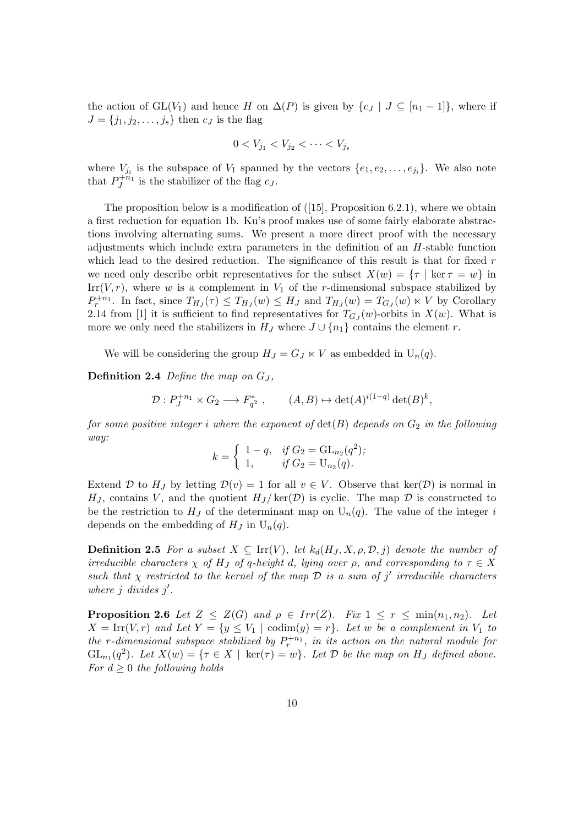the action of  $GL(V_1)$  and hence H on  $\Delta(P)$  is given by  $\{c_J | J \subseteq [n_1-1]\}$ , where if  $J = \{j_1, j_2, \ldots, j_s\}$  then  $c_J$  is the flag

$$
0 < V_{j_1} < V_{j_2} < \cdots < V_{j_s}
$$

where  $V_{j_i}$  is the subspace of  $V_1$  spanned by the vectors  $\{e_1, e_2, \ldots, e_{j_i}\}$ . We also note that  $P_J^{+n_1}$  is the stabilizer of the flag  $c_J$ .

The proposition below is a modification of  $([15],$  Proposition 6.2.1), where we obtain a first reduction for equation 1b. Ku's proof makes use of some fairly elaborate abstractions involving alternating sums. We present a more direct proof with the necessary adjustments which include extra parameters in the definition of an  $H$ -stable function which lead to the desired reduction. The significance of this result is that for fixed  $r$ we need only describe orbit representatives for the subset  $X(w) = \{\tau \mid \ker \tau = w\}$  in Irr(V, r), where w is a complement in  $V_1$  of the r-dimensional subspace stabilized by  $P_r^{+n_1}$ . In fact, since  $T_{H_J}(\tau) \leq T_{H_J}(w) \leq H_J$  and  $T_{H_J}(w) = T_{G_J}(w) \ltimes V$  by Corollary 2.14 from [1] it is sufficient to find representatives for  $T_{GJ}(w)$ -orbits in  $X(w)$ . What is more we only need the stabilizers in  $H_J$  where  $J \cup \{n_1\}$  contains the element r.

We will be considering the group  $H_J = G_J \ltimes V$  as embedded in  $U_n(q)$ .

**Definition 2.4** Define the map on  $G_J$ ,

$$
\mathcal{D}: P_J^{+n_1} \times G_2 \longrightarrow F_{q^2}^*, \qquad (A, B) \mapsto \det(A)^{i(1-q)} \det(B)^k,
$$

for some positive integer i where the exponent of  $\det(B)$  depends on  $G_2$  in the following way:

$$
k = \begin{cases} 1 - q, & \text{if } G_2 = \mathrm{GL}_{n_2}(q^2); \\ 1, & \text{if } G_2 = \mathrm{U}_{n_2}(q). \end{cases}
$$

Extend D to H<sub>J</sub> by letting  $\mathcal{D}(v) = 1$  for all  $v \in V$ . Observe that ker(D) is normal in H<sub>J</sub>, contains V, and the quotient  $H_J/\text{ker}(\mathcal{D})$  is cyclic. The map  $\mathcal D$  is constructed to be the restriction to  $H_J$  of the determinant map on  $U_n(q)$ . The value of the integer i depends on the embedding of  $H_J$  in  $U_n(q)$ .

**Definition 2.5** For a subset  $X \subseteq \text{Irr}(V)$ , let  $k_d(H_J, X, \rho, \mathcal{D}, j)$  denote the number of irreducible characters  $\chi$  of H<sub>J</sub> of q-height d, lying over  $\rho$ , and corresponding to  $\tau \in X$ such that  $\chi$  restricted to the kernel of the map  $\mathcal D$  is a sum of j' irreducible characters where  $j$  divides  $j'$ .

**Proposition 2.6** Let  $Z \leq Z(G)$  and  $\rho \in Irr(Z)$ . Fix  $1 \leq r \leq min(n_1, n_2)$ . Let  $X = \text{Irr}(V,r)$  and Let  $Y = \{y \leq V_1 \mid \text{codim}(y) = r\}$ . Let w be a complement in  $V_1$  to the r-dimensional subspace stabilized by  $P_r^{+n_1}$ , in its action on the natural module for  $GL_{n_1}(q^2)$ . Let  $X(w) = {\tau \in X \mid \ker(\tau) = w}$ . Let  $D$  be the map on  $H_J$  defined above. For  $d \geq 0$  the following holds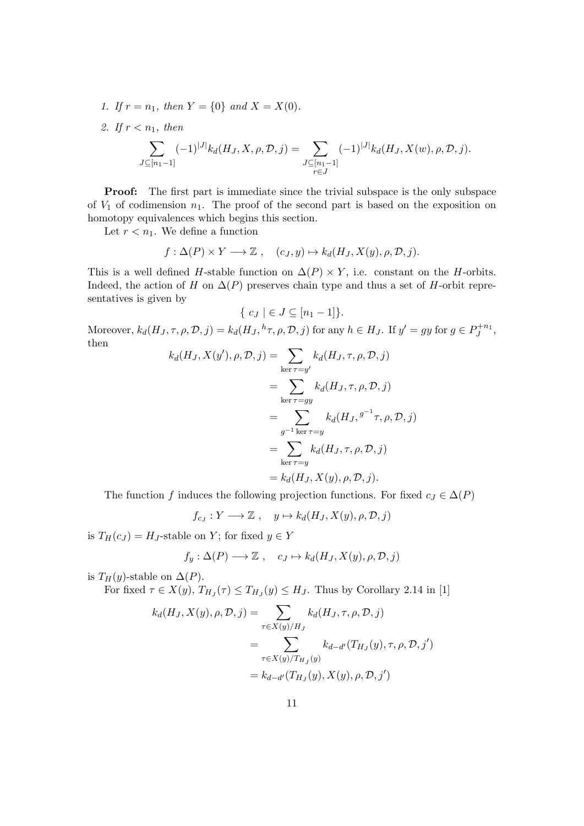- 1. If  $r = n_1$ , then  $Y = \{0\}$  and  $X = X(0)$ .
- 2. If  $r < n_1$ , then

$$
\sum_{J \subseteq [n_1-1]} (-1)^{|J|} k_d(H_J, X, \rho, \mathcal{D}, j) = \sum_{\substack{J \subseteq [n_1-1] \\ r \in J}} (-1)^{|J|} k_d(H_J, X(w), \rho, \mathcal{D}, j).
$$

Proof: The first part is immediate since the trivial subspace is the only subspace of  $V_1$  of codimension  $n_1$ . The proof of the second part is based on the exposition on homotopy equivalences which begins this section.

Let  $r < n_1$ . We define a function

$$
f: \Delta(P) \times Y \longrightarrow \mathbb{Z}
$$
,  $(c_J, y) \mapsto k_d(H_J, X(y), \rho, \mathcal{D}, j).$ 

This is a well defined H-stable function on  $\Delta(P) \times Y$ , i.e. constant on the H-orbits. Indeed, the action of H on  $\Delta(P)$  preserves chain type and thus a set of H-orbit representatives is given by

$$
\{ c_J \mid \epsilon J \subseteq [n_1 - 1] \}.
$$

Moreover,  $k_d(H_J, \tau, \rho, \mathcal{D}, j) = k_d(H_J, {}^h\tau, \rho, \mathcal{D}, j)$  for any  $h \in H_J$ . If  $y' = gy$  for  $g \in P_J^{+n_1}$ , then

$$
k_d(H_J, X(y'), \rho, \mathcal{D}, j) = \sum_{\text{ker }\tau = y'} k_d(H_J, \tau, \rho, \mathcal{D}, j)
$$
  
= 
$$
\sum_{\text{ker }\tau = gy} k_d(H_J, \tau, \rho, \mathcal{D}, j)
$$
  
= 
$$
\sum_{g^{-1} \text{ker }\tau = y} k_d(H_J, g^{-1} \tau, \rho, \mathcal{D}, j)
$$
  
= 
$$
\sum_{\text{ker }\tau = y} k_d(H_J, \tau, \rho, \mathcal{D}, j)
$$
  
= 
$$
k_d(H_J, X(y), \rho, \mathcal{D}, j).
$$

The function f induces the following projection functions. For fixed  $c_J \in \Delta(P)$ 

$$
f_{c_J}:Y\longrightarrow \mathbb{Z}\ ,\quad y\mapsto k_d(H_J,X(y),\rho,\mathcal{D},j)
$$

is  $T_H(c_J) = H_J$ -stable on Y; for fixed  $y \in Y$ 

$$
f_y: \Delta(P) \longrightarrow \mathbb{Z}, \quad c_J \mapsto k_d(H_J, X(y), \rho, \mathcal{D}, j)
$$

is  $T_H(y)$ -stable on  $\Delta(P)$ .

For fixed  $\tau \in X(y)$ ,  $T_{H_J}(\tau) \leq T_{H_J}(y) \leq H_J$ . Thus by Corollary 2.14 in [1]

$$
k_d(H_J, X(y), \rho, \mathcal{D}, j) = \sum_{\tau \in X(y)/H_J} k_d(H_J, \tau, \rho, \mathcal{D}, j)
$$
  
= 
$$
\sum_{\tau \in X(y)/T_{H_J}(y)} k_{d-d'}(T_{H_J}(y), \tau, \rho, \mathcal{D}, j')
$$
  
= 
$$
k_{d-d'}(T_{H_J}(y), X(y), \rho, \mathcal{D}, j')
$$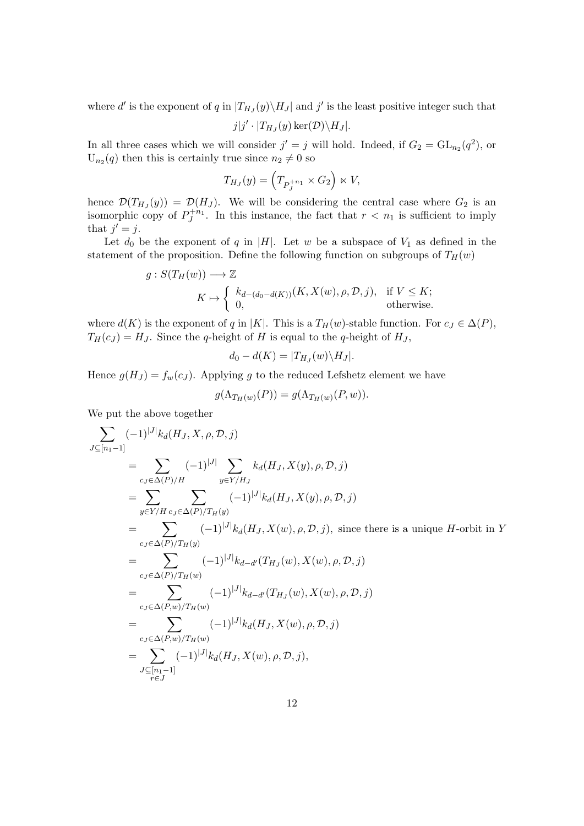where d' is the exponent of q in  $|T_{H_J}(y)\setminus H_J|$  and j' is the least positive integer such that

$$
j|j'\cdot |T_{H_J}(y)\ker(D)\backslash H_J|.
$$

In all three cases which we will consider  $j' = j$  will hold. Indeed, if  $G_2 = GL_{n_2}(q^2)$ , or  $U_{n_2}(q)$  then this is certainly true since  $n_2 \neq 0$  so

$$
T_{H_J}(y) = \left(T_{P_J^{+n_1}} \times G_2\right) \ltimes V,
$$

hence  $\mathcal{D}(T_{H_J}(y)) = \mathcal{D}(H_J)$ . We will be considering the central case where  $G_2$  is an isomorphic copy of  $P_J^{+n_1}$ . In this instance, the fact that  $r < n_1$  is sufficient to imply that  $j' = j$ .

Let  $d_0$  be the exponent of q in |H|. Let w be a subspace of  $V_1$  as defined in the statement of the proposition. Define the following function on subgroups of  $T_H(w)$ 

$$
g: S(T_H(w)) \longrightarrow \mathbb{Z}
$$
  
\n
$$
K \mapsto \begin{cases} k_{d-(d_0-d(K))}(K, X(w), \rho, \mathcal{D}, j), & \text{if } V \leq K; \\ 0, & \text{otherwise.} \end{cases}
$$

where  $d(K)$  is the exponent of q in |K|. This is a  $T_H(w)$ -stable function. For  $c_J \in \Delta(P)$ ,  $T_H(c_J) = H_J$ . Since the q-height of H is equal to the q-height of  $H_J$ ,

$$
d_0 - d(K) = |T_{H_J}(w) \backslash H_J|.
$$

Hence  $g(H_J) = f_w(c_J)$ . Applying g to the reduced Lefshetz element we have

$$
g(\Lambda_{T_H(w)}(P)) = g(\Lambda_{T_H(w)}(P, w)).
$$

We put the above together

$$
\sum_{J \subseteq [n_1-1]} (-1)^{|J|} k_d(H_J, X, \rho, \mathcal{D}, j)
$$
\n
$$
= \sum_{c_J \in \Delta(P)/H} (-1)^{|J|} \sum_{y \in Y/H_J} k_d(H_J, X(y), \rho, \mathcal{D}, j)
$$
\n
$$
= \sum_{y \in Y/H} \sum_{c_J \in \Delta(P)/T_H(y)} (-1)^{|J|} k_d(H_J, X(y), \rho, \mathcal{D}, j)
$$
\n
$$
= \sum_{c_J \in \Delta(P)/T_H(y)} (-1)^{|J|} k_d(H_J, X(w), \rho, \mathcal{D}, j), \text{ since there is a unique } H \text{-orbit in } Y
$$
\n
$$
= \sum_{c_J \in \Delta(P)/T_H(y)} (-1)^{|J|} k_{d-d'}(T_{H_J}(w), X(w), \rho, \mathcal{D}, j)
$$
\n
$$
= \sum_{c_J \in \Delta(P,w)/T_H(w)} (-1)^{|J|} k_{d-d'}(T_{H_J}(w), X(w), \rho, \mathcal{D}, j)
$$
\n
$$
= \sum_{c_J \in \Delta(P,w)/T_H(w)} (-1)^{|J|} k_d(H_J, X(w), \rho, \mathcal{D}, j)
$$
\n
$$
= \sum_{r \in J} (-1)^{|J|} k_d(H_J, X(w), \rho, \mathcal{D}, j),
$$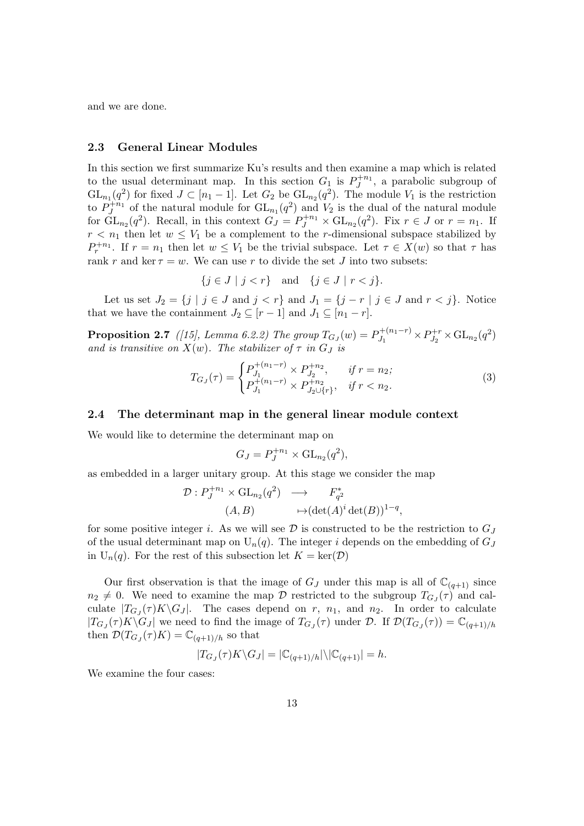and we are done.

#### 2.3 General Linear Modules

In this section we first summarize Ku's results and then examine a map which is related to the usual determinant map. In this section  $G_1$  is  $P_J^{+n_1}$ , a parabolic subgroup of  $GL_{n_1}(q^2)$  for fixed  $J \subset [n_1-1]$ . Let  $G_2$  be  $GL_{n_2}(q^2)$ . The module  $V_1$  is the restriction to  $P_J^{+n_1}$  of the natural module for  $GL_{n_1}(q^2)$  and  $V_2$  is the dual of the natural module for  $GL_{n_2}(q^2)$ . Recall, in this context  $G_J = P_J^{+n_1} \times GL_{n_2}(q^2)$ . Fix  $r \in J$  or  $r = n_1$ . If  $r < n_1$  then let  $w \leq V_1$  be a complement to the r-dimensional subspace stabilized by  $P_r^{+n_1}$ . If  $r = n_1$  then let  $w \leq V_1$  be the trivial subspace. Let  $\tau \in X(w)$  so that  $\tau$  has rank r and ker  $\tau = w$ . We can use r to divide the set J into two subsets:

$$
\{j \in J \mid j < r\} \quad \text{and} \quad \{j \in J \mid r < j\}.
$$

Let us set  $J_2 = \{j \mid j \in J \text{ and } j < r\}$  and  $J_1 = \{j - r \mid j \in J \text{ and } r < j\}$ . Notice that we have the containment  $J_2 \subseteq [r-1]$  and  $J_1 \subseteq [n_1 - r]$ .

**Proposition 2.7** ([15], Lemma 6.2.2) The group  $T_{G_J}(w) = P_{J_1}^{+(n_1-r)}$  $D_{J_1}^{+(n_1-r)} \times P_{J_2}^{+r}$  $J_2^{+r} \times GL_{n_2}(q^2)$ and is transitive on  $X(w)$ . The stabilizer of  $\tau$  in  $G_j$  is

$$
T_{G_J}(\tau) = \begin{cases} P_{J_1}^{+(n_1 - r)} \times P_{J_2}^{+n_2}, & \text{if } r = n_2; \\ P_{J_1}^{+(n_1 - r)} \times P_{J_2 \cup \{r\}}^{+n_2}, & \text{if } r < n_2. \end{cases} \tag{3}
$$

#### 2.4 The determinant map in the general linear module context

We would like to determine the determinant map on

$$
G_J = P_J^{+n_1} \times \mathrm{GL}_{n_2}(q^2),
$$

as embedded in a larger unitary group. At this stage we consider the map

$$
\mathcal{D}: P_J^{+n_1} \times \mathrm{GL}_{n_2}(q^2) \longrightarrow F_{q^2}^* \n(A, B) \longrightarrow (\det(A)^i \det(B))^{1-q},
$$

for some positive integer i. As we will see  $D$  is constructed to be the restriction to  $G_J$ of the usual determinant map on  $U_n(q)$ . The integer i depends on the embedding of  $G_J$ in  $U_n(q)$ . For the rest of this subsection let  $K = \text{ker}(\mathcal{D})$ 

Our first observation is that the image of  $G_J$  under this map is all of  $\mathbb{C}_{(q+1)}$  since  $n_2 \neq 0$ . We need to examine the map D restricted to the subgroup  $T_{GJ}(\tau)$  and calculate  $|T_{G_J}(\tau)K\backslash G_J|$ . The cases depend on r,  $n_1$ , and  $n_2$ . In order to calculate  $|T_{G_J}(\tau)K\backslash G_J|$  we need to find the image of  $T_{G_J}(\tau)$  under  $\mathcal{D}$ . If  $\mathcal{D}(T_{G_J}(\tau))=\mathbb{C}_{(q+1)/h}$ then  $\mathcal{D}(T_{GJ}(\tau)K) = \mathbb{C}_{(q+1)/h}$  so that

$$
|T_{G_J}(\tau)K\backslash G_J|=|\mathbb{C}_{(q+1)/h}|\backslash |\mathbb{C}_{(q+1)}|=h.
$$

We examine the four cases: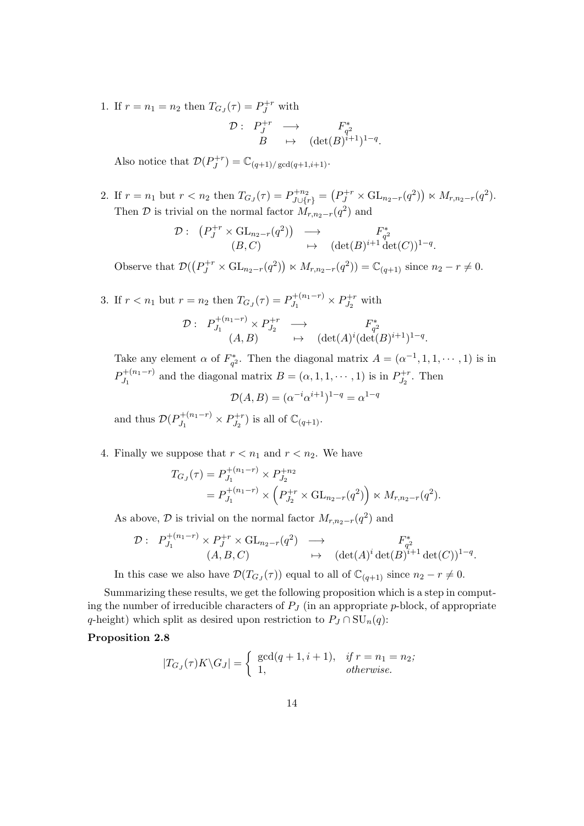1. If  $r = n_1 = n_2$  then  $T_{G_J}(\tau) = P_J^{+r}$  with

$$
\begin{array}{cccc} \mathcal{D}:& P^{+r}_{J} & \longrightarrow & F^{*}_{q^{2}}\\ & B & \mapsto & (\det(B)^{i+1})^{1-q}. \end{array}
$$

Also notice that  $\mathcal{D}(P_I^{+r})$  $\mathcal{O}_J^{+r}$ ) =  $\mathbb{C}_{(q+1)/\gcd(q+1,i+1)}$ .

2. If  $r = n_1$  but  $r < n_2$  then  $T_{G_J}(\tau) = P_{J \cup \{r\}}^{+n_2} = (P_J^{+r} \times GL_{n_2-r}(q^2)) \ltimes M_{r,n_2-r}(q^2)$ . Then  $\mathcal D$  is trivial on the normal factor  $M_{r,n_2-r}(q^2)$  and

$$
\mathcal{D}: \begin{array}{ccc} \left(P_J^{+r} \times \mathrm{GL}_{n_2-r}(q^2)\right) & \longrightarrow & F_{q^2}^* \\ (B,C) & \mapsto & (\det(B)^{i+1} \det(C))^{1-q} . \end{array}
$$

Observe that  $\mathcal{D}((P_J^{+r} \times GL_{n_2-r}(q^2)) \ltimes M_{r,n_2-r}(q^2)) = \mathbb{C}_{(q+1)}$  since  $n_2 - r \neq 0$ .

3. If  $r < n_1$  but  $r = n_2$  then  $T_{G_J}(\tau) = P_{J_1}^{+(n_1-r)}$  $D_{J_1}^{+(n_1-r)} \times P_{J_2}^{+r}$  $J_2^{+r}$  with  $\mathcal{D}: \ \ P^{+(n_1-r)}_{I_1}$  $D_{J_1}^{+(n_1-r)} \times P_{J_2}^{+r}$  $\begin{array}{ccc} P^{+r}_{J_2} & \longrightarrow & F^*_{q^2} \end{array}$  $(A, B) \qquad \mapsto \quad (\det(A)^i (\det(B)^{i+1})^{1-q}.$ 

Take any element  $\alpha$  of  $F_{q^2}^*$ . Then the diagonal matrix  $A = (\alpha^{-1}, 1, 1, \dots, 1)$  is in  $P_{I_1}^{+(n_1-r)}$  $J_1^{+(n_1-r)}$  and the diagonal matrix  $B = (\alpha, 1, 1, \dots, 1)$  is in  $P_{J_2}^{+r}$  $J_2^{+r}$ . Then

$$
\mathcal{D}(A, B) = (\alpha^{-i} \alpha^{i+1})^{1-q} = \alpha^{1-q}
$$

and thus  $\mathcal{D}(P_L^{+(n_1-r)})$  $J_1^{+(n_1-r)} \times P_{J_2}^{+r}$  $\mathcal{O}_{J_2}^{+r}$ ) is all of  $\mathbb{C}_{(q+1)}$ .

4. Finally we suppose that  $r < n_1$  and  $r < n_2$ . We have

$$
T_{G_J}(\tau) = P_{J_1}^{+(n_1-r)} \times P_{J_2}^{+n_2}
$$
  
=  $P_{J_1}^{+(n_1-r)} \times (P_{J_2}^{+r} \times GL_{n_2-r}(q^2)) \times M_{r,n_2-r}(q^2).$ 

As above,  $\mathcal D$  is trivial on the normal factor  $M_{r,n_2-r}(q^2)$  and

$$
\mathcal{D}: P_{J_1}^{+(n_1-r)} \times P_J^{+r} \times \mathrm{GL}_{n_2-r}(q^2) \longrightarrow F_{q^2}^* \n(A, B, C) \longrightarrow (\det(A)^i \det(B)^{i+1} \det(C))^{1-q}.
$$

In this case we also have  $\mathcal{D}(T_{G_J}(\tau))$  equal to all of  $\mathbb{C}_{(q+1)}$  since  $n_2 - r \neq 0$ .

Summarizing these results, we get the following proposition which is a step in computing the number of irreducible characters of  $P<sub>J</sub>$  (in an appropriate p-block, of appropriate q-height) which split as desired upon restriction to  $P_J \cap SU_n(q)$ :

## Proposition 2.8

$$
|T_{G_J}(\tau)K\backslash G_J| = \begin{cases} \gcd(q+1, i+1), & \text{if } r = n_1 = n_2; \\ 1, & \text{otherwise.} \end{cases}
$$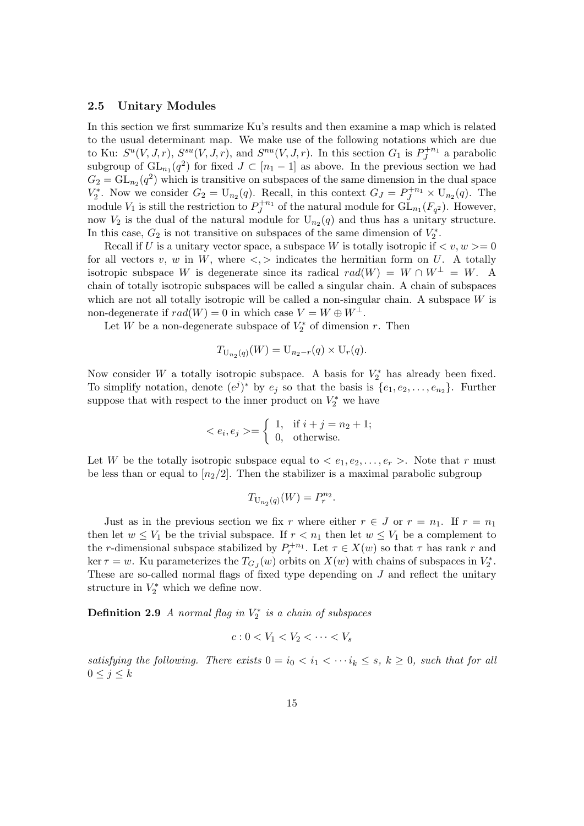#### 2.5 Unitary Modules

In this section we first summarize Ku's results and then examine a map which is related to the usual determinant map. We make use of the following notations which are due to Ku:  $S^{u}(V, J, r)$ ,  $S^{su}(V, J, r)$ , and  $S^{nu}(V, J, r)$ . In this section  $G_1$  is  $P_J^{+n_1}$  a parabolic subgroup of  $GL_{n_1}(q^2)$  for fixed  $J \subset [n_1-1]$  as above. In the previous section we had  $G_2 = GL_{n_2}(q^2)$  which is transitive on subspaces of the same dimension in the dual space  $V_2^*$ . Now we consider  $G_2 = U_{n_2}(q)$ . Recall, in this context  $G_J = P_J^{+n_1} \times U_{n_2}(q)$ . The module  $V_1$  is still the restriction to  $P_J^{+n_1}$  of the natural module for  $\tilde{\mathrm{GL}}_{n_1}(F_{q^2})$ . However, now  $V_2$  is the dual of the natural module for  $U_{n_2}(q)$  and thus has a unitary structure. In this case,  $G_2$  is not transitive on subspaces of the same dimension of  $V_2^*$ .

Recall if U is a unitary vector space, a subspace W is totally isotropic if  $\langle v, w \rangle = 0$ for all vectors v, w in W, where  $\langle \cdot, \cdot \rangle$  indicates the hermitian form on U. A totally isotropic subspace W is degenerate since its radical  $rad(W) = W \cap W^{\perp} = W$ . A chain of totally isotropic subspaces will be called a singular chain. A chain of subspaces which are not all totally isotropic will be called a non-singular chain. A subspace  $W$  is non-degenerate if  $rad(W) = 0$  in which case  $V = W \oplus W^{\perp}$ .

Let W be a non-degenerate subspace of  $V_2^*$  of dimension r. Then

$$
T_{U_{n_2}(q)}(W) = U_{n_2-r}(q) \times U_r(q).
$$

Now consider W a totally isotropic subspace. A basis for  $V_2^*$  has already been fixed. To simplify notation, denote  $(e^{j})^*$  by  $e_j$  so that the basis is  $\{e_1, e_2, \ldots, e_{n_2}\}$ . Further suppose that with respect to the inner product on  $V_2^*$  we have

$$
\langle e_i, e_j \rangle = \begin{cases} 1, & \text{if } i + j = n_2 + 1; \\ 0, & \text{otherwise.} \end{cases}
$$

Let W be the totally isotropic subspace equal to  $\langle e_1, e_2, \ldots, e_r \rangle$ . Note that r must be less than or equal to  $\lfloor n_2/2 \rfloor$ . Then the stabilizer is a maximal parabolic subgroup

$$
T_{\mathrm{U}_{n_2}(q)}(W) = P_r^{n_2}.
$$

Just as in the previous section we fix r where either  $r \in J$  or  $r = n_1$ . If  $r = n_1$ then let  $w \leq V_1$  be the trivial subspace. If  $r < n_1$  then let  $w \leq V_1$  be a complement to the r-dimensional subspace stabilized by  $P_r^{+n_1}$ . Let  $\tau \in X(w)$  so that  $\tau$  has rank r and ker  $\tau = w$ . Ku parameterizes the  $T_{G_J}(w)$  orbits on  $X(w)$  with chains of subspaces in  $V_2^*$ . These are so-called normal flags of fixed type depending on  $J$  and reflect the unitary structure in  $V_2^*$  which we define now.

**Definition 2.9** A normal flag in  $V_2^*$  is a chain of subspaces

$$
c: 0 < V_1 < V_2 < \cdots < V_s
$$

satisfying the following. There exists  $0 = i_0 < i_1 < \cdots i_k \leq s$ ,  $k \geq 0$ , such that for all  $0 \leq j \leq k$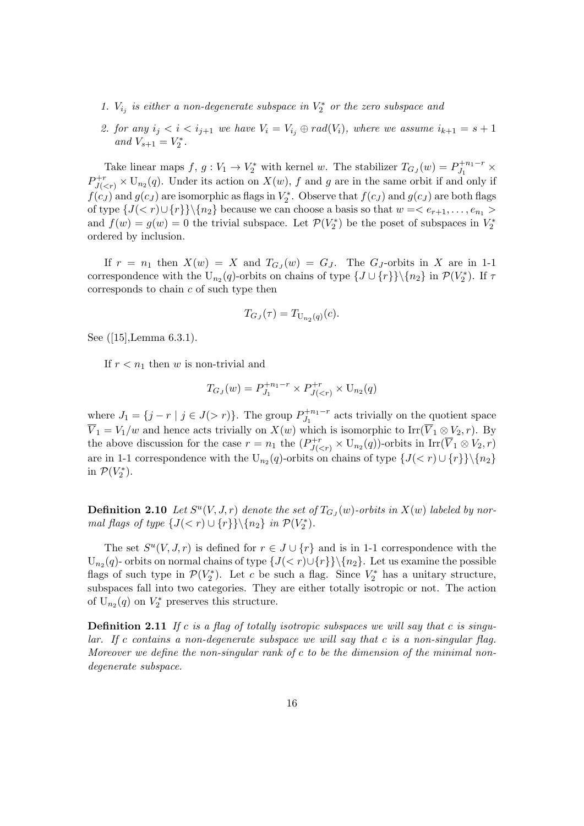- 1.  $V_{i_j}$  is either a non-degenerate subspace in  $V_2^*$  or the zero subspace and
- 2. for any  $i_j < i < i_{j+1}$  we have  $V_i = V_{i_j} \oplus rad(V_i)$ , where we assume  $i_{k+1} = s+1$ and  $V_{s+1} = V_2^*$ .

Take linear maps  $f, g: V_1 \to V_2^*$  with kernel w. The stabilizer  $T_{G_J}(w) = P_{J_1}^{+n_1-r}$  $J_1^{+n_1-r}$   $\times$  $P_{J(. Under its action on  $X(w)$ , f and g are in the same orbit if and only if$  $f(c_J)$  and  $g(c_J)$  are isomorphic as flags in  $V_2^*$ . Observe that  $f(c_J)$  and  $g(c_J)$  are both flags of type  $\{J(< r)\cup\{r\}\}\backslash\{n_2\}$  because we can choose a basis so that  $w=< e_{r+1}, \ldots, e_{n_1}>$ and  $f(w) = g(w) = 0$  the trivial subspace. Let  $\mathcal{P}(V_2^*)$  be the poset of subspaces in  $V_2^*$ ordered by inclusion.

If  $r = n_1$  then  $X(w) = X$  and  $T_{G_J}(w) = G_J$ . The  $G_J$ -orbits in X are in 1-1 correspondence with the U<sub>n2</sub>(q)-orbits on chains of type  $\{J \cup \{r\}\}\setminus\{n_2\}$  in  $\mathcal{P}(V_2^*)$ . If  $\tau$ corresponds to chain  $c$  of such type then

$$
T_{G_J}(\tau) = T_{\mathrm{U}_{n_2}(q)}(c).
$$

See ([15],Lemma 6.3.1).

If  $r < n_1$  then w is non-trivial and

$$
T_{G_J}(w) = P_{J_1}^{+n_1-r} \times P_{J(
$$

where  $J_1 = \{j - r \mid j \in J(> r)\}\.$  The group  $P_{J_1}^{+n_1-r}$  $J_1^{+n_1-r}$  acts trivially on the quotient space  $\overline{V}_1 = V_1/w$  and hence acts trivially on  $X(w)$  which is isomorphic to Irr( $\overline{V}_1 \otimes V_2, r$ ). By the above discussion for the case  $r = n_1$  the  $(P_{J(-orbits in  $\text{Irr}(\overline{V}_1 \otimes V_2, r)$$ are in 1-1 correspondence with the U<sub>n2</sub> $(q)$ -orbits on chains of type  $\{J(< r) \cup \{r\}\}\setminus\{n_2\}$ in  $\mathcal{P}(V_2^*)$ .

**Definition 2.10** Let  $S^u(V, J, r)$  denote the set of  $T_{G_J}(w)$ -orbits in  $X(w)$  labeled by normal flags of type  $\{J(< r) \cup \{r\}\}\setminus \{n_2\}$  in  $\mathcal{P}(V_2^*)$ .

The set  $S^u(V, J, r)$  is defined for  $r \in J \cup \{r\}$  and is in 1-1 correspondence with the  $U_{n_2}(q)$ - orbits on normal chains of type  $\{J(< r)\cup \{r\}\}\$ . Let us examine the possible flags of such type in  $\mathcal{P}(V_2^*)$ . Let c be such a flag. Since  $V_2^*$  has a unitary structure, subspaces fall into two categories. They are either totally isotropic or not. The action of  $U_{n_2}(q)$  on  $V_2^*$  preserves this structure.

**Definition 2.11** If c is a flag of totally isotropic subspaces we will say that c is singu $lar.$  If c contains a non-degenerate subspace we will say that c is a non-singular flag. Moreover we define the non-singular rank of c to be the dimension of the minimal nondegenerate subspace.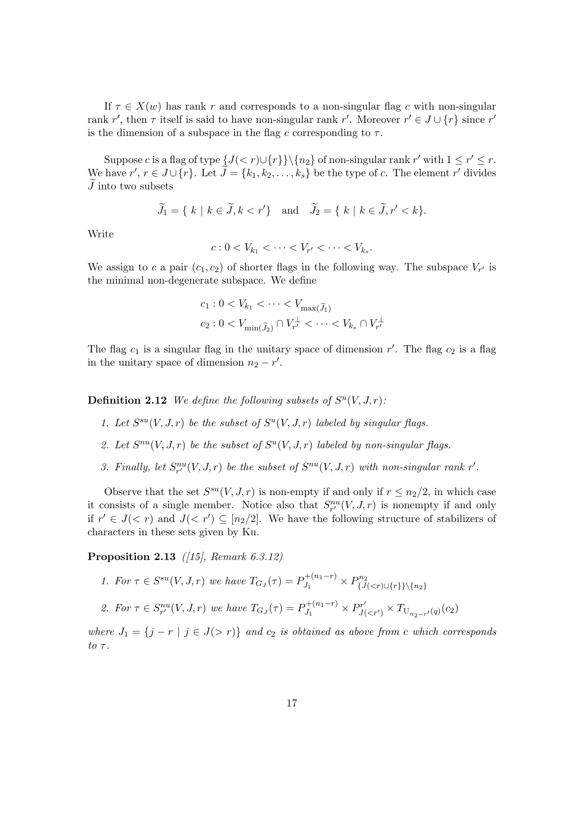If  $\tau \in X(w)$  has rank r and corresponds to a non-singular flag c with non-singular rank r', then  $\tau$  itself is said to have non-singular rank r'. Moreover  $r' \in J \cup \{r\}$  since r' is the dimension of a subspace in the flag c corresponding to  $\tau$ .

Suppose c is a flag of type  $\{J(< r)\cup \{r\}\}\setminus \{n_2\}$  of non-singular rank r' with  $1 \leq r' \leq r$ . We have  $r', r \in J \cup \{r\}$ . Let  $\tilde{J} = \{k_1, k_2, \ldots, k_s\}$  be the type of c. The element  $r'$  divides  ${\cal J}$  into two subsets

$$
\widetilde{J}_1 = \{ k \mid k \in \widetilde{J}, k < r' \} \quad \text{and} \quad \widetilde{J}_2 = \{ k \mid k \in \widetilde{J}, r' < k \}.
$$

Write

$$
c: 0 < V_{k_1} < \cdots < V_{r'} < \cdots < V_{k_s}.
$$

We assign to c a pair  $(c_1, c_2)$  of shorter flags in the following way. The subspace  $V_{r'}$  is the minimal non-degenerate subspace. We define

$$
c_1: 0 < V_{k_1} < \dots < V_{\max(\widetilde{J}_1)}
$$
\n
$$
c_2: 0 < V_{\min(\widetilde{J}_2)} \cap V_{r'}^{\perp} < \dots < V_{k_s} \cap V_{r'}^{\perp}
$$

The flag  $c_1$  is a singular flag in the unitary space of dimension r'. The flag  $c_2$  is a flag in the unitary space of dimension  $n_2 - r'$ .

**Definition 2.12** We define the following subsets of  $S^u(V, J, r)$ .

- 1. Let  $S^{su}(V, J, r)$  be the subset of  $S^{u}(V, J, r)$  labeled by singular flags.
- 2. Let  $S^{nu}(V, J, r)$  be the subset of  $S^{u}(V, J, r)$  labeled by non-singular flags.
- 3. Finally, let  $S_{r'}^{nu}(V, J, r)$  be the subset of  $S^{nu}(V, J, r)$  with non-singular rank r'.

Observe that the set  $S^{su}(V, J, r)$  is non-empty if and only if  $r \leq n_2/2$ , in which case it consists of a single member. Notice also that  $S_{r'}^{nu}(V, J, r)$  is nonempty if and only if  $r' \in J(< r)$  and  $J(< r') \subseteq [n_2/2]$ . We have the following structure of stabilizers of characters in these sets given by Ku.

Proposition 2.13 ([15], Remark 6.3.12)

\n- 1. For 
$$
\tau \in S^{su}(V, J, r)
$$
 we have  $T_{G_J}(\tau) = P_{J_1}^{+(n_1-r)} \times P_{\{J($
\n- 2. For  $\tau \in S_{r'}^{nu}(V, J, r)$  we have  $T_{G_J}(\tau) = P_{J_1}^{+(n_1-r)} \times P_{J($
\n

where  $J_1 = \{j - r \mid j \in J(\geq r)\}\$  and  $c_2$  is obtained as above from c which corresponds to  $\tau$ .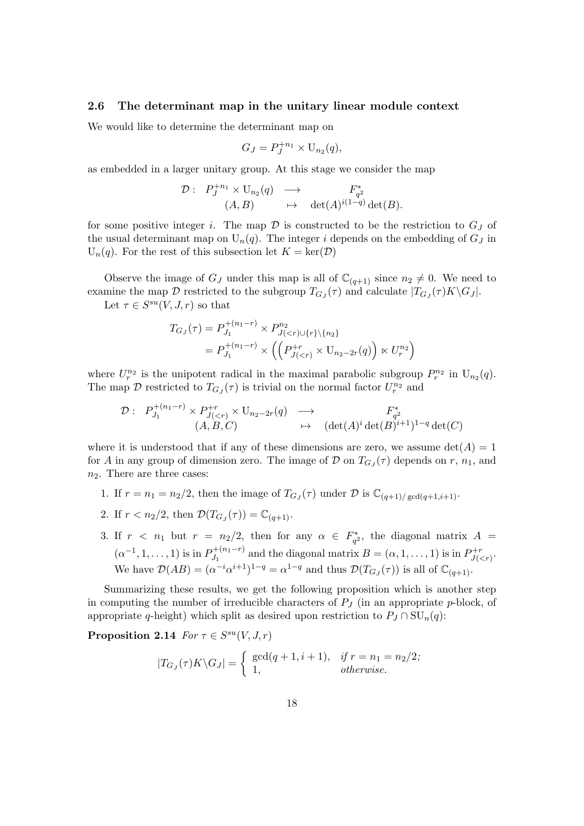#### 2.6 The determinant map in the unitary linear module context

We would like to determine the determinant map on

$$
G_J = P_J^{+n_1} \times \mathrm{U}_{n_2}(q),
$$

as embedded in a larger unitary group. At this stage we consider the map

$$
\mathcal{D}: \begin{array}{ccc} P_J^{+n_1} \times \mathrm{U}_{n_2}(q) & \longrightarrow & F_{q^2}^* \\ (A,B) & \mapsto & \det(A)^{i(1-q)} \det(B). \end{array}
$$

for some positive integer i. The map  $\mathcal D$  is constructed to be the restriction to  $G_J$  of the usual determinant map on  $U_n(q)$ . The integer i depends on the embedding of  $G_j$  in  $U_n(q)$ . For the rest of this subsection let  $K = \text{ker}(\mathcal{D})$ 

Observe the image of  $G_J$  under this map is all of  $\mathbb{C}_{(q+1)}$  since  $n_2 \neq 0$ . We need to examine the map  $\mathcal D$  restricted to the subgroup  $T_{GJ}(\tau)$  and calculate  $|T_{GJ}(\tau)K\backslash G_J|$ .

Let  $\tau \in S^{su}(V, J, r)$  so that

$$
T_{G_J}(\tau) = P_{J_1}^{+(n_1-r)} \times P_{J(  
=  $P_{J_1}^{+(n_1-r)} \times \left( \left( P_{J($
$$

where  $U_r^{n_2}$  is the unipotent radical in the maximal parabolic subgroup  $P_r^{n_2}$  in  $U_{n_2}(q)$ . The map  $\mathcal D$  restricted to  $T_{G_J}(\tau)$  is trivial on the normal factor  $U_r^{n_2}$  and

$$
\mathcal{D}: P_{J_1}^{+(n_1-r)} \times P_{J(  

$$
(A, B, C) \longrightarrow (\det(A)^i \det(B)^{i+1})^{1-q} \det(C)
$$
$$

where it is understood that if any of these dimensions are zero, we assume  $det(A) = 1$ for A in any group of dimension zero. The image of  $D$  on  $T_{GJ}(\tau)$  depends on r,  $n_1$ , and  $n_2$ . There are three cases:

- 1. If  $r = n_1 = n_2/2$ , then the image of  $T_{G_J}(\tau)$  under  $\mathcal D$  is  $\mathbb C_{(q+1)/\gcd(q+1,i+1)}$ .
- 2. If  $r < n_2/2$ , then  $\mathcal{D}(T_{G_J}(\tau)) = \mathbb{C}_{(q+1)}$ .
- 3. If  $r \leq n_1$  but  $r = n_2/2$ , then for any  $\alpha \in F_{q^2}^*$ , the diagonal matrix  $A =$  $(\alpha^{-1}, 1, \ldots, 1)$  is in  $P_L^{+(n_1-r)}$  $J_1^{+(n_1-r)}$  and the diagonal matrix  $B = (\alpha, 1, \ldots, 1)$  is in  $P_{J(\alpha)}^{+r}$  $J^{+r}_{J(.$ We have  $\mathcal{D}(AB) = (\alpha^{-i} \alpha^{i+1})^{1-q} = \alpha^{1-q}$  and thus  $\mathcal{D}(T_{G_J}(\tau))$  is all of  $\mathbb{C}_{(q+1)}$ .

Summarizing these results, we get the following proposition which is another step in computing the number of irreducible characters of  $P_J$  (in an appropriate p-block, of appropriate q-height) which split as desired upon restriction to  $P_J \cap SU_n(q)$ :

Proposition 2.14  $For \tau \in S^{su}(V, J, r)$ 

$$
|T_{G_J}(\tau)K\backslash G_J| = \begin{cases} \gcd(q+1, i+1), & \text{if } r = n_1 = n_2/2; \\ 1, & \text{otherwise.} \end{cases}
$$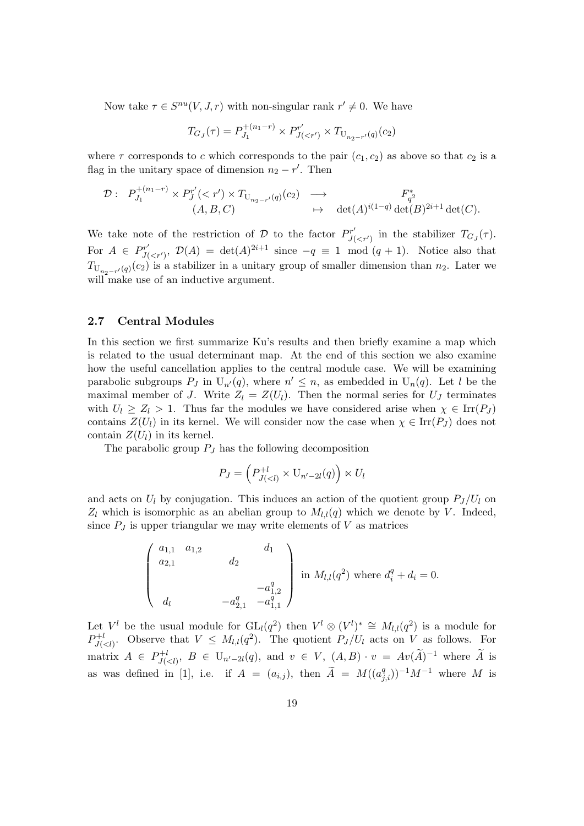Now take  $\tau \in S^{nu}(V, J, r)$  with non-singular rank  $r' \neq 0$ . We have

$$
T_{G_J}(\tau) = P_{J_1}^{+(n_1-r)} \times P_{J(
$$

where  $\tau$  corresponds to c which corresponds to the pair  $(c_1, c_2)$  as above so that  $c_2$  is a flag in the unitary space of dimension  $n_2 - r'$ . Then

$$
\mathcal{D}: P_{J_1}^{+(n_1-r)} \times P_J^{r'}(
$$

We take note of the restriction of D to the factor  $P_{I_0}^{r'}$  $J'_{J( in the stabilizer  $T_{GJ}(\tau)$ .$ For  $A \in Pr'_u$  $J'_{J(,  $\mathcal{D}(A) = \det(A)^{2i+1}$  since  $-q \equiv 1 \mod (q+1)$ . Notice also that$  $T_{\mathrm{U}_{n_2-r'}(q)}(c_2)$  is a stabilizer in a unitary group of smaller dimension than  $n_2$ . Later we will make use of an inductive argument.

#### 2.7 Central Modules

In this section we first summarize Ku's results and then briefly examine a map which is related to the usual determinant map. At the end of this section we also examine how the useful cancellation applies to the central module case. We will be examining parabolic subgroups  $P_J$  in  $U_{n'}(q)$ , where  $n' \leq n$ , as embedded in  $U_n(q)$ . Let l be the maximal member of J. Write  $Z_l = Z(U_l)$ . Then the normal series for  $U_J$  terminates with  $U_l \geq Z_l > 1$ . Thus far the modules we have considered arise when  $\chi \in \text{Irr}(P_J)$ contains  $Z(U_l)$  in its kernel. We will consider now the case when  $\chi \in \text{Irr}(P_J)$  does not contain  $Z(U_l)$  in its kernel.

The parabolic group  $P_J$  has the following decomposition

$$
P_J = \left(P_{J(
$$

and acts on  $U_l$  by conjugation. This induces an action of the quotient group  $P_J/U_l$  on  $Z_l$  which is isomorphic as an abelian group to  $M_{l,l}(q)$  which we denote by V. Indeed, since  $P_J$  is upper triangular we may write elements of  $V$  as matrices

$$
\begin{pmatrix} a_{1,1} & a_{1,2} & d_1 \ a_{2,1} & d_2 & d_3 \ a_1 & -a_{1,2}^q \ d_1 & -a_{2,1}^q & -a_{1,1}^q \end{pmatrix}
$$
 in  $M_{l,l}(q^2)$  where  $d_i^q + d_i = 0$ .

Let  $V^l$  be the usual module for  $GL_l(q^2)$  then  $V^l \otimes (V^l)^* \cong M_{l,l}(q^2)$  is a module for  $P_{\scriptscriptstyle{I}\scriptscriptstyle{I}\scriptscriptstyle{L}}^{+l}$  $J(\langle z \rangle)$ . Observe that  $V \leq M_{l,l}(q^2)$ . The quotient  $P_J/U_l$  acts on V as follows. For matrix  $A \in P_{I}^{+l}$  $U_{J(,  $B \in U_{n'-2l}(q)$ , and  $v \in V$ ,  $(A, B) \cdot v = Av(\widetilde{A})^{-1}$  where  $\widetilde{A}$  is$ as was defined in [1], i.e. if  $A = (a_{i,j})$ , then  $\widetilde{A} = M((a_{j,i}^q))^{-1}M^{-1}$  where M is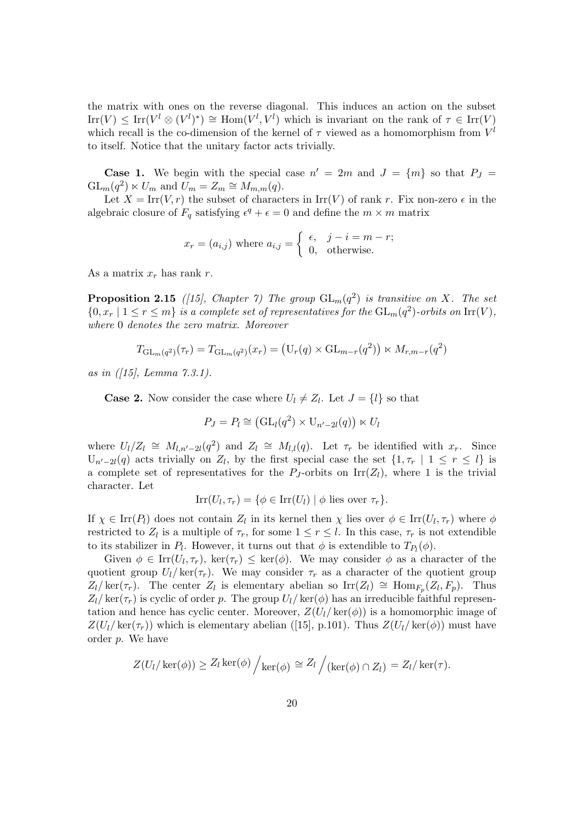the matrix with ones on the reverse diagonal. This induces an action on the subset  $\text{Irr}(V) \leq \text{Irr}(V^l \otimes (V^l)^*) \cong \text{Hom}(V^l, V^l)$  which is invariant on the rank of  $\tau \in \text{Irr}(V)$ which recall is the co-dimension of the kernel of  $\tau$  viewed as a homomorphism from  $V^l$ to itself. Notice that the unitary factor acts trivially.

**Case 1.** We begin with the special case  $n' = 2m$  and  $J = \{m\}$  so that  $P_J =$  $GL_m(q^2) \ltimes U_m$  and  $U_m = Z_m \cong M_{m,m}(q)$ .

Let  $X = \text{Irr}(V, r)$  the subset of characters in  $\text{Irr}(V)$  of rank r. Fix non-zero  $\epsilon$  in the algebraic closure of  $F_q$  satisfying  $\epsilon^q + \epsilon = 0$  and define the  $m \times m$  matrix

$$
x_r = (a_{i,j})
$$
 where  $a_{i,j} = \begin{cases} \epsilon, & j - i = m - r; \\ 0, & \text{otherwise.} \end{cases}$ 

As a matrix  $x_r$  has rank r.

**Proposition 2.15** ([15], Chapter 7) The group  $GL_m(q^2)$  is transitive on X. The set  $\{0, x_r \mid 1 \leq r \leq m\}$  is a complete set of representatives for the  $\operatorname{GL}_m(q^2)$ -orbits on  $\operatorname{Irr}(V)$ , where 0 denotes the zero matrix. Moreover

$$
T_{\mathrm{GL}_m(q^2)}(\tau_r) = T_{\mathrm{GL}_m(q^2)}(x_r) = (\mathrm{U}_r(q) \times \mathrm{GL}_{m-r}(q^2)) \times M_{r,m-r}(q^2)
$$

as in  $(15)$ , Lemma 7.3.1).

**Case 2.** Now consider the case where  $U_l \neq Z_l$ . Let  $J = \{l\}$  so that

$$
P_J = P_l \cong (\mathrm{GL}_l(q^2) \times \mathrm{U}_{n'-2l}(q)) \ltimes U_l
$$

where  $U_l/Z_l \cong M_{l,n'-2l}(q^2)$  and  $Z_l \cong M_{l,l}(q)$ . Let  $\tau_r$  be identified with  $x_r$ . Since  $U_{n'-2l}(q)$  acts trivially on  $Z_l$ , by the first special case the set  $\{1, \tau_r \mid 1 \leq r \leq l\}$  is a complete set of representatives for the  $P_J$ -orbits on Irr( $Z_l$ ), where 1 is the trivial character. Let

$$
Irr(U_l, \tau_r) = \{ \phi \in Irr(U_l) \mid \phi \text{ lies over } \tau_r \}.
$$

If  $\chi \in \text{Irr}(P_l)$  does not contain  $Z_l$  in its kernel then  $\chi$  lies over  $\phi \in \text{Irr}(U_l, \tau_r)$  where  $\phi$ restricted to  $Z_l$  is a multiple of  $\tau_r$ , for some  $1 \leq r \leq l$ . In this case,  $\tau_r$  is not extendible to its stabilizer in  $P_l$ . However, it turns out that  $\phi$  is extendible to  $T_{P_l}(\phi)$ .

Given  $\phi \in \text{Irr}(U_l, \tau_r)$ , ker $(\tau_r) \leq \text{ker}(\phi)$ . We may consider  $\phi$  as a character of the quotient group  $U_l/\ker(\tau_r)$ . We may consider  $\tau_r$  as a character of the quotient group  $Z_l/\ker(\tau_r)$ . The center  $Z_l$  is elementary abelian so  $\text{Irr}(Z_l) \cong \text{Hom}_{F_p}(Z_l, F_p)$ . Thus  $Z_l/\ker(\tau_r)$  is cyclic of order p. The group  $U_l/\ker(\phi)$  has an irreducible faithful representation and hence has cyclic center. Moreover,  $Z(U_l/\text{ker}(\phi))$  is a homomorphic image of  $Z(U_l/\ker(\tau_r))$  which is elementary abelian ([15], p.101). Thus  $Z(U_l/\ker(\phi))$  must have order p. We have

$$
Z(U_l/\ker(\phi)) \ge Z_l \ker(\phi) / \ker(\phi) \cong Z_l / (\ker(\phi) \cap Z_l) = Z_l / \ker(\tau).
$$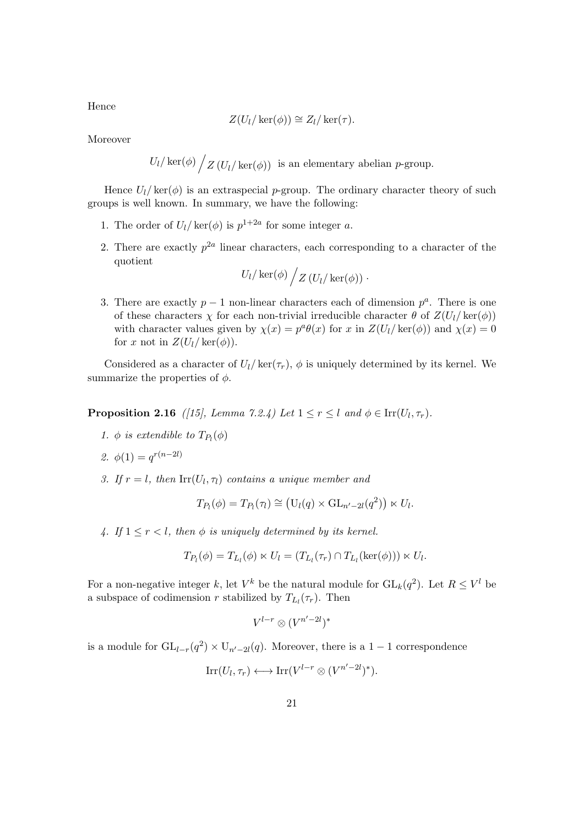$$
Z(U_l/\ker(\phi)) \cong Z_l/\ker(\tau).
$$

Moreover

Hence

$$
U_l / \ker(\phi) / Z (U_l / \ker(\phi))
$$
 is an elementary abelian *p*-group.

Hence  $U_l / \text{ker}(\phi)$  is an extraspecial p-group. The ordinary character theory of such groups is well known. In summary, we have the following:

- 1. The order of  $U_l / \text{ker}(\phi)$  is  $p^{1+2a}$  for some integer a.
- 2. There are exactly  $p^{2a}$  linear characters, each corresponding to a character of the quotient

$$
U_l/\ker(\phi)\bigg/Z(U_l/\ker(\phi))\cdot
$$

3. There are exactly  $p-1$  non-linear characters each of dimension  $p^a$ . There is one of these characters  $\chi$  for each non-trivial irreducible character  $\theta$  of  $Z(U_l/\ker(\phi))$ with character values given by  $\chi(x) = p^a \theta(x)$  for x in  $Z(U_l/\ker(\phi))$  and  $\chi(x) = 0$ for x not in  $Z(U_l/\ker(\phi))$ .

Considered as a character of  $U_l/\ker(\tau_r)$ ,  $\phi$  is uniquely determined by its kernel. We summarize the properties of  $\phi$ .

**Proposition 2.16** ([15], Lemma 7.2.4) Let  $1 \le r \le l$  and  $\phi \in \text{Irr}(U_l, \tau_r)$ .

1.  $\phi$  is extendible to  $T_{P_l}(\phi)$ 

2. 
$$
\phi(1) = q^{r(n-2l)}
$$

3. If  $r = l$ , then  $\text{Irr}(U_l, \tau_l)$  contains a unique member and

$$
T_{P_l}(\phi) = T_{P_l}(\tau_l) \cong (\mathcal{U}_l(q) \times \mathrm{GL}_{n'-2l}(q^2)) \ltimes U_l.
$$

4. If  $1 \leq r < l$ , then  $\phi$  is uniquely determined by its kernel.

$$
T_{P_l}(\phi) = T_{L_l}(\phi) \ltimes U_l = (T_{L_l}(\tau_r) \cap T_{L_l}(\ker(\phi))) \ltimes U_l.
$$

For a non-negative integer k, let  $V^k$  be the natural module for  $GL_k(q^2)$ . Let  $R \leq V^l$  be a subspace of codimension r stabilized by  $T_{L_l}(\tau_r)$ . Then

$$
V^{l-r}\otimes (V^{n'-2l})^*
$$

is a module for  $GL_{l-r}(q^2) \times U_{n'-2l}(q)$ . Moreover, there is a 1 − 1 correspondence

$$
\mathrm{Irr}(U_l, \tau_r) \longleftrightarrow \mathrm{Irr}(V^{l-r} \otimes (V^{n'-2l})^*).
$$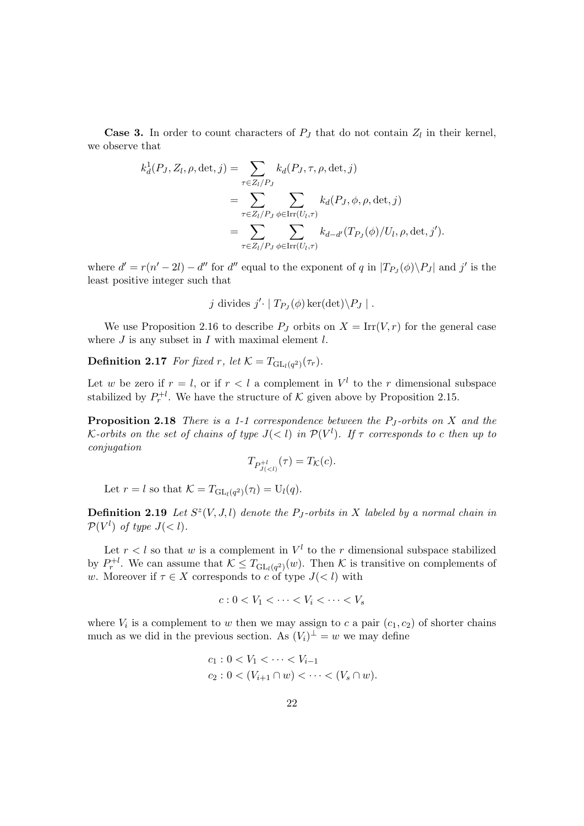**Case 3.** In order to count characters of  $P_J$  that do not contain  $Z_l$  in their kernel, we observe that

$$
k_d^1(P_J, Z_l, \rho, \det, j) = \sum_{\tau \in Z_l/P_J} k_d(P_J, \tau, \rho, \det, j)
$$
  
= 
$$
\sum_{\tau \in Z_l/P_J} \sum_{\phi \in \text{Irr}(U_l, \tau)} k_d(P_J, \phi, \rho, \det, j)
$$
  
= 
$$
\sum_{\tau \in Z_l/P_J} \sum_{\phi \in \text{Irr}(U_l, \tau)} k_{d-d'}(T_{P_J}(\phi)/U_l, \rho, \det, j').
$$

where  $d' = r(n'-2l) - d''$  for  $d''$  equal to the exponent of q in  $|T_{P_J}(\phi) \setminus P_J|$  and j' is the least positive integer such that

j divides 
$$
j' \cdot | T_{P_J}(\phi) \ker(\det) \backslash P_J |
$$
.

We use Proposition 2.16 to describe  $P_J$  orbits on  $X = \text{Irr}(V,r)$  for the general case where  $J$  is any subset in  $I$  with maximal element  $l$ .

**Definition 2.17** For fixed r, let  $\mathcal{K} = T_{\mathrm{GL}_l(q^2)}(\tau_r)$ .

Let w be zero if  $r = l$ , or if  $r < l$  a complement in  $V^l$  to the r dimensional subspace stabilized by  $P_r^{+l}$ . We have the structure of K given above by Proposition 2.15.

**Proposition 2.18** There is a 1-1 correspondence between the  $P_J$ -orbits on X and the K-orbits on the set of chains of type  $J(< l)$  in  $\mathcal{P}(V^l)$ . If  $\tau$  corresponds to c then up to conjugation

$$
T_{P_{J(
$$

Let  $r = l$  so that  $\mathcal{K} = T_{\mathrm{GL}_l(q^2)}(\tau_l) = \mathrm{U}_l(q)$ .

**Definition 2.19** Let  $S^z(V, J, l)$  denote the P<sub>J</sub>-orbits in X labeled by a normal chain in  $\mathcal{P}(V^l)$  of type  $J(< l)$ .

Let  $r < l$  so that w is a complement in  $V<sup>l</sup>$  to the r dimensional subspace stabilized by  $P_r^{\dagger l}$ . We can assume that  $\mathcal{K} \leq T_{\mathrm{GL}_l(q^2)}(w)$ . Then  $\mathcal{K}$  is transitive on complements of w. Moreover if  $\tau \in X$  corresponds to c of type  $J \langle \xi | \xi \rangle$  with

$$
c: 0 < V_1 < \cdots < V_i < \cdots < V_s
$$

where  $V_i$  is a complement to w then we may assign to c a pair  $(c_1, c_2)$  of shorter chains much as we did in the previous section. As  $(V_i)^{\perp} = w$  we may define

$$
c_1: 0 < V_1 < \cdots < V_{i-1}
$$
\n
$$
c_2: 0 < (V_{i+1} \cap w) < \cdots < (V_s \cap w).
$$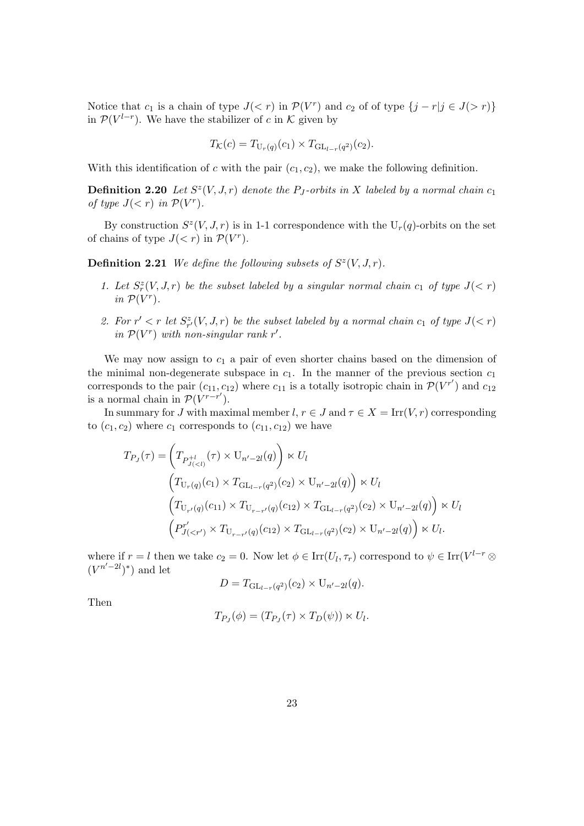Notice that  $c_1$  is a chain of type  $J(< r)$  in  $\mathcal{P}(V^r)$  and  $c_2$  of of type  $\{j - r | j \in J(> r)\}\$ in  $\mathcal{P}(V^{l-r})$ . We have the stabilizer of c in K given by

$$
T_{\mathcal{K}}(c) = T_{U_r(q)}(c_1) \times T_{GL_{l-r}(q^2)}(c_2).
$$

With this identification of c with the pair  $(c_1, c_2)$ , we make the following definition.

**Definition 2.20** Let  $S^z(V, J, r)$  denote the P<sub>J</sub>-orbits in X labeled by a normal chain  $c_1$ of type  $J(< r)$  in  $\mathcal{P}(V^r)$ .

By construction  $S^{z}(V, J, r)$  is in 1-1 correspondence with the  $U_{r}(q)$ -orbits on the set of chains of type  $J(< r)$  in  $\mathcal{P}(V^r)$ .

**Definition 2.21** We define the following subsets of  $S^z(V, J, r)$ .

- 1. Let  $S_r^z(V, J, r)$  be the subset labeled by a singular normal chain  $c_1$  of type  $J(< r)$ in  $\mathcal{P}(V^r)$ .
- 2. For  $r' < r$  let  $S^z_{r}(V, J, r)$  be the subset labeled by a normal chain  $c_1$  of type  $J(< r)$ in  $\mathcal{P}(V^r)$  with non-singular rank r'.

We may now assign to  $c_1$  a pair of even shorter chains based on the dimension of the minimal non-degenerate subspace in  $c_1$ . In the manner of the previous section  $c_1$ corresponds to the pair  $(c_{11}, c_{12})$  where  $c_{11}$  is a totally isotropic chain in  $\mathcal{P}(V^{r'})$  and  $c_{12}$ is a normal chain in  $\mathcal{P}(V^{r-r'})$ .

In summary for J with maximal member  $l, r \in J$  and  $\tau \in X = \text{Irr}(V,r)$  corresponding to  $(c_1, c_2)$  where  $c_1$  corresponds to  $(c_{11}, c_{12})$  we have

$$
T_{P_J}(\tau) = \left(T_{P_{J(  
\n
$$
\left(T_{U_r(q)}(c_1) \times T_{GL_{l-r}(q^2)}(c_2) \times U_{n'-2l}(q)\right) \times U_l
$$
  
\n
$$
\left(T_{U_{r'}(q)}(c_{11}) \times T_{U_{r-r'}(q)}(c_{12}) \times T_{GL_{l-r}(q^2)}(c_2) \times U_{n'-2l}(q)\right) \times U_l
$$
  
\n
$$
\left(P_{J(
$$
$$

where if  $r = l$  then we take  $c_2 = 0$ . Now let  $\phi \in \text{Irr}(U_l, \tau_r)$  correspond to  $\psi \in \text{Irr}(V^{l-r} \otimes$  $(V^{n'-2l})^*$  and let

$$
D = T_{GL_{l-r}(q^2)}(c_2) \times U_{n'-2l}(q).
$$

Then

$$
T_{P_J}(\phi) = (T_{P_J}(\tau) \times T_D(\psi)) \ltimes U_l.
$$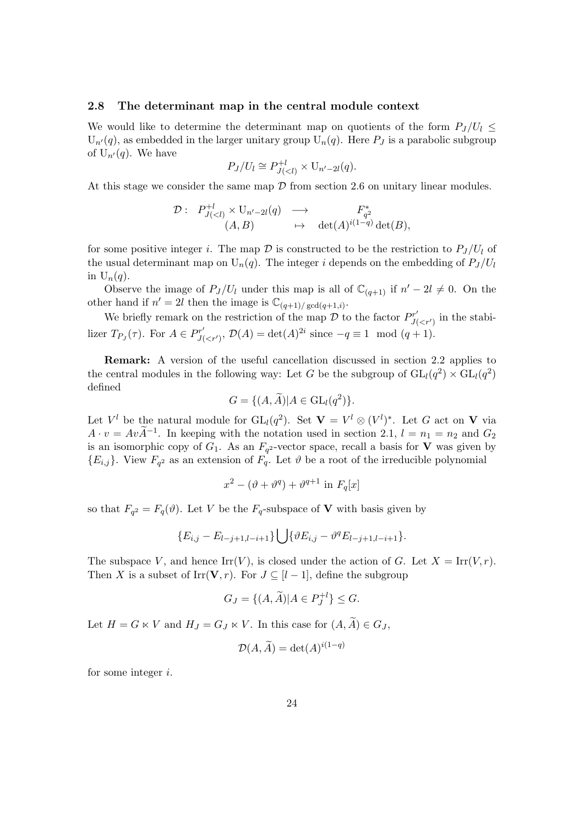#### 2.8 The determinant map in the central module context

We would like to determine the determinant map on quotients of the form  $P_J/U_l \leq$  $U_{n}(q)$ , as embedded in the larger unitary group  $U_{n}(q)$ . Here  $P_{J}$  is a parabolic subgroup of  $U_{n'}(q)$ . We have

$$
P_J/U_l \cong P_{J(
$$

At this stage we consider the same map  $D$  from section 2.6 on unitary linear modules.

$$
\mathcal{D}: \begin{array}{ccc} P_{J(
$$

for some positive integer i. The map  $\mathcal D$  is constructed to be the restriction to  $P_J/U_l$  of the usual determinant map on  $U_n(q)$ . The integer i depends on the embedding of  $P_J/U_l$ in  $U_n(q)$ .

Observe the image of  $P_J/U_l$  under this map is all of  $\mathbb{C}_{(q+1)}$  if  $n'-2l \neq 0$ . On the other hand if  $n' = 2l$  then the image is  $\mathbb{C}_{(q+1)/\text{gcd}(q+1,i)}$ .

We briefly remark on the restriction of the map  $\mathcal D$  to the factor  $P_{I_0}^{r'}$  $J( in the stabi$ lizer  $T_{P_J}(\tau)$ . For  $A \in P_{J(\tau)}^{r'}$  $J'_{\langle \langle \gamma' \rangle}, \mathcal{D}(A) = \det(A)^{2i}$  since  $-q \equiv 1 \mod (q+1)$ .

Remark: A version of the useful cancellation discussed in section 2.2 applies to the central modules in the following way: Let G be the subgroup of  $GL_l(q^2) \times GL_l(q^2)$ defined

$$
G = \{ (A, \widetilde{A}) | A \in \mathrm{GL}_l(q^2) \}.
$$

Let  $V^l$  be the natural module for  $GL_l(q^2)$ . Set  $\mathbf{V} = V^l \otimes (V^l)^*$ . Let G act on **V** via  $A \cdot v = Av\widetilde{A}^{-1}$ . In keeping with the notation used in section 2.1,  $l = n_1 = n_2$  and  $G_2$ is an isomorphic copy of  $G_1$ . As an  $F_{q^2}$ -vector space, recall a basis for **V** was given by  ${E_{i,j}}$ . View  $F_{q^2}$  as an extension of  $F_q$ . Let  $\vartheta$  be a root of the irreducible polynomial

$$
x^2 - (\vartheta + \vartheta^q) + \vartheta^{q+1}
$$
 in  $F_q[x]$ 

so that  $F_{q^2} = F_q(\vartheta)$ . Let V be the  $F_q$ -subspace of **V** with basis given by

$$
\{E_{i,j} - E_{l-j+1,l-i+1}\} \bigcup \{ \vartheta E_{i,j} - \vartheta^q E_{l-j+1,l-i+1} \}.
$$

The subspace V, and hence  $\text{Irr}(V)$ , is closed under the action of G. Let  $X = \text{Irr}(V, r)$ . Then X is a subset of Irr( $V, r$ ). For  $J \subseteq [l-1]$ , define the subgroup

$$
G_J = \{(A, \widetilde{A}) | A \in P_J^{+l}\} \le G.
$$

Let  $H = G \ltimes V$  and  $H_J = G_J \ltimes V$ . In this case for  $(A, \widetilde{A}) \in G_J$ ,

$$
\mathcal{D}(A,\widetilde{A}) = \det(A)^{i(1-q)}
$$

for some integer i.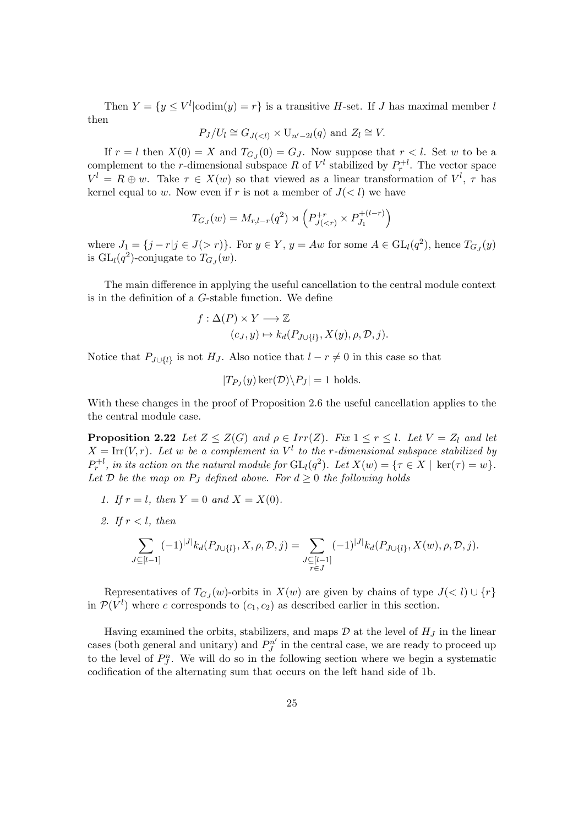Then  $Y = \{y \leq V^l | \text{codim}(y) = r\}$  is a transitive H-set. If J has maximal member l then

$$
P_J/U_l \cong G_{J( and  $Z_l \cong V$ .
$$

If  $r = l$  then  $X(0) = X$  and  $T_{G_J}(0) = G_J$ . Now suppose that  $r < l$ . Set w to be a complement to the *r*-dimensional subspace R of  $V^l$  stabilized by  $P_r^{+l}$ . The vector space  $V^l = R \oplus w$ . Take  $\tau \in X(w)$  so that viewed as a linear transformation of  $V^l$ ,  $\tau$  has kernel equal to w. Now even if r is not a member of  $J(< l)$  we have

$$
T_{G_J}(w) = M_{r,l-r}(q^2) \rtimes \left( P_{J(
$$

where  $J_1 = \{j - r | j \in J(> r)\}\$ . For  $y \in Y$ ,  $y = Aw$  for some  $A \in GL_l(q^2)$ , hence  $T_{G_J}(y)$ is  $GL_l(q^2)$ -conjugate to  $T_{G_J}(w)$ .

The main difference in applying the useful cancellation to the central module context is in the definition of a G-stable function. We define

$$
f: \Delta(P) \times Y \longrightarrow \mathbb{Z}
$$
  

$$
(c_J, y) \mapsto k_d(P_{J \cup \{l\}}, X(y), \rho, \mathcal{D}, j).
$$

Notice that  $P_{J\cup\{l\}}$  is not  $H_J$ . Also notice that  $l - r \neq 0$  in this case so that

$$
|T_{P_J}(y)\ker(D)\backslash P_J|=1
$$
 holds.

With these changes in the proof of Proposition 2.6 the useful cancellation applies to the the central module case.

**Proposition 2.22** Let  $Z \leq Z(G)$  and  $\rho \in Irr(Z)$ . Fix  $1 \leq r \leq l$ . Let  $V = Z_l$  and let  $X = \text{Irr}(V,r)$ . Let w be a complement in  $V^l$  to the r-dimensional subspace stabilized by  $P_r^{+l}$ , in its action on the natural module for  $GL_l(q^2)$ . Let  $X(w) = \{ \tau \in X \mid \ker(\tau) = w \}$ . Let  $D$  be the map on  $P_J$  defined above. For  $d \geq 0$  the following holds

- 1. If  $r = l$ , then  $Y = 0$  and  $X = X(0)$ .
- 2. If  $r < l$ , then

$$
\sum_{J\subseteq [l-1]} (-1)^{|J|} k_d(P_{J\cup \{l\}}, X, \rho, \mathcal{D}, j) = \sum_{\substack{J\subseteq [l-1] \\ r \in J}} (-1)^{|J|} k_d(P_{J\cup \{l\}}, X(w), \rho, \mathcal{D}, j).
$$

Representatives of  $T_{GJ}(w)$ -orbits in  $X(w)$  are given by chains of type  $J(\langle l \rangle \cup \{r\})$ in  $\mathcal{P}(V^l)$  where c corresponds to  $(c_1, c_2)$  as described earlier in this section.

Having examined the orbits, stabilizers, and maps  $\mathcal D$  at the level of  $H_J$  in the linear cases (both general and unitary) and  $P_I^{n'}$  $j^{n'}$  in the central case, we are ready to proceed up to the level of  $P_J^n$ . We will do so in the following section where we begin a systematic codification of the alternating sum that occurs on the left hand side of 1b.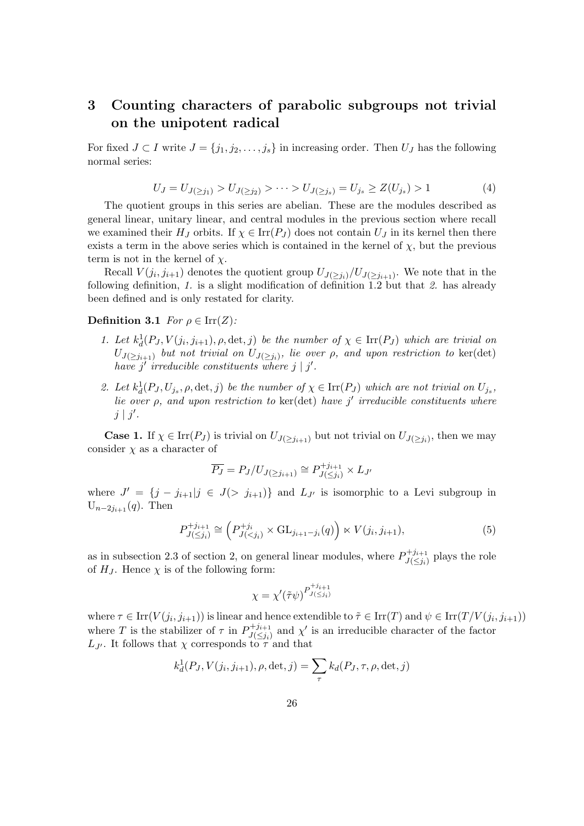# 3 Counting characters of parabolic subgroups not trivial on the unipotent radical

For fixed  $J \subset I$  write  $J = \{j_1, j_2, \ldots, j_s\}$  in increasing order. Then  $U_J$  has the following normal series:

$$
U_J = U_{J(\ge j_1)} > U_{J(\ge j_2)} > \dots > U_{J(\ge j_s)} = U_{j_s} \ge Z(U_{j_s}) > 1 \tag{4}
$$

The quotient groups in this series are abelian. These are the modules described as general linear, unitary linear, and central modules in the previous section where recall we examined their  $H_J$  orbits. If  $\chi \in \text{Irr}(P_J)$  does not contain  $U_J$  in its kernel then there exists a term in the above series which is contained in the kernel of  $\chi$ , but the previous term is not in the kernel of  $\chi$ .

Recall  $V(j_i, j_{i+1})$  denotes the quotient group  $U_{J(\geq j_i)}/U_{J(\geq j_{i+1})}$ . We note that in the following definition, 1. is a slight modification of definition 1.2 but that 2. has already been defined and is only restated for clarity.

#### Definition 3.1 For  $\rho \in \text{Irr}(Z)$ :

- 1. Let  $k_d^1(P_J, V(j_i, j_{i+1}), \rho, \det, j)$  be the number of  $\chi \in \text{Irr}(P_J)$  which are trivial on  $U_{J(\geq j_{i+1})}$  but not trivial on  $U_{J(\geq j_i)}$ , lie over  $\rho$ , and upon restriction to ker(det) have  $j'$  irreducible constituents where  $j \mid j'$ .
- 2. Let  $k_d^1(P_J, U_{j_s}, \rho, \det, j)$  be the number of  $\chi \in \text{Irr}(P_J)$  which are not trivial on  $U_{j_s}$ , lie over  $\rho$ , and upon restriction to ker(det) have j' irreducible constituents where  $j \mid j'$ .

**Case 1.** If  $\chi \in \text{Irr}(P_J)$  is trivial on  $U_{J(\geq j_{i+1})}$  but not trivial on  $U_{J(\geq j_i)}$ , then we may consider  $\chi$  as a character of

$$
\overline{P_J} = P_J / U_{J(\ge j_{i+1})} \cong P_{J(\le j_i)}^{+j_{i+1}} \times L_{J'}
$$

where  $J' = \{j - j_{i+1} | j \in J(> j_{i+1})\}$  and  $L_{J'}$  is isomorphic to a Levi subgroup in  $U_{n-2j_{i+1}}(q)$ . Then

$$
P_{J(\leq j_i)}^{+j_{i+1}} \cong \left(P_{J(\leq j_i)}^{+j_i} \times \mathrm{GL}_{j_{i+1}-j_i}(q)\right) \ltimes V(j_i, j_{i+1}),\tag{5}
$$

as in subsection 2.3 of section 2, on general linear modules, where  $P_{\text{H}\left(z,i\right)}^{\dagger j_{i+1}}$  $J(\leq j_i)$  plays the role of  $H_J$ . Hence  $\chi$  is of the following form:

$$
\chi = \chi'(\tilde{\tau}\psi)^{P_{J(\leq j_i)}^{+j_{i+1}}}
$$

where  $\tau \in \text{Irr}(V(j_i, j_{i+1}))$  is linear and hence extendible to  $\tilde{\tau} \in \text{Irr}(T)$  and  $\psi \in \text{Irr}(T/V(j_i, j_{i+1}))$ where T is the stabilizer of  $\tau$  in  $P_{I(*i*)}^{+j_{i+1}}$  $J(\leq j_i)$  and  $\chi'$  is an irreducible character of the factor  $L_{J'}$ . It follows that  $\chi$  corresponds to  $\tau$  and that

$$
k_d^1(P_J, V(j_i, j_{i+1}), \rho, \det, j) = \sum_{\tau} k_d(P_J, \tau, \rho, \det, j)
$$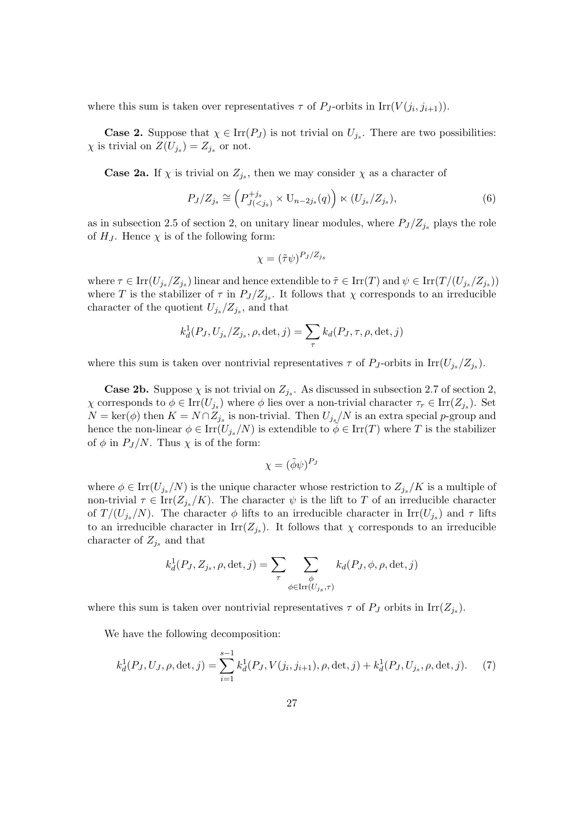where this sum is taken over representatives  $\tau$  of  $P_J$ -orbits in Irr( $V(j_i, j_{i+1})$ ).

**Case 2.** Suppose that  $\chi \in \text{Irr}(P_J)$  is not trivial on  $U_{j_s}$ . There are two possibilities:  $\chi$  is trivial on  $Z(U_{j_s})=Z_{j_s}$  or not.

**Case 2a.** If  $\chi$  is trivial on  $Z_{j_s}$ , then we may consider  $\chi$  as a character of

$$
P_J/Z_{j_s} \cong \left(P_{J(
$$

as in subsection 2.5 of section 2, on unitary linear modules, where  $P_J/Z_{j_s}$  plays the role of  $H_J$ . Hence  $\chi$  is of the following form:

$$
\chi = (\tilde{\tau}\psi)^{P_J/Z_{js}}
$$

where  $\tau \in \text{Irr}(U_{j_s}/Z_{j_s})$  linear and hence extendible to  $\tilde{\tau} \in \text{Irr}(T)$  and  $\psi \in \text{Irr}(T/(U_{j_s}/Z_{j_s}))$ where T is the stabilizer of  $\tau$  in  $P_J/Z_{j_s}$ . It follows that  $\chi$  corresponds to an irreducible character of the quotient  $U_{j_s}/Z_{j_s}$ , and that

$$
k_d^1(P_J, U_{j_s}/Z_{j_s}, \rho, \det, j) = \sum_{\tau} k_d(P_J, \tau, \rho, \det, j)
$$

where this sum is taken over nontrivial representatives  $\tau$  of  $P_J$ -orbits in  $\text{Irr}(U_{j_s}/Z_{j_s})$ .

**Case 2b.** Suppose  $\chi$  is not trivial on  $Z_{j_s}$ . As discussed in subsection 2.7 of section 2,  $\chi$  corresponds to  $\phi \in \text{Irr}(U_{j_s})$  where  $\phi$  lies over a non-trivial character  $\tau_r \in \text{Irr}(Z_{j_s})$ . Set  $N = \text{ker}(\phi)$  then  $K = N \cap Z_{j_s}$  is non-trivial. Then  $U_{j_s}/N$  is an extra special p-group and hence the non-linear  $\phi \in \text{Irr}(U_{j_s}/N)$  is extendible to  $\phi \in \text{Irr}(T)$  where T is the stabilizer of  $\phi$  in  $P_J/N$ . Thus  $\chi$  is of the form:

$$
\chi = (\tilde{\phi}\psi)^{P_J}
$$

where  $\phi \in \text{Irr}(U_{j_s}/N)$  is the unique character whose restriction to  $Z_{j_s}/K$  is a multiple of non-trivial  $\tau \in \text{Irr}(Z_{j_s}/K)$ . The character  $\psi$  is the lift to T of an irreducible character of  $T/(U_{j_s}/N)$ . The character  $\phi$  lifts to an irreducible character in  $\text{Irr}(U_{j_s})$  and  $\tau$  lifts to an irreducible character in  $\text{Irr}(Z_{j_s})$ . It follows that  $\chi$  corresponds to an irreducible character of  $Z_{j_s}$  and that

$$
k_d^1(P_J, Z_{j_s}, \rho, \det, j) = \sum_{\tau} \sum_{\substack{\phi \\ \phi \in \text{Irr}(U_{j_s}, \tau)}} k_d(P_J, \phi, \rho, \det, j)
$$

where this sum is taken over nontrivial representatives  $\tau$  of  $P_J$  orbits in  $\text{Irr}(Z_{j_s})$ .

We have the following decomposition:

$$
k_d^1(P_J, U_J, \rho, \det, j) = \sum_{i=1}^{s-1} k_d^1(P_J, V(j_i, j_{i+1}), \rho, \det, j) + k_d^1(P_J, U_{j_s}, \rho, \det, j). \tag{7}
$$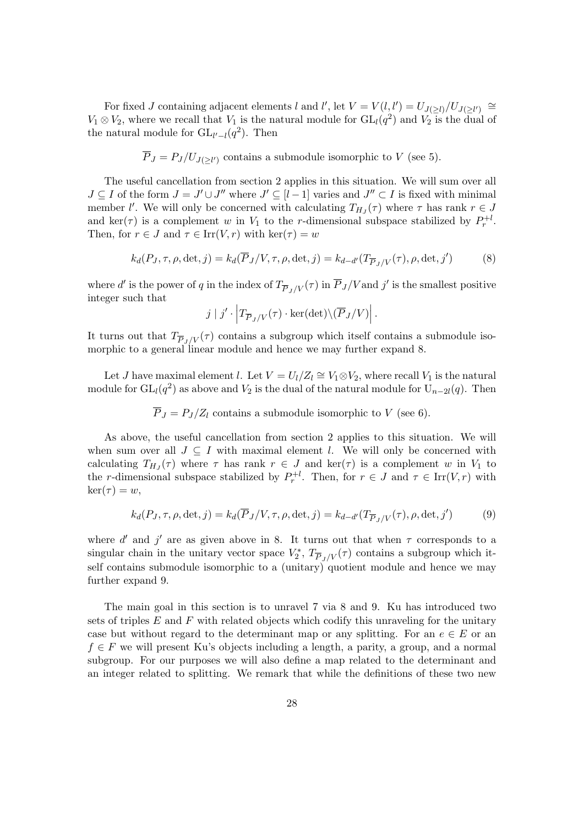For fixed J containing adjacent elements l and l', let  $V = V(l, l') = U_{J(\geq l)}/U_{J(\geq l')} \cong$  $V_1 \otimes V_2$ , where we recall that  $V_1$  is the natural module for  $GL_l(q^2)$  and  $V_2$  is the dual of the natural module for  $GL_{l'-l}(q^2)$ . Then

$$
\overline{P}_J = P_J/U_{J(\geq l')}
$$
 contains a submodule isomorphic to V (see 5).

The useful cancellation from section 2 applies in this situation. We will sum over all  $J \subseteq I$  of the form  $J = J' \cup J''$  where  $J' \subseteq [l-1]$  varies and  $J'' \subset I$  is fixed with minimal member l'. We will only be concerned with calculating  $T_{HJ}(\tau)$  where  $\tau$  has rank  $r \in J$ and ker( $\tau$ ) is a complement w in  $V_1$  to the r-dimensional subspace stabilized by  $P_r^{\{+l\}}$ . Then, for  $r \in J$  and  $\tau \in \text{Irr}(V,r)$  with  $\text{ker}(\tau) = w$ 

$$
k_d(P_J, \tau, \rho, \det, j) = k_d(\overline{P}_J/V, \tau, \rho, \det, j) = k_{d-d'}(T_{\overline{P}_J/V}(\tau), \rho, \det, j')
$$
(8)

where d' is the power of q in the index of  $T_{\overline{P}_J/V}(\tau)$  in  $\overline{P}_J/V$  and j' is the smallest positive integer such that

$$
j | j' \cdot | T_{\overline{P}_J/V}(\tau) \cdot \ker(\det) \setminus (\overline{P}_J/V) \Big|.
$$

It turns out that  $T_{\overline{P}_I / V}(\tau)$  contains a subgroup which itself contains a submodule isomorphic to a general linear module and hence we may further expand 8.

Let *J* have maximal element *l*. Let  $V = U_l/Z_l \cong V_1 \otimes V_2$ , where recall  $V_1$  is the natural module for  $GL_l(q^2)$  as above and  $V_2$  is the dual of the natural module for  $U_{n-2l}(q)$ . Then

 $\overline{P}_I = P_I/Z_I$  contains a submodule isomorphic to V (see 6).

As above, the useful cancellation from section 2 applies to this situation. We will when sum over all  $J \subseteq I$  with maximal element l. We will only be concerned with calculating  $T_{H_J}(\tau)$  where  $\tau$  has rank  $r \in J$  and  $\ker(\tau)$  is a complement w in  $V_1$  to the r-dimensional subspace stabilized by  $P_r^{\dagger l}$ . Then, for  $r \in J$  and  $\tau \in \text{Irr}(V,r)$  with  $\ker(\tau) = w$ ,

$$
k_d(P_J, \tau, \rho, \det, j) = k_d(\overline{P}_J/V, \tau, \rho, \det, j) = k_{d-d'}(T_{\overline{P}_J/V}(\tau), \rho, \det, j')
$$
(9)

where d' and j' are as given above in 8. It turns out that when  $\tau$  corresponds to a singular chain in the unitary vector space  $V_2^*, T_{\overline{P}_J/V}(\tau)$  contains a subgroup which itself contains submodule isomorphic to a (unitary) quotient module and hence we may further expand 9.

The main goal in this section is to unravel 7 via 8 and 9. Ku has introduced two sets of triples  $E$  and  $F$  with related objects which codify this unraveling for the unitary case but without regard to the determinant map or any splitting. For an  $e \in E$  or an  $f \in F$  we will present Ku's objects including a length, a parity, a group, and a normal subgroup. For our purposes we will also define a map related to the determinant and an integer related to splitting. We remark that while the definitions of these two new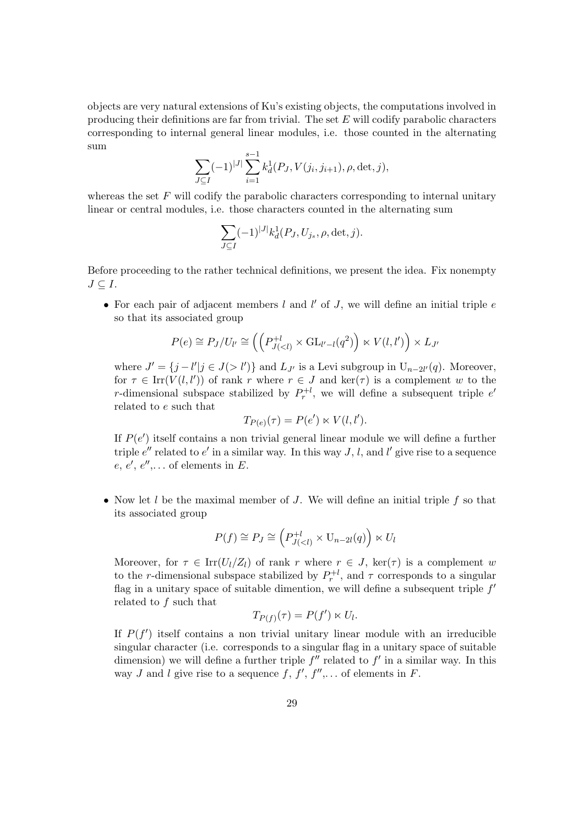objects are very natural extensions of Ku's existing objects, the computations involved in producing their definitions are far from trivial. The set  $E$  will codify parabolic characters corresponding to internal general linear modules, i.e. those counted in the alternating sum

$$
\sum_{J \subseteq I} (-1)^{|J|} \sum_{i=1}^{s-1} k_d^1(P_J, V(j_i, j_{i+1}), \rho, \det, j),
$$

whereas the set  $F$  will codify the parabolic characters corresponding to internal unitary linear or central modules, i.e. those characters counted in the alternating sum

$$
\sum_{J \subseteq I} (-1)^{|J|} k_d^1(P_J, U_{j_s}, \rho, \det, j).
$$

Before proceeding to the rather technical definitions, we present the idea. Fix nonempty  $J \subseteq I$ .

• For each pair of adjacent members  $l$  and  $l'$  of  $J$ , we will define an initial triple  $e$ so that its associated group

$$
P(e) \cong P_J/U_{l'} \cong \left( \left( P_{J(
$$

where  $J' = \{j - l'|j \in J(>l')\}$  and  $L_{J'}$  is a Levi subgroup in  $U_{n-2l'}(q)$ . Moreover, for  $\tau \in \text{Irr}(V(l, l'))$  of rank r where  $r \in J$  and  $\text{ker}(\tau)$  is a complement w to the r-dimensional subspace stabilized by  $P_r^{\{l\}}$ , we will define a subsequent triple  $e^{\prime}$ related to e such that

$$
T_{P(e)}(\tau) = P(e') \ltimes V(l, l').
$$

If  $P(e')$  itself contains a non trivial general linear module we will define a further triple  $e''$  related to  $e'$  in a similar way. In this way  $J, l$ , and  $l'$  give rise to a sequence  $e, e', e'', \ldots$  of elements in E.

• Now let  $l$  be the maximal member of  $J$ . We will define an initial triple  $f$  so that its associated group

$$
P(f) \cong P_J \cong \left(P_{J(
$$

Moreover, for  $\tau \in \text{Irr}(U_l/Z_l)$  of rank r where  $r \in J$ , ker( $\tau$ ) is a complement w to the *r*-dimensional subspace stabilized by  $P_r^{+l}$ , and  $\tau$  corresponds to a singular flag in a unitary space of suitable dimention, we will define a subsequent triple  $f'$ related to f such that

$$
T_{P(f)}(\tau) = P(f') \ltimes U_l.
$$

If  $P(f')$  itself contains a non trivial unitary linear module with an irreducible singular character (i.e. corresponds to a singular flag in a unitary space of suitable dimension) we will define a further triple  $f''$  related to  $f'$  in a similar way. In this way J and l give rise to a sequence  $f, f', f'', \ldots$  of elements in F.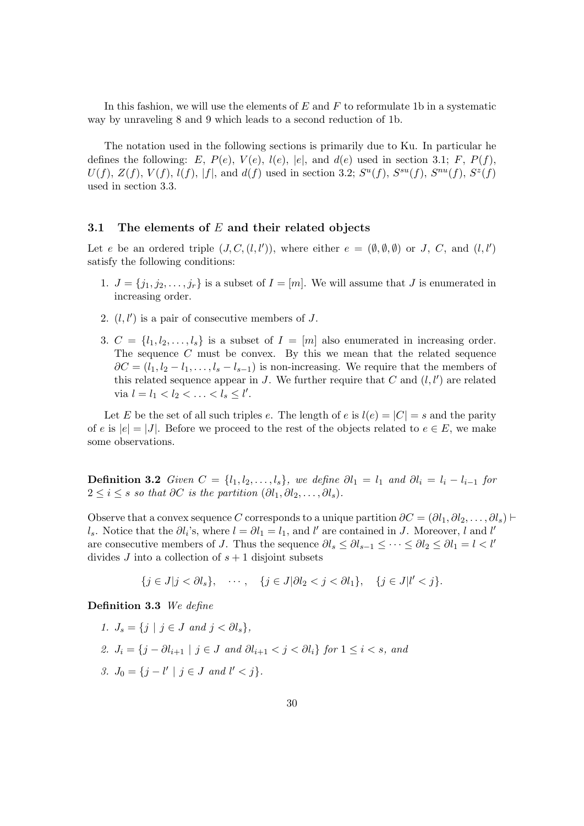In this fashion, we will use the elements of  $E$  and  $F$  to reformulate 1b in a systematic way by unraveling 8 and 9 which leads to a second reduction of 1b.

The notation used in the following sections is primarily due to Ku. In particular he defines the following: E,  $P(e)$ ,  $V(e)$ ,  $l(e)$ ,  $|e|$ , and  $d(e)$  used in section 3.1; F,  $P(f)$ ,  $U(f)$ ,  $Z(f)$ ,  $V(f)$ ,  $l(f)$ ,  $|f|$ , and  $d(f)$  used in section 3.2;  $S^u(f)$ ,  $S^{su}(f)$ ,  $S^{ru}(f)$ ,  $S^z(f)$ used in section 3.3.

#### 3.1 The elements of  $E$  and their related objects

Let e be an ordered triple  $(J, C, (l, l'))$ , where either  $e = (\emptyset, \emptyset, \emptyset)$  or J, C, and  $(l, l')$ satisfy the following conditions:

- 1.  $J = \{j_1, j_2, \ldots, j_r\}$  is a subset of  $I = [m]$ . We will assume that J is enumerated in increasing order.
- 2.  $(l, l')$  is a pair of consecutive members of J.
- 3.  $C = \{l_1, l_2, \ldots, l_s\}$  is a subset of  $I = [m]$  also enumerated in increasing order. The sequence  $C$  must be convex. By this we mean that the related sequence  $\partial C = (l_1, l_2 - l_1, \ldots, l_s - l_{s-1})$  is non-increasing. We require that the members of this related sequence appear in J. We further require that  $C$  and  $(l, l')$  are related via  $l = l_1 < l_2 < \ldots < l_s \leq l'$ .

Let E be the set of all such triples e. The length of e is  $l(e) = |C| = s$  and the parity of e is  $|e| = |J|$ . Before we proceed to the rest of the objects related to  $e \in E$ , we make some observations.

**Definition 3.2** Given  $C = \{l_1, l_2, \ldots, l_s\}$ , we define  $\partial l_1 = l_1$  and  $\partial l_i = l_i - l_{i-1}$  for  $2 \leq i \leq s$  so that  $\partial C$  is the partition  $(\partial l_1, \partial l_2, \ldots, \partial l_s)$ .

Observe that a convex sequence C corresponds to a unique partition  $\partial C = (\partial l_1, \partial l_2, \dots, \partial l_s)$ l<sub>s</sub>. Notice that the  $\partial l_i$ 's, where  $l = \partial l_1 = l_1$ , and l' are contained in J. Moreover, l and l' are consecutive members of J. Thus the sequence  $\partial l_s \leq \partial l_{s-1} \leq \cdots \leq \partial l_2 \leq \partial l_1 = l \langle l' \rangle$ divides J into a collection of  $s + 1$  disjoint subsets

 $\{j \in J | j < \partial l_s\}, \quad \cdots, \quad \{j \in J | \partial l_2 < j < \partial l_1\}, \quad \{j \in J | l' < j\}.$ 

Definition 3.3 We define

1.  $J_s = \{j \mid j \in J \text{ and } j < \partial l_s\},\$ 2.  $J_i = \{j - \partial l_{i+1} \mid j \in J \text{ and } \partial l_{i+1} < j < \partial l_i \}$  for  $1 \leq i \leq s$ , and 3.  $J_0 = \{j - l' \mid j \in J \text{ and } l' < j\}.$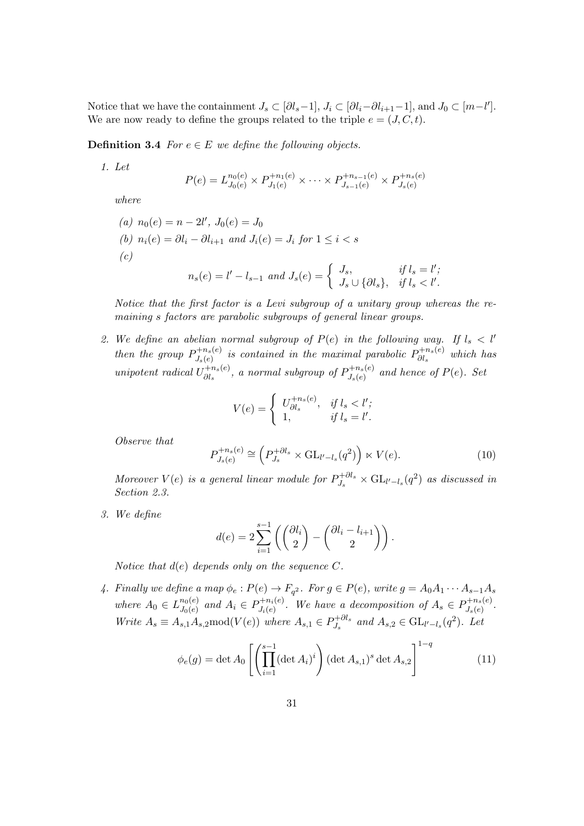Notice that we have the containment  $J_s \subset [\partial l_s - 1], J_i \subset [\partial l_i - \partial l_{i+1} - 1],$  and  $J_0 \subset [m - l']$ . We are now ready to define the groups related to the triple  $e = (J, C, t)$ .

**Definition 3.4** For  $e \in E$  we define the following objects.

1. Let

$$
P(e) = L_{J_0(e)}^{n_0(e)} \times P_{J_1(e)}^{+n_1(e)} \times \cdots \times P_{J_{s-1}(e)}^{+n_{s-1}(e)} \times P_{J_s(e)}^{+n_s(e)}
$$

where

\n- (a) 
$$
n_0(e) = n - 2l'
$$
,  $J_0(e) = J_0$
\n- (b)  $n_i(e) = \partial l_i - \partial l_{i+1}$  and  $J_i(e) = J_i$  for  $1 \leq i < s$
\n- (c)  $n_s(e) = l' - l_{s-1}$  and  $J_s(e) = \begin{cases} J_s, & \text{if } l_s = l';\\ J_s \cup \{\partial l_s\}, & \text{if } l_s < l'.\end{cases}$
\n

Notice that the first factor is a Levi subgroup of a unitary group whereas the remaining s factors are parabolic subgroups of general linear groups.

2. We define an abelian normal subgroup of  $P(e)$  in the following way. If  $l_s < l'$ then the group  $P_{I(e)}^{+n_s(e)}$  $D_{J_s(e)}^{+n_s(e)}$  is contained in the maximal parabolic  $P_{\partial l_s}^{+n_s(e)}$  $\partial_l^{\tau n_s(e)}$  which has unipotent radical  $U_{\partial l}^{+n_s(e)}$  $\hat{\theta}_{\mathit{d_s}}^{(+n_s(e)},$  a normal subgroup of  $P^{+n_s(e)}_{J_s(e)}$  $J_{s}(e)$  and hence of  $P(e)$ . Set

$$
V(e) = \begin{cases} U_{\partial l_s}^{+n_s(e)}, & \text{if } l_s < l';\\ 1, & \text{if } l_s = l'. \end{cases}
$$

Observe that

$$
P_{J_s(e)}^{+n_s(e)} \cong \left(P_{J_s}^{+\partial l_s} \times \mathrm{GL}_{l'-l_s}(q^2)\right) \ltimes V(e). \tag{10}
$$

Moreover  $V(e)$  is a general linear module for  $P_L^{+ \partial l_s}$  $\Omega_{J_s}^{+} \partial l_s \times \mathrm{GL}_{l'-l_s}(q^2)$  as discussed in Section 2.3.

3. We define

$$
d(e) = 2\sum_{i=1}^{s-1} \left( \binom{\partial l_i}{2} - \binom{\partial l_i - l_{i+1}}{2} \right).
$$

Notice that  $d(e)$  depends only on the sequence C.

4. Finally we define a map  $\phi_e : P(e) \to F_{q^2}$ . For  $g \in P(e)$ , write  $g = A_0 A_1 \cdots A_{s-1} A_s$ where  $A_0 \in L_{J_0(e)}^{n_0(e)}$  $_{J_0(e)}^{n_0(e)}$  and  $A_i \in P_{J_i(e)}^{+n_i(e)}$  $D_{J_i(e)}^{+n_i(e)}$ . We have a decomposition of  $A_s \in P_{J_s(e)}^{+n_s(e)}$  $J_s(e)$  . Write  $A_s \equiv A_{s,1}A_{s,2} \text{mod}(V(e))$  where  $A_{s,1} \in P_{J_s}^{+ \partial l_s}$  $A_{s}^{j+\partial l_s}$  and  $A_{s,2} \in GL_{l'-l_s}(q^2)$ . Let

$$
\phi_e(g) = \det A_0 \left[ \left( \prod_{i=1}^{s-1} (\det A_i)^i \right) (\det A_{s,1})^s \det A_{s,2} \right]^{1-q}
$$
(11)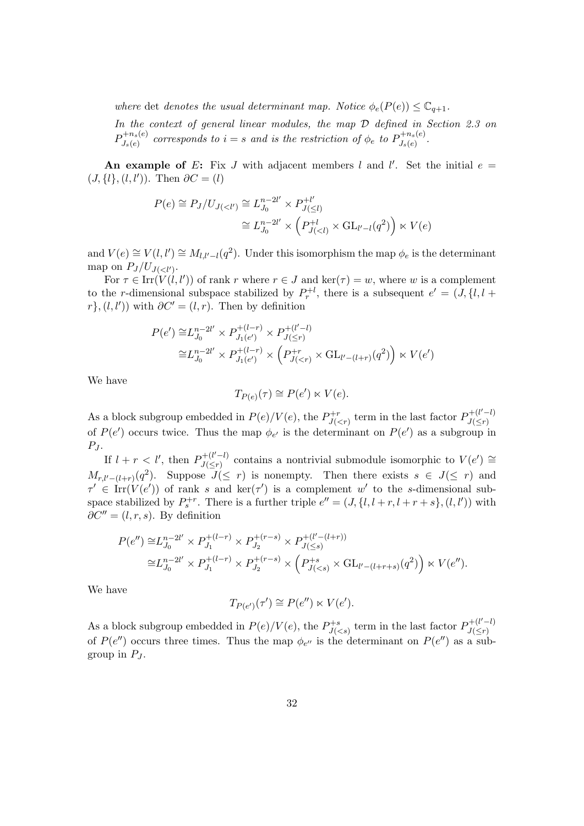where det denotes the usual determinant map. Notice  $\phi_e(P(e)) \leq \mathbb{C}_{q+1}$ . In the context of general linear modules, the map D defined in Section 2.3 on  $P^{+n_s(e)}_{I(e)}$  $J_s(e)$  corresponds to  $i=s$  and is the restriction of  $\phi_e$  to  $P^{+n_s(e)}_{J_s(e)}$  $J_s(e)$  .

An example of E: Fix J with adjacent members l and l'. Set the initial  $e =$  $(J, \{l\}, (l, l'))$ . Then  $\partial C = (l)$ 

$$
P(e) \cong P_J/U_{J(
$$

and  $V(e) \cong V(l, l') \cong M_{l,l'-l}(q^2)$ . Under this isomorphism the map  $\phi_e$  is the determinant map on  $P_J/U_{J(.$ 

For  $\tau \in \text{Irr}(V(l, l'))$  of rank r where  $r \in J$  and  $\text{ker}(\tau) = w$ , where w is a complement to the r-dimensional subspace stabilized by  $P_r^{+l}$ , there is a subsequent  $e' = (J, \{l, l +$  $r$ ,  $(l, l')$  with  $\partial C' = (l, r)$ . Then by definition

$$
P(e') \cong L_{J_0}^{n-2l'} \times P_{J_1(e')}^{+(l-r)} \times P_{J(\leq r)}^{+(l'-l)}
$$
  

$$
\cong L_{J_0}^{n-2l'} \times P_{J_1(e')}^{+(l-r)} \times \left( P_{J(
$$

We have

$$
T_{P(e)}(\tau) \cong P(e') \ltimes V(e).
$$

As a block subgroup embedded in  $P(e)/V(e)$ , the  $P_{1/e}^{+r}$  $J(<sub>r</sub>)$  term in the last factor  $P_{J(<sub>r</sub>)}^{+(l'-l)}$  $J(\leq r)$ of  $P(e')$  occurs twice. Thus the map  $\phi_{e'}$  is the determinant on  $P(e')$  as a subgroup in  $P_J$ .

If  $l + r < l'$ , then  $P_{l($  $J(\leq r)$  contains a nontrivial submodule isomorphic to  $V(e') \cong J(\leq r)$  $M_{r,l'-(l+r)}(q^2)$ . Suppose  $J(\leq r)$  is nonempty. Then there exists  $s \in J(\leq r)$  and  $\tau' \in \text{Irr}(V(e'))$  of rank s and ker( $\tau'$ ) is a complement w' to the s-dimensional subspace stabilized by  $P_s^{+r}$ . There is a further triple  $e'' = (J, \{l, l + r, l + r + s\}, (l, l'))$  with  $\partial C'' = (l, r, s)$ . By definition

$$
P(e'') \cong L_{J_0}^{n-2l'} \times P_{J_1}^{+(l-r)} \times P_{J_2}^{+(r-s)} \times P_{J(\leq s)}^{+(l'-(l+r))}
$$
  

$$
\cong L_{J_0}^{n-2l'} \times P_{J_1}^{+(l-r)} \times P_{J_2}^{+(r-s)} \times \left( P_{J(\leq s)}^{+s} \times \text{GL}_{l'-(l+r+s)}(q^2) \right) \times V(e'').
$$

We have

$$
T_{P(e')}(\tau') \cong P(e'') \ltimes V(e').
$$

As a block subgroup embedded in  $P(e)/V(e)$ , the  $P_{\text{H}_e}^{+s}$  $J(<sub>s</sub>)$  term in the last factor  $P_{J(<sub>r</sub>)}^{+(l'-l)}$  $J(\leq r)$ of  $P(e'')$  occurs three times. Thus the map  $\phi_{e''}$  is the determinant on  $P(e'')$  as a subgroup in  $P_J$ .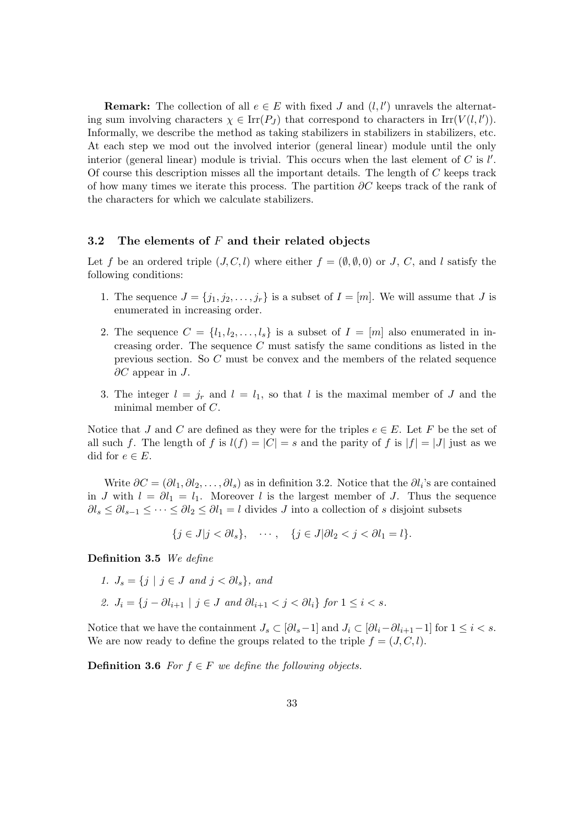**Remark:** The collection of all  $e \in E$  with fixed J and  $(l, l')$  unravels the alternating sum involving characters  $\chi \in \text{Irr}(P_J)$  that correspond to characters in  $\text{Irr}(V(l, l'))$ . Informally, we describe the method as taking stabilizers in stabilizers in stabilizers, etc. At each step we mod out the involved interior (general linear) module until the only interior (general linear) module is trivial. This occurs when the last element of  $C$  is  $l'$ . Of course this description misses all the important details. The length of C keeps track of how many times we iterate this process. The partition  $\partial C$  keeps track of the rank of the characters for which we calculate stabilizers.

### 3.2 The elements of  $F$  and their related objects

Let f be an ordered triple  $(J, C, l)$  where either  $f = (\emptyset, \emptyset, 0)$  or J, C, and l satisfy the following conditions:

- 1. The sequence  $J = \{j_1, j_2, \ldots, j_r\}$  is a subset of  $I = [m]$ . We will assume that J is enumerated in increasing order.
- 2. The sequence  $C = \{l_1, l_2, \ldots, l_s\}$  is a subset of  $I = [m]$  also enumerated in increasing order. The sequence  $C$  must satisfy the same conditions as listed in the previous section. So C must be convex and the members of the related sequence  $\partial C$  appear in J.
- 3. The integer  $l = j_r$  and  $l = l_1$ , so that l is the maximal member of J and the minimal member of C.

Notice that J and C are defined as they were for the triples  $e \in E$ . Let F be the set of all such f. The length of f is  $l(f) = |C| = s$  and the parity of f is  $|f| = |J|$  just as we did for  $e \in E$ .

Write  $\partial C = (\partial l_1, \partial l_2, \dots, \partial l_s)$  as in definition 3.2. Notice that the  $\partial l_i$ 's are contained in J with  $l = \partial l_1 = l_1$ . Moreover l is the largest member of J. Thus the sequence  $\partial l_s \leq \partial l_{s-1} \leq \cdots \leq \partial l_2 \leq \partial l_1 = l$  divides J into a collection of s disjoint subsets

$$
\{j \in J | j < \partial l_s\}, \quad \cdots, \quad \{j \in J | \partial l_2 < j < \partial l_1 = l\}.
$$

Definition 3.5 We define

- 1.  $J_s = \{j \mid j \in J \text{ and } j < \partial l_s\}, \text{ and}$
- 2.  $J_i = \{j \partial l_{i+1} \mid j \in J \text{ and } \partial l_{i+1} < j < \partial l_i\} \text{ for } 1 \leq i < s.$

Notice that we have the containment  $J_s \subset [\partial l_s-1]$  and  $J_i \subset [\partial l_i-\partial l_{i+1}-1]$  for  $1 \leq i < s$ . We are now ready to define the groups related to the triple  $f = (J, C, l)$ .

**Definition 3.6** For  $f \in F$  we define the following objects.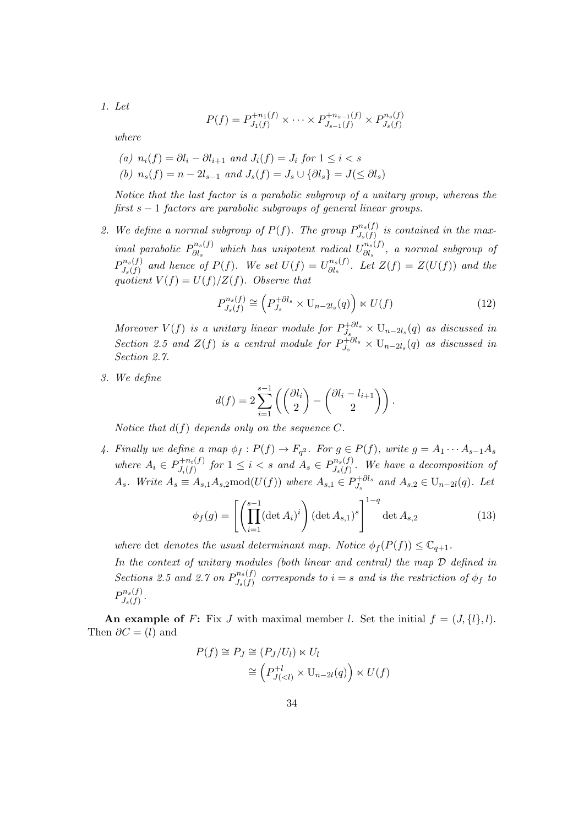1. Let

$$
P(f) = P_{J_1(f)}^{+n_1(f)} \times \cdots \times P_{J_{s-1}(f)}^{+n_{s-1}(f)} \times P_{J_s(f)}^{n_s(f)}
$$

where

\n- (a) 
$$
n_i(f) = \partial l_i - \partial l_{i+1}
$$
 and  $J_i(f) = J_i$  for  $1 \leq i < s$
\n- (b)  $n_s(f) = n - 2l_{s-1}$  and  $J_s(f) = J_s \cup \{\partial l_s\} = J(\leq \partial l_s)$
\n

Notice that the last factor is a parabolic subgroup of a unitary group, whereas the first  $s - 1$  factors are parabolic subgroups of general linear groups.

2. We define a normal subgroup of  $P(f)$ . The group  $P^{n_s(f)}_{I(f)}$  $J_{s}(f)$  is contained in the maximal parabolic  $P_{\partial l_a}^{n_s(f)}$  $\hat{\theta}_{\partial l_s}^{n_s(f)}$  which has unipotent radical  $U_{\partial l_s}^{n_s(f)}$  $\frac{\partial u_s}{\partial l_s}$ , a normal subgroup of  $P^{n_s(f)}_{I(f)}$  $J_{s}(f)$  and hence of  $P(f)$ . We set  $U(f) = U_{\partial l_{s}}^{n_{s}(f)}$  $\partial l_s^{(l,s)}$ . Let  $Z(f) = Z(U(f))$  and the quotient  $V(f) = U(f)/Z(f)$ . Observe that

$$
P_{J_s(f)}^{n_s(f)} \cong \left(P_{J_s}^{+\partial l_s} \times \mathcal{U}_{n-2l_s}(q)\right) \ltimes U(f) \tag{12}
$$

Moreover  $V(f)$  is a unitary linear module for  $P_L^{+ \partial l_s}$  $U_{J_s}^{\dagger \partial l_s} \times U_{n-2l_s}(q)$  as discussed in Section 2.5 and  $Z(f)$  is a central module for  $P_L^{+ \partial l_s}$  $U_{J_s}^{+Cl_s} \times U_{n-2l_s}(q)$  as discussed in Section 2.7.

3. We define

$$
d(f) = 2\sum_{i=1}^{s-1} \left( \binom{\partial l_i}{2} - \binom{\partial l_i - l_{i+1}}{2} \right).
$$

Notice that  $d(f)$  depends only on the sequence C.

4. Finally we define a map  $\phi_f: P(f) \to F_{q^2}$ . For  $g \in P(f)$ , write  $g = A_1 \cdots A_{s-1} A_s$ where  $A_i \in P_{J_i(f)}^{+n_i(f)}$  $P_{J_i(f)}^{+n_i(f)}$  for  $1 \leq i < s$  and  $A_s \in P_{J_s(f)}^{n_s(f)}$  $J_{s}(f)$ . We have a decomposition of  $A_s$ . Write  $A_s \equiv A_{s,1}A_{s,2} \text{mod}(U(f))$  where  $A_{s,1} \in P_{J_s}^{+ \partial l_s}$  $J_s^{+<sub>ols</sub>}$  and  $A_{s,2} \in U_{n-2l}(q)$ . Let

$$
\phi_f(g) = \left[ \left( \prod_{i=1}^{s-1} (\det A_i)^i \right) (\det A_{s,1})^s \right]^{1-q} \det A_{s,2} \tag{13}
$$

where det denotes the usual determinant map. Notice  $\phi_f(P(f)) \leq \mathbb{C}_{q+1}$ .

In the context of unitary modules (both linear and central) the map D defined in Sections 2.5 and 2.7 on  $P^{n_s(f)}_{I(f)}$  $J_{s}(f)$  corresponds to  $i = s$  and is the restriction of  $\phi_{f}$  to  $P^{n_s(f)}_{I(f)}$  $J_s(f)$ .

An example of F: Fix J with maximal member l. Set the initial  $f = (J, \{l\}, l)$ . Then  $\partial C = (l)$  and

$$
P(f) \cong P_J \cong (P_J/U_l) \ltimes U_l
$$
  

$$
\cong (P_{J(
$$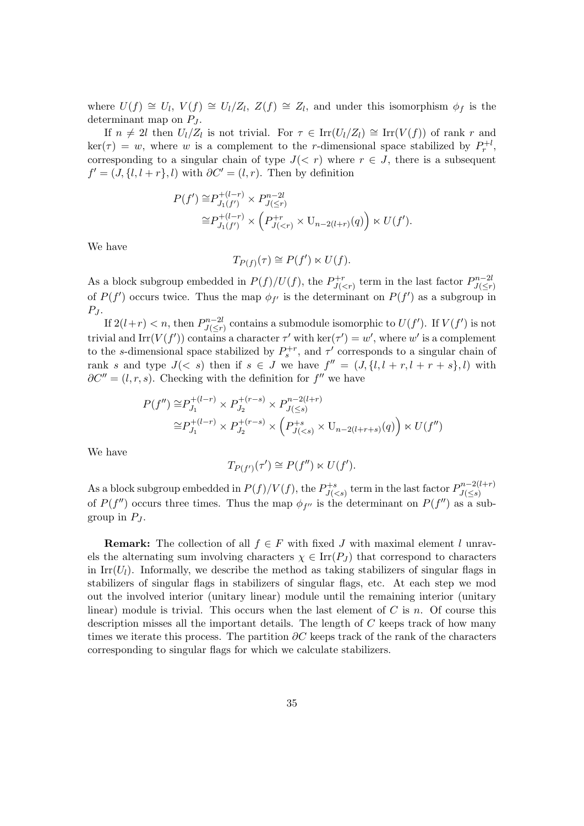where  $U(f) \cong U_l$ ,  $V(f) \cong U_l/Z_l$ ,  $Z(f) \cong Z_l$ , and under this isomorphism  $\phi_f$  is the determinant map on  $P_J$ .

If  $n \neq 2l$  then  $U_l/Z_l$  is not trivial. For  $\tau \in \text{Irr}(U_l/Z_l) \cong \text{Irr}(V(f))$  of rank r and  $\ker(\tau) = w$ , where w is a complement to the r-dimensional space stabilized by  $P_r^{\{+l\}}$ , corresponding to a singular chain of type  $J(< r)$  where  $r \in J$ , there is a subsequent  $f' = (J, \{l, l + r\}, l)$  with  $\partial C' = (l, r)$ . Then by definition

$$
P(f') \cong P_{J_1(f')}^{+(l-r)} \times P_{J(\leq r)}^{n-2l}
$$
  
\n
$$
\cong P_{J_1(f')}^{+(l-r)} \times \left( P_{J(
$$

We have

$$
T_{P(f)}(\tau) \cong P(f') \ltimes U(f).
$$

As a block subgroup embedded in  $P(f)/U(f)$ , the  $P_{U}^{+r}$  $D_{J( term in the last factor  $P_{J($$  $J(\leq r)$ of  $P(f')$  occurs twice. Thus the map  $\phi_{f'}$  is the determinant on  $P(f')$  as a subgroup in  $P_J$ .

If  $2(l+r) < n$ , then  $P_{l\leq r}^{n-2l}$  $U(f')$ . If  $V(f')$  is not  $U(f')$ . If  $V(f')$  is not trivial and Irr( $V(f')$ ) contains a character  $\tau'$  with  $\ker(\tau') = w'$ , where w' is a complement to the s-dimensional space stabilized by  $P_s^{+r}$ , and  $\tau'$  corresponds to a singular chain of rank s and type  $J(< s)$  then if  $s \in J$  we have  $f'' = (J, \{l, l + r, l + r + s\}, l)$  with  $\partial C'' = (l, r, s)$ . Checking with the definition for  $f''$  we have

$$
P(f'') \cong P_{J_1}^{+(l-r)} \times P_{J_2}^{+(r-s)} \times P_{J(\leq s)}^{n-2(l+r)}
$$
  

$$
\cong P_{J_1}^{+(l-r)} \times P_{J_2}^{+(r-s)} \times \left( P_{J(
$$

We have

$$
T_{P(f')}(\tau') \cong P(f'') \ltimes U(f').
$$

As a block subgroup embedded in  $P(f)/V(f)$ , the  $P_{U}^{+s}$  $D_{J( term in the last factor  $P_{J($$  $J(\leq s)$ of  $P(f'')$  occurs three times. Thus the map  $\phi_{f''}$  is the determinant on  $P(f'')$  as a subgroup in  $P_J$ .

**Remark:** The collection of all  $f \in F$  with fixed J with maximal element l unravels the alternating sum involving characters  $\chi \in \text{Irr}(P_I)$  that correspond to characters in Irr( $U_l$ ). Informally, we describe the method as taking stabilizers of singular flags in stabilizers of singular flags in stabilizers of singular flags, etc. At each step we mod out the involved interior (unitary linear) module until the remaining interior (unitary linear) module is trivial. This occurs when the last element of  $C$  is  $n$ . Of course this description misses all the important details. The length of C keeps track of how many times we iterate this process. The partition  $\partial C$  keeps track of the rank of the characters corresponding to singular flags for which we calculate stabilizers.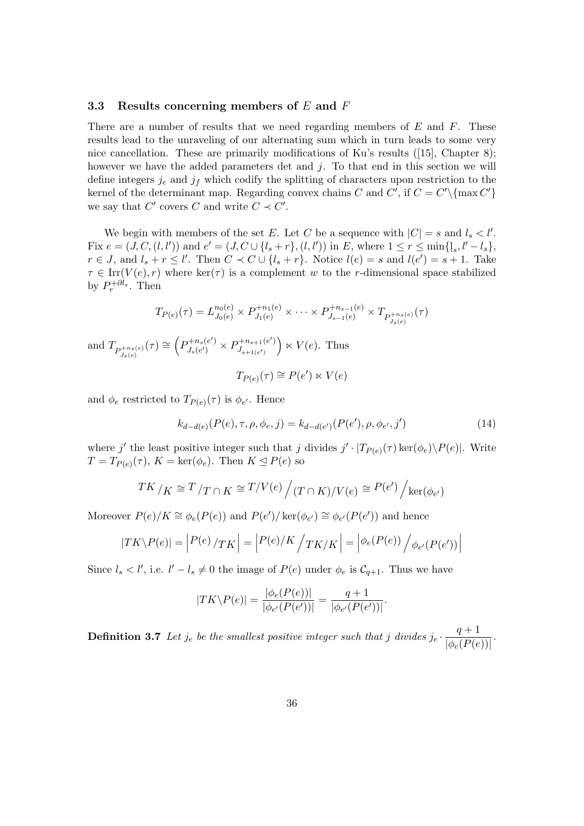#### 3.3 Results concerning members of  $E$  and  $F$

There are a number of results that we need regarding members of  $E$  and  $F$ . These results lead to the unraveling of our alternating sum which in turn leads to some very nice cancellation. These are primarily modifications of Ku's results ([15], Chapter 8); however we have the added parameters det and j. To that end in this section we will define integers  $j_e$  and  $j_f$  which codify the splitting of characters upon restriction to the kernel of the determinant map. Regarding convex chains C and C', if  $C = C' \setminus {\max C'}$ we say that  $C'$  covers C and write  $C \prec C'$ .

We begin with members of the set E. Let C be a sequence with  $|C| = s$  and  $l_s < l'$ . Fix  $e = (J, C, (l, l'))$  and  $e' = (J, C \cup \{l_s + r\}, (l, l'))$  in E, where  $1 \le r \le \min\{l_s, l' - l_s\}$ ,  $r \in J$ , and  $l_s + r \leq l'$ . Then  $C \prec C \cup \{l_s + r\}$ . Notice  $l(e) = s$  and  $l(e') = s + 1$ . Take  $\tau \in \text{Irr}(V(e), r)$  where ker( $\tau$ ) is a complement w to the r-dimensional space stabilized by  $P_r^{+{\partial l_s}}$ . Then

$$
T_{P(e)}(\tau) = L_{J_0(e)}^{n_0(e)} \times P_{J_1(e)}^{+n_1(e)} \times \cdots \times P_{J_{s-1}(e)}^{+n_{s-1}(e)} \times T_{P_{J_s(e)}^{+n_s(e)}}(\tau)
$$

and  $T_{P_{J_s(e)}^{+n_s(e)}}(\tau) \cong \left(P_{J_s(e')}^{+n_s(e')}\right)$  $D_{J_s(e')}^{+n_s(e')} \times P_{J_{s+1}(e')}^{+n_{s+1}(e')}$  $J_{s+1(e')}$  $\big) \ltimes V(e)$ . Thus

$$
T_{P(e)}(\tau) \cong P(e') \ltimes V(e)
$$

and  $\phi_e$  restricted to  $T_{P(e)}(\tau)$  is  $\phi_{e'}$ . Hence

$$
k_{d-d(e)}(P(e), \tau, \rho, \phi_e, j) = k_{d-d(e')} (P(e'), \rho, \phi_{e'}, j')
$$
\n(14)

where j' the least positive integer such that j divides  $j' \cdot |T_{P(e)}(\tau) \ker(\phi_e) \backslash P(e)|$ . Write  $T = T_{P(e)}(\tau)$ ,  $K = \text{ker}(\phi_e)$ . Then  $K \le P(e)$  so

$$
TK / K \cong T / T \cap K \cong T / V(e) / (T \cap K) / V(e) \cong P(e') / \ker(\phi_{e'})
$$

Moreover  $P(e)/K \cong \phi_e(P(e))$  and  $P(e')/\ker(\phi_{e'}) \cong \phi_{e'}(P(e'))$  and hence

$$
|TK\backslash P(e)| = |P(e)/TK| = |P(e)/K|/TK/K| = |\phi_e(P(e))|/\phi_{e'}(P(e'))|
$$

Since  $l_s < l'$ , i.e.  $l' - l_s \neq 0$  the image of  $P(e)$  under  $\phi_e$  is  $C_{q+1}$ . Thus we have

$$
|TK\backslash P(e)| = \frac{|\phi_e(P(e))|}{|\phi_{e'}(P(e'))|} = \frac{q+1}{|\phi_{e'}(P(e'))|}.
$$

**Definition 3.7** Let  $j_e$  be the smallest positive integer such that j divides  $j_e \cdot \frac{q+1}{1+(D\zeta)}$  $\frac{q+1}{|\phi_e(P(e))|}$ .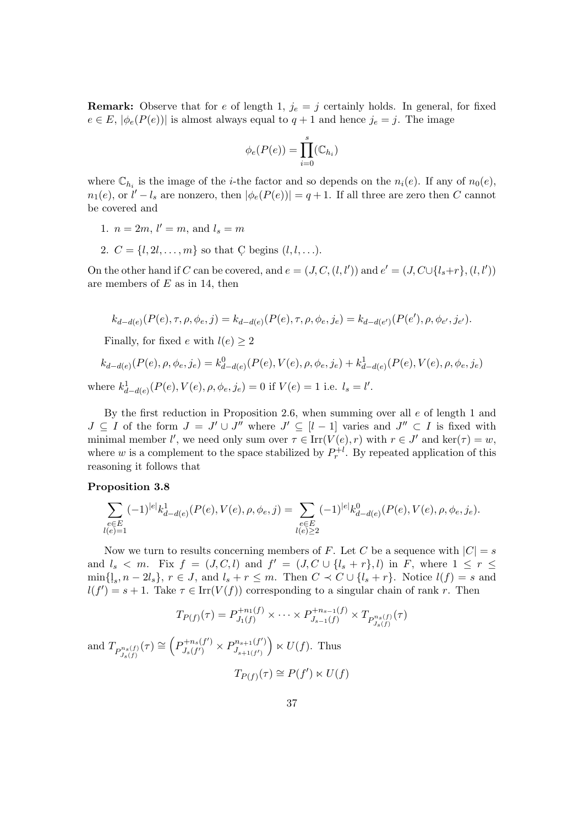**Remark:** Observe that for e of length 1,  $j_e = j$  certainly holds. In general, for fixed  $e \in E$ ,  $|\phi_e(P(e))|$  is almost always equal to  $q+1$  and hence  $j_e = j$ . The image

$$
\phi_e(P(e)) = \prod_{i=0}^s (\mathbb{C}_{h_i})
$$

where  $\mathbb{C}_{h_i}$  is the image of the *i*-the factor and so depends on the  $n_i(e)$ . If any of  $n_0(e)$ ,  $n_1(e)$ , or  $l'-l_s$  are nonzero, then  $|\phi_e(P(e))|=q+1$ . If all three are zero then C cannot be covered and

- 1.  $n = 2m, l' = m$ , and  $l_s = m$
- 2.  $C = \{l, 2l, ..., m\}$  so that C begins  $(l, l, ...).$

On the other hand if C can be covered, and  $e = (J, C, (l, l'))$  and  $e' = (J, C \cup \{l_s + r\}, (l, l'))$ are members of  $E$  as in 14, then

$$
k_{d-d(e)}(P(e), \tau, \rho, \phi_e, j) = k_{d-d(e)}(P(e), \tau, \rho, \phi_e, j_e) = k_{d-d(e')}(P(e'), \rho, \phi_{e'}, j_{e'}).
$$

Finally, for fixed e with  $l(e) \geq 2$ 

$$
k_{d-d(e)}(P(e), \rho, \phi_e, j_e) = k_{d-d(e)}^0(P(e), V(e), \rho, \phi_e, j_e) + k_{d-d(e)}^1(P(e), V(e), \rho, \phi_e, j_e)
$$
  
where 
$$
k_{d-d(e)}^1(P(e), V(e), \rho, \phi_e, j_e) = 0
$$
 if  $V(e) = 1$  i.e.  $l_s = l'$ .

By the first reduction in Proposition 2.6, when summing over all  $e$  of length 1 and  $J \subseteq I$  of the form  $J = J' \cup J''$  where  $J' \subseteq [l-1]$  varies and  $J'' \subset I$  is fixed with minimal member l', we need only sum over  $\tau \in \text{Irr}(V(e), r)$  with  $r \in J'$  and  $\text{ker}(\tau) = w$ , where w is a complement to the space stabilized by  $P_r^{+l}$ . By repeated application of this reasoning it follows that

#### Proposition 3.8

$$
\sum_{\substack{e\in E\\l(e)=1}}(-1)^{|e|}k_{d-d(e)}^1(P(e),V(e),\rho,\phi_e,j)=\sum_{\substack{e\in E\\l(e)\geq 2}}(-1)^{|e|}k_{d-d(e)}^0(P(e),V(e),\rho,\phi_e,j_e).
$$

Now we turn to results concerning members of F. Let C be a sequence with  $|C| = s$ and  $l_s < m$ . Fix  $f = (J, C, l)$  and  $f' = (J, C \cup \{l_s + r\}, l)$  in F, where  $1 \leq r \leq$  $\min\{l_s, n-2l_s\}, r \in J$ , and  $l_s + r \leq m$ . Then  $C \prec C \cup \{l_s + r\}$ . Notice  $l(f) = s$  and  $l(f') = s + 1$ . Take  $\tau \in \text{Irr}(V(f))$  corresponding to a singular chain of rank r. Then

$$
T_{P(f)}(\tau) = P_{J_1(f)}^{+n_1(f)} \times \cdots \times P_{J_{s-1}(f)}^{+n_{s-1}(f)} \times T_{P_{J_s(f)}^{n_s(f)}}(\tau)
$$
  
and 
$$
T_{P_{J_s(f)}^{n_s(f)}}(\tau) \cong \left(P_{J_s(f')}^{+n_s(f')} \times P_{J_{s+1}(f')}^{n_{s+1}(f')}\right) \ltimes U(f).
$$
 Thus

$$
T_{P(f)}(\tau) \cong P(f') \ltimes U(f)
$$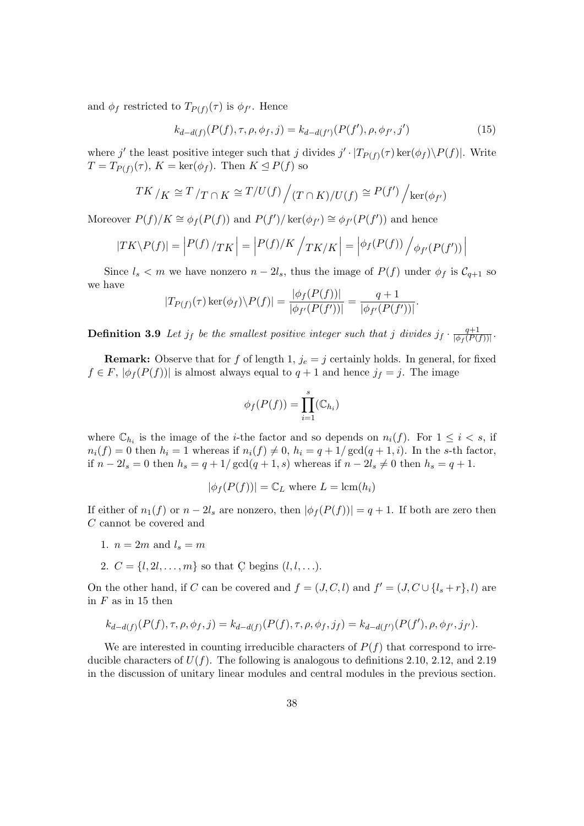and  $\phi_f$  restricted to  $T_{P(f)}(\tau)$  is  $\phi_{f'}$ . Hence

$$
k_{d-d(f)}(P(f), \tau, \rho, \phi_f, j) = k_{d-d(f')}(P(f'), \rho, \phi_{f'}, j')
$$
\n(15)

where j' the least positive integer such that j divides  $j' \cdot |T_{P(f)}(\tau) \ker(\phi_f) \backslash P(f)|$ . Write  $T = T_{P(f)}(\tau)$ ,  $K = \ker(\phi_f)$ . Then  $K \le P(f)$  so

$$
TK / K \cong T / T \cap K \cong T / U(f) / (T \cap K) / U(f) \cong P(f') / \ker(\phi_{f'})
$$

Moreover  $P(f)/K \cong \phi_f(P(f))$  and  $P(f')/\ker(\phi_{f'}) \cong \phi_{f'}(P(f'))$  and hence

$$
|TK\backslash P(f)| = |P(f)/TK| = |P(f)/K| /TK/K| = |\phi_f(P(f)) / \phi_{f'}(P(f'))|
$$

Since  $l_s < m$  we have nonzero  $n - 2l_s$ , thus the image of  $P(f)$  under  $\phi_f$  is  $C_{q+1}$  so we have  $\vert + \langle \mathbf{p}(f) \rangle \vert$ 

$$
|T_{P(f)}(\tau)\ker(\phi_f)\backslash P(f)| = \frac{|\phi_f(P(f))|}{|\phi_{f'}(P(f'))|} = \frac{q+1}{|\phi_{f'}(P(f'))|}.
$$

**Definition 3.9** Let  $j_f$  be the smallest positive integer such that j divides  $j_f \cdot \frac{q+1}{|\phi_f(P)|}$  $\frac{q+1}{\left|\phi_f(P(f))\right|}$ .

**Remark:** Observe that for f of length 1,  $j_e = j$  certainly holds. In general, for fixed  $f \in F$ ,  $|\phi_f(P(f))|$  is almost always equal to  $q+1$  and hence  $j_f = j$ . The image

$$
\phi_f(P(f)) = \prod_{i=1}^s (\mathbb{C}_{h_i})
$$

where  $\mathbb{C}_{h_i}$  is the image of the *i*-the factor and so depends on  $n_i(f)$ . For  $1 \leq i < s$ , if  $n_i(f) = 0$  then  $h_i = 1$  whereas if  $n_i(f) \neq 0$ ,  $h_i = q + 1/\gcd(q + 1, i)$ . In the s-th factor, if  $n - 2l_s = 0$  then  $h_s = q + 1/\gcd(q + 1, s)$  whereas if  $n - 2l_s \neq 0$  then  $h_s = q + 1$ .

$$
|\phi_f(P(f))| = \mathbb{C}_L
$$
 where  $L = \text{lcm}(h_i)$ 

If either of  $n_1(f)$  or  $n-2l_s$  are nonzero, then  $|\phi_f(P(f))|=q+1$ . If both are zero then C cannot be covered and

- 1.  $n = 2m$  and  $l_s = m$
- 2.  $C = \{l, 2l, ..., m\}$  so that C begins  $(l, l, ...).$

On the other hand, if C can be covered and  $f = (J, C, l)$  and  $f' = (J, C \cup \{l_s + r\}, l)$  are in  $F$  as in 15 then

$$
k_{d-d(f)}(P(f), \tau, \rho, \phi_f, j) = k_{d-d(f)}(P(f), \tau, \rho, \phi_f, j_f) = k_{d-d(f')}(P(f'), \rho, \phi_{f'}, j_{f'}).
$$

We are interested in counting irreducible characters of  $P(f)$  that correspond to irreducible characters of  $U(f)$ . The following is analogous to definitions 2.10, 2.12, and 2.19 in the discussion of unitary linear modules and central modules in the previous section.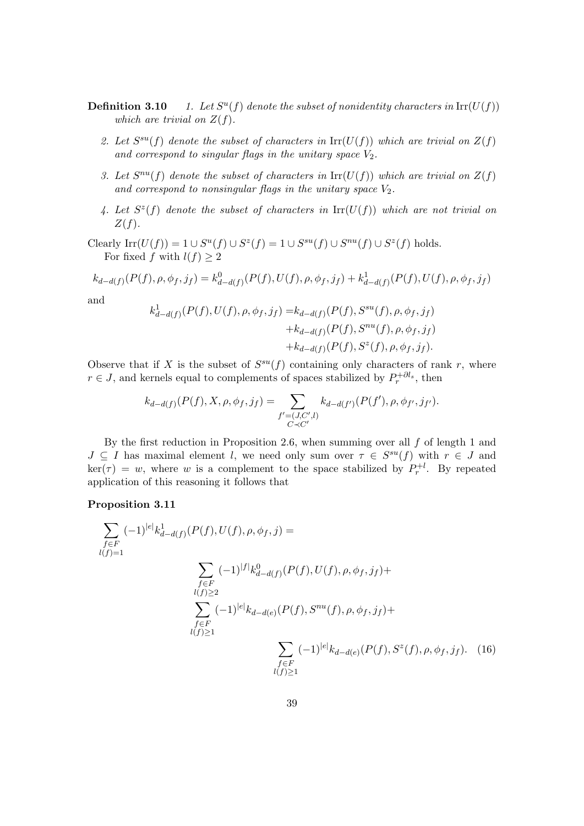- Definition 3.10  $u(f)$  denote the subset of nonidentity characters in  $\text{Irr}(U(f))$ which are trivial on  $Z(f)$ .
	- 2. Let  $S^{su}(f)$  denote the subset of characters in  $\text{Irr}(U(f))$  which are trivial on  $Z(f)$ and correspond to singular flags in the unitary space  $V_2$ .
	- 3. Let  $S^{nu}(f)$  denote the subset of characters in  $\text{Irr}(U(f))$  which are trivial on  $Z(f)$ and correspond to nonsingular flags in the unitary space  $V_2$ .
	- 4. Let  $S^{z}(f)$  denote the subset of characters in  $\mathrm{Irr}(U(f))$  which are not trivial on  $Z(f)$ .

Clearly  $\text{Irr}(U(f)) = 1 \cup S^u(f) \cup S^z(f) = 1 \cup S^{su}(f) \cup S^{nu}(f) \cup S^z(f)$  holds. For fixed f with  $l(f) \geq 2$ 

$$
k_{d-d(f)}(P(f), \rho, \phi_f, j_f) = k_{d-d(f)}^0(P(f), U(f), \rho, \phi_f, j_f) + k_{d-d(f)}^1(P(f), U(f), \rho, \phi_f, j_f)
$$

and

$$
k_{d-d(f)}^1(P(f), U(f), \rho, \phi_f, j_f) = k_{d-d(f)}(P(f), S^{su}(f), \rho, \phi_f, j_f) + k_{d-d(f)}(P(f), S^{nu}(f), \rho, \phi_f, j_f) + k_{d-d(f)}(P(f), S^z(f), \rho, \phi_f, j_f).
$$

Observe that if X is the subset of  $S^{su}(f)$  containing only characters of rank r, where  $r \in J$ , and kernels equal to complements of spaces stabilized by  $P_r^{+}\partial l_s$ , then

$$
k_{d-d(f)}(P(f), X, \rho, \phi_f, j_f) = \sum_{\substack{f' = (J, C', l) \\ C \prec C'}} k_{d-d(f')}(P(f'), \rho, \phi_{f'}, j_{f'}).
$$

By the first reduction in Proposition 2.6, when summing over all  $f$  of length 1 and  $J \subseteq I$  has maximal element l, we need only sum over  $\tau \in S^{su}(f)$  with  $r \in J$  and  $\ker(\tau) = w$ , where w is a complement to the space stabilized by  $P_r^{\dagger l}$ . By repeated application of this reasoning it follows that

#### Proposition 3.11

$$
\sum_{\substack{f \in F \\ l(f)=1}} (-1)^{|e|} k_{d-d(f)}^1(P(f), U(f), \rho, \phi_f, j) =
$$
\n
$$
\sum_{\substack{f \in F \\ l(f) \ge 2}} (-1)^{|f|} k_{d-d(f)}^0(P(f), U(f), \rho, \phi_f, j_f) +
$$
\n
$$
\sum_{\substack{f \in F \\ l(f) \ge 1}} (-1)^{|e|} k_{d-d(e)}(P(f), S^{nu}(f), \rho, \phi_f, j_f) +
$$
\n
$$
\sum_{\substack{f \in F \\ l(f) \ge 1}} (-1)^{|e|} k_{d-d(e)}(P(f), S^z(f), \rho, \phi_f, j_f). \quad (16)
$$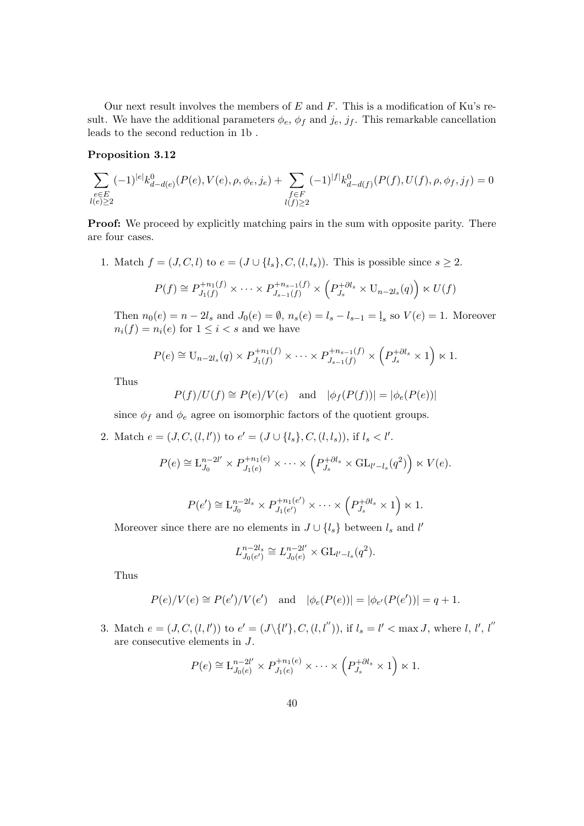Our next result involves the members of  $E$  and  $F$ . This is a modification of Ku's result. We have the additional parameters  $\phi_e$ ,  $\phi_f$  and  $j_e$ ,  $j_f$ . This remarkable cancellation leads to the second reduction in 1b .

#### Proposition 3.12

$$
\sum_{\substack{e \in E \\ l(e) \geq 2}} (-1)^{|e|} k_{d-d(e)}^0(P(e),V(e),\rho,\phi_e,j_e) + \sum_{\substack{f \in F \\ l(f) \geq 2}} (-1)^{|f|} k_{d-d(f)}^0(P(f),U(f),\rho,\phi_f,j_f) = 0
$$

**Proof:** We proceed by explicitly matching pairs in the sum with opposite parity. There are four cases.

1. Match  $f = (J, C, l)$  to  $e = (J \cup \{l_s\}, C, (l, l_s))$ . This is possible since  $s \geq 2$ .

$$
P(f) \cong P_{J_1(f)}^{+n_1(f)} \times \cdots \times P_{J_{s-1}(f)}^{+n_{s-1}(f)} \times \left(P_{J_s}^{+{\partial l_s}} \times U_{n-2l_s}(q)\right) \times U(f)
$$

Then  $n_0(e) = n - 2l_s$  and  $J_0(e) = \emptyset$ ,  $n_s(e) = l_s - l_{s-1} = l_s$  so  $V(e) = 1$ . Moreover  $n_i(f) = n_i(e)$  for  $1 \leq i < s$  and we have

$$
P(e) \cong U_{n-2l_s}(q) \times P_{J_1(f)}^{+n_1(f)} \times \cdots \times P_{J_{s-1}(f)}^{+n_{s-1}(f)} \times \left(P_{J_s}^{+\partial l_s} \times 1\right) \times 1.
$$

Thus

$$
P(f)/U(f) \cong P(e)/V(e)
$$
 and  $|\phi_f(P(f))| = |\phi_e(P(e))|$ 

since  $\phi_f$  and  $\phi_e$  agree on isomorphic factors of the quotient groups.

2. Match  $e = (J, C, (l, l'))$  to  $e' = (J \cup \{l_s\}, C, (l, l_s)),$  if  $l_s < l'.$ 

$$
P(e) \cong \mathcal{L}_{J_0}^{n-2l'} \times P_{J_1(e)}^{+n_1(e)} \times \cdots \times \left( P_{J_s}^{+ \partial l_s} \times \mathrm{GL}_{l'-l_s}(q^2) \right) \ltimes V(e).
$$

$$
P(e') \cong \mathcal{L}_{J_0}^{n-2l_s} \times P_{J_1(e')}^{+n_1(e')} \times \cdots \times \left(P_{J_s}^{+\partial l_s} \times 1\right) \ltimes 1.
$$

Moreover since there are no elements in  $J \cup \{l_s\}$  between  $l_s$  and l'

$$
L_{J_0(e')}^{n-2l_s} \cong L_{J_0(e)}^{n-2l'} \times GL_{l'-l_s}(q^2).
$$

Thus

$$
P(e)/V(e) \cong P(e')/V(e')
$$
 and  $|\phi_e(P(e))| = |\phi_{e'}(P(e'))| = q + 1$ .

3. Match  $e = (J, C, (l, l'))$  to  $e' = (J \setminus \{l'\}, C, (l, l''))$ , if  $l_s = l' < \max J$ , where l, l', l' are consecutive elements in J.

$$
P(e) \cong \mathcal{L}_{J_0(e)}^{n-2l'} \times P_{J_1(e)}^{+n_1(e)} \times \cdots \times \left(P_{J_s}^{+\partial l_s} \times 1\right) \ltimes 1.
$$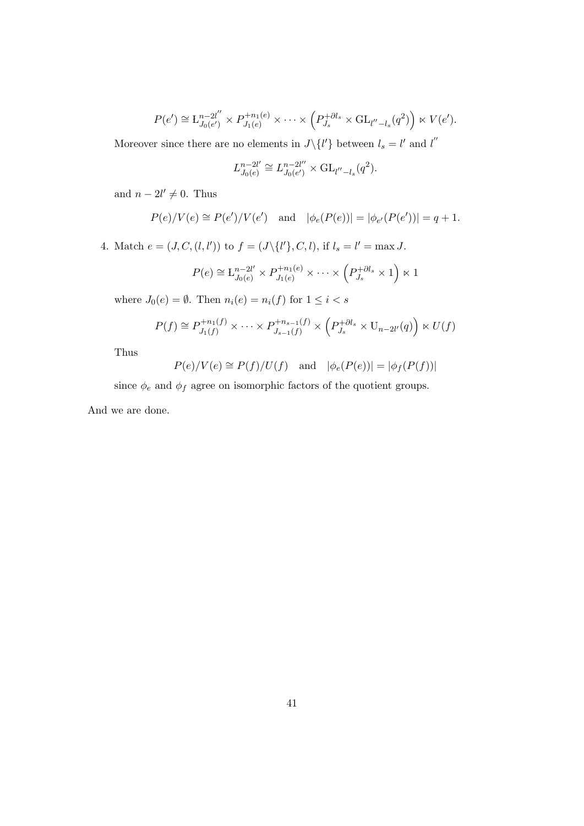$$
P(e') \cong L_{J_0(e')}^{n-2l''} \times P_{J_1(e)}^{+n_1(e)} \times \cdots \times \left( P_{J_s}^{+ \partial l_s} \times GL_{l''-l_s}(q^2) \right) \ltimes V(e').
$$

Moreover since there are no elements in  $J\setminus\{l'\}$  between  $l_s = l'$  and  $l''$ 

$$
L_{J_0(e)}^{n-2l'} \cong L_{J_0(e')}^{n-2l''} \times \mathrm{GL}_{l''-l_s}(q^2).
$$

and  $n - 2l' \neq 0$ . Thus

$$
P(e)/V(e) \cong P(e')/V(e')
$$
 and  $|\phi_e(P(e))| = |\phi_{e'}(P(e'))| = q + 1.$ 

4. Match  $e = (J, C, (l, l'))$  to  $f = (J \setminus \{l'\}, C, l)$ , if  $l_s = l' = \max J$ .

$$
P(e) \cong \mathcal{L}_{J_0(e)}^{n-2l'} \times P_{J_1(e)}^{+n_1(e)} \times \cdots \times \left(P_{J_s}^{+{\partial l_s}} \times 1\right) \ltimes 1
$$

where  $J_0(e) = \emptyset$ . Then  $n_i(e) = n_i(f)$  for  $1 \leq i < s$ 

$$
P(f) \cong P_{J_1(f)}^{+n_1(f)} \times \cdots \times P_{J_{s-1}(f)}^{+n_{s-1}(f)} \times \left( P_{J_s}^{+{\partial l_s}} \times U_{n-2l'}(q) \right) \times U(f)
$$

Thus

$$
P(e)/V(e) \cong P(f)/U(f)
$$
 and  $|\phi_e(P(e))| = |\phi_f(P(f))|$ 

since  $\phi_e$  and  $\phi_f$  agree on isomorphic factors of the quotient groups.

And we are done.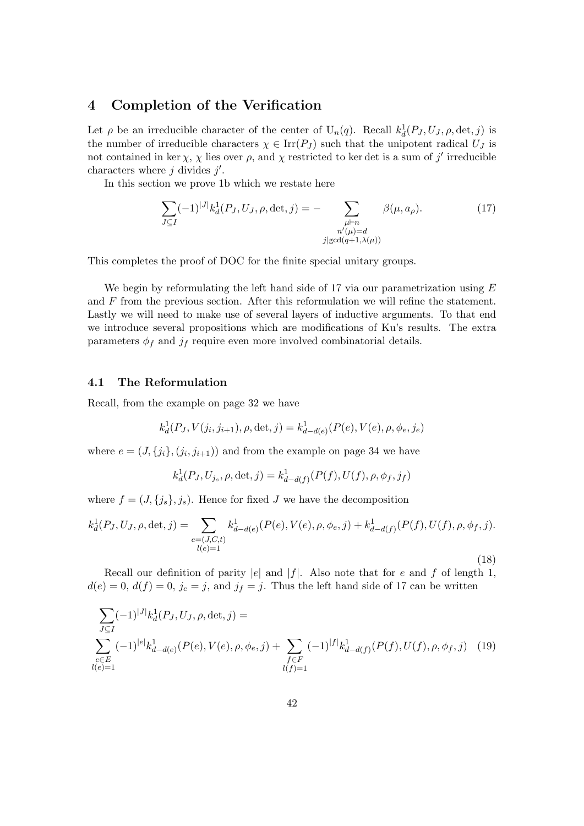# 4 Completion of the Verification

Let  $\rho$  be an irreducible character of the center of  $U_n(q)$ . Recall  $k_d^1(P_J, U_J, \rho, \det, j)$  is the number of irreducible characters  $\chi \in \text{Irr}(P_J)$  such that the unipotent radical  $U_J$  is not contained in ker  $\chi$ ,  $\chi$  lies over  $\rho$ , and  $\chi$  restricted to ker det is a sum of j' irreducible characters where  $j$  divides  $j'$ .

In this section we prove 1b which we restate here

$$
\sum_{J \subseteq I} (-1)^{|J|} k_d^1(P_J, U_J, \rho, \det, j) = - \sum_{\substack{\mu \vdash n \\ n'(\mu) = d \\ j | \gcd(q+1, \lambda(\mu))}} \beta(\mu, a_\rho). \tag{17}
$$

This completes the proof of DOC for the finite special unitary groups.

We begin by reformulating the left hand side of 17 via our parametrization using  $E$ and F from the previous section. After this reformulation we will refine the statement. Lastly we will need to make use of several layers of inductive arguments. To that end we introduce several propositions which are modifications of Ku's results. The extra parameters  $\phi_f$  and  $j_f$  require even more involved combinatorial details.

#### 4.1 The Reformulation

Recall, from the example on page 32 we have

$$
k_d^1(P_J, V(j_i, j_{i+1}), \rho, \det, j) = k_{d-d(e)}^1(P(e), V(e), \rho, \phi_e, j_e)
$$

where  $e = (J, \{j_i\}, (j_i, j_{i+1}))$  and from the example on page 34 we have

$$
k_d^1(P_J, U_{j_s}, \rho, \det, j) = k_{d-d(f)}^1(P(f), U(f), \rho, \phi_f, j_f)
$$

where  $f = (J, \{j_s\}, j_s)$ . Hence for fixed J we have the decomposition

$$
k_d^1(P_J, U_J, \rho, \det, j) = \sum_{\substack{e = (J, C, t) \\ l(e) = 1}} k_{d - d(e)}^1(P(e), V(e), \rho, \phi_e, j) + k_{d - d(f)}^1(P(f), U(f), \rho, \phi_f, j).
$$

Recall our definition of parity  $|e|$  and  $|f|$ . Also note that for e and f of length 1,  $d(e) = 0, d(f) = 0, j_e = j$ , and  $j_f = j$ . Thus the left hand side of 17 can be written

(18)

$$
\sum_{J \subseteq I} (-1)^{|J|} k_d^1(P_J, U_J, \rho, \det, j) =
$$
\n
$$
\sum_{\substack{e \in E \\ l(e) = 1}} (-1)^{|e|} k_{d-d(e)}^1(P(e), V(e), \rho, \phi_e, j) + \sum_{\substack{f \in F \\ l(f) = 1}} (-1)^{|f|} k_{d-d(f)}^1(P(f), U(f), \rho, \phi_f, j) \tag{19}
$$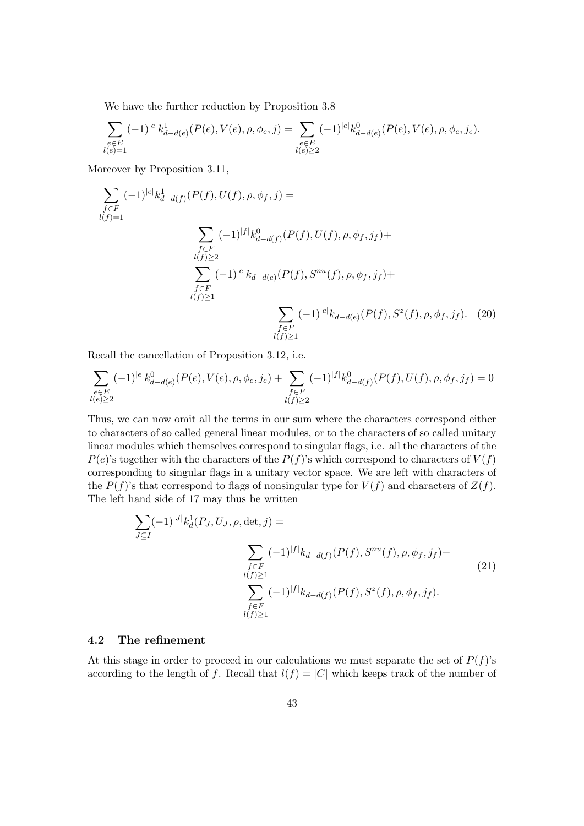We have the further reduction by Proposition 3.8

$$
\sum_{\substack{e \in E \\ l(e) = 1}} (-1)^{|e|} k_{d-d(e)}^1(P(e), V(e), \rho, \phi_e, j) = \sum_{\substack{e \in E \\ l(e) \ge 2}} (-1)^{|e|} k_{d-d(e)}^0(P(e), V(e), \rho, \phi_e, j_e).
$$

Moreover by Proposition 3.11,

$$
\sum_{\substack{f \in F \\ l(f)=1}} (-1)^{|e|} k_{d-d(f)}^1(P(f), U(f), \rho, \phi_f, j) =
$$
\n
$$
\sum_{\substack{f \in F \\ l(f) \ge 2}} (-1)^{|f|} k_{d-d(f)}^0(P(f), U(f), \rho, \phi_f, j_f) +
$$
\n
$$
\sum_{\substack{f \in F \\ l(f) \ge 1}} (-1)^{|e|} k_{d-d(e)}(P(f), S^{nu}(f), \rho, \phi_f, j_f) +
$$
\n
$$
\sum_{\substack{f \in F \\ l(f) \ge 1}} (-1)^{|e|} k_{d-d(e)}(P(f), S^z(f), \rho, \phi_f, j_f). \quad (20)
$$

Recall the cancellation of Proposition 3.12, i.e.

$$
\sum_{\substack{e \in E \\ l(e) \geq 2}} (-1)^{|e|} k_{d-d(e)}^0(P(e),V(e),\rho,\phi_e,j_e) + \sum_{\substack{f \in F \\ l(f) \geq 2}} (-1)^{|f|} k_{d-d(f)}^0(P(f),U(f),\rho,\phi_f,j_f) = 0
$$

Thus, we can now omit all the terms in our sum where the characters correspond either to characters of so called general linear modules, or to the characters of so called unitary linear modules which themselves correspond to singular flags, i.e. all the characters of the  $P(e)$ 's together with the characters of the  $P(f)$ 's which correspond to characters of  $V(f)$ corresponding to singular flags in a unitary vector space. We are left with characters of the  $P(f)$ 's that correspond to flags of nonsingular type for  $V(f)$  and characters of  $Z(f)$ . The left hand side of 17 may thus be written

$$
\sum_{J \subseteq I} (-1)^{|J|} k_d^1(P_J, U_J, \rho, \det, j) =
$$
\n
$$
\sum_{\substack{f \in F \\ l(f) \ge 1}} (-1)^{|f|} k_{d-d(f)}(P(f), S^{nu}(f), \rho, \phi_f, j_f) +
$$
\n
$$
\sum_{\substack{f \in F \\ l(f) \ge 1}} (-1)^{|f|} k_{d-d(f)}(P(f), S^z(f), \rho, \phi_f, j_f).
$$
\n(21)

# 4.2 The refinement

At this stage in order to proceed in our calculations we must separate the set of  $P(f)$ 's according to the length of f. Recall that  $l(f) = |C|$  which keeps track of the number of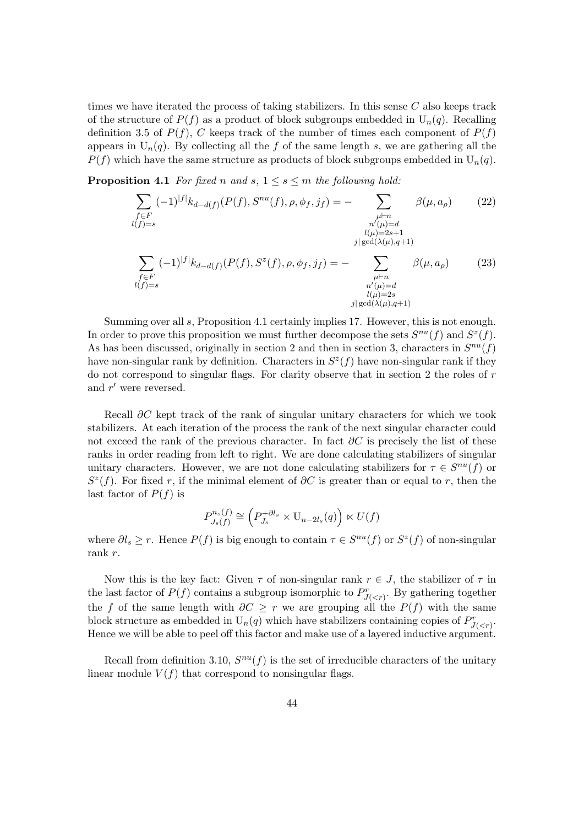times we have iterated the process of taking stabilizers. In this sense  $C$  also keeps track of the structure of  $P(f)$  as a product of block subgroups embedded in  $U_n(q)$ . Recalling definition 3.5 of  $P(f)$ , C keeps track of the number of times each component of  $P(f)$ appears in  $U_n(q)$ . By collecting all the f of the same length s, we are gathering all the  $P(f)$  which have the same structure as products of block subgroups embedded in  $U_n(q)$ .

**Proposition 4.1** For fixed n and s,  $1 \leq s \leq m$  the following hold:

$$
\sum_{\substack{f \in F \\ l(f)=s}} (-1)^{|f|} k_{d-d(f)}(P(f), S^{nu}(f), \rho, \phi_f, j_f) = - \sum_{\substack{\mu \vdash n \\ n'(\mu) = d \\ l(\mu) = 2s+1 \\ \text{ } j| \gcd(\lambda(\mu), q+1)}} \beta(\mu, a_{\rho}) \qquad (22)
$$
\n
$$
\sum_{\substack{f \in F \\ l(f)=s}} (-1)^{|f|} k_{d-d(f)}(P(f), S^z(f), \rho, \phi_f, j_f) = - \sum_{\substack{\mu \vdash n \\ n'(\mu) = d \\ n'(\mu) = d \\ l(\mu) = 2s \\ \text{ } j| \gcd(\lambda(\mu), q+1)}} \beta(\mu, a_{\rho}) \qquad (23)
$$

Summing over all s, Proposition 4.1 certainly implies 17. However, this is not enough. In order to prove this proposition we must further decompose the sets  $S^{nu}(f)$  and  $S^{z}(f)$ . As has been discussed, originally in section 2 and then in section 3, characters in  $S^{nu}(f)$ have non-singular rank by definition. Characters in  $S<sup>z</sup>(f)$  have non-singular rank if they do not correspond to singular flags. For clarity observe that in section 2 the roles of  $r$ and  $r'$  were reversed.

Recall  $\partial C$  kept track of the rank of singular unitary characters for which we took stabilizers. At each iteration of the process the rank of the next singular character could not exceed the rank of the previous character. In fact  $\partial C$  is precisely the list of these ranks in order reading from left to right. We are done calculating stabilizers of singular unitary characters. However, we are not done calculating stabilizers for  $\tau \in S^{nu}(f)$  or  $S^{z}(f)$ . For fixed r, if the minimal element of  $\partial C$  is greater than or equal to r, then the last factor of  $P(f)$  is

$$
P_{J_s(f)}^{n_s(f)} \cong \left(P_{J_s}^{+\partial l_s} \times \mathbf{U}_{n-2l_s}(q)\right) \ltimes U(f)
$$

where  $\partial l_s \geq r$ . Hence  $P(f)$  is big enough to contain  $\tau \in S^{nu}(f)$  or  $S^z(f)$  of non-singular rank r.

Now this is the key fact: Given  $\tau$  of non-singular rank  $r \in J$ , the stabilizer of  $\tau$  in the last factor of  $P(f)$  contains a subgroup isomorphic to  $P^r_{J(. By gathering together$ the f of the same length with  $\partial C \geq r$  we are grouping all the  $P(f)$  with the same block structure as embedded in  $U_n(q)$  which have stabilizers containing copies of  $P^r_{J(.$ Hence we will be able to peel off this factor and make use of a layered inductive argument.

Recall from definition 3.10,  $S^{nu}(f)$  is the set of irreducible characters of the unitary linear module  $V(f)$  that correspond to nonsingular flags.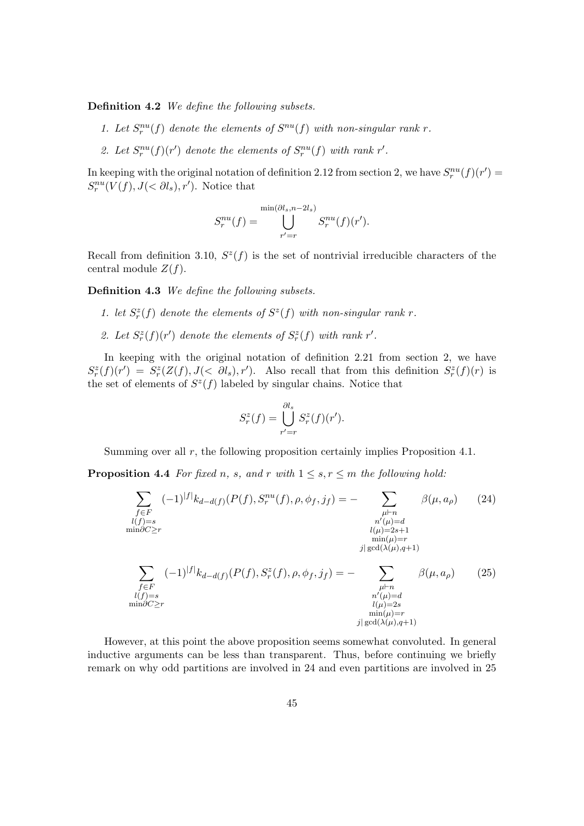Definition 4.2 We define the following subsets.

- 1. Let  $S_r^{nu}(f)$  denote the elements of  $S^{nu}(f)$  with non-singular rank r.
- 2. Let  $S_r^{nu}(f)(r')$  denote the elements of  $S_r^{nu}(f)$  with rank r'.

In keeping with the original notation of definition 2.12 from section 2, we have  $S_r^{nu}(f)(r') =$  $S_r^{nu}(V(f), J(<\partial l_s), r')$ . Notice that

$$
S_r^{nu}(f) = \bigcup_{r'=r}^{\min(\partial l_s, n-2l_s)} S_r^{nu}(f)(r').
$$

Recall from definition 3.10,  $S^{z}(f)$  is the set of nontrivial irreducible characters of the central module  $Z(f)$ .

Definition 4.3 We define the following subsets.

- 1. let  $S_r^z(f)$  denote the elements of  $S^z(f)$  with non-singular rank r.
- 2. Let  $S_r^z(f)(r')$  denote the elements of  $S_r^z(f)$  with rank r'.

In keeping with the original notation of definition 2.21 from section 2, we have  $S_r^z(f)(r') = S_r^z(Z(f), J(<\partial l_s), r')$ . Also recall that from this definition  $S_r^z(f)(r)$  is the set of elements of  $S^z(f)$  labeled by singular chains. Notice that

$$
S_r^z(f) = \bigcup_{r'=r}^{\partial l_s} S_r^z(f)(r').
$$

Summing over all r, the following proposition certainly implies Proposition 4.1.

**Proposition 4.4** For fixed n, s, and r with  $1 \leq s, r \leq m$  the following hold:

$$
\sum_{\substack{f \in F \\ l(f) = s \\ \min \partial C \ge r}} (-1)^{|f|} k_{d-d(f)}(P(f), S_r^{nu}(f), \rho, \phi_f, j_f) = - \sum_{\substack{\mu \vdash n \\ n'(p) = 2s + 1 \\ \min(\mu) = r \\ j | \gcd(\lambda(\mu), q + 1)}} \beta(\mu, a_\rho) \tag{24}
$$
\n
$$
\sum_{\substack{f \in F \\ f \in F \\ l(f) = s \\ l(f) = s \\ \min \partial C \ge r}} (-1)^{|f|} k_{d-d(f)}(P(f), S_r^{z}(f), \rho, \phi_f, j_f) = - \sum_{\substack{\mu \vdash n \\ \mu \vdash n \\ l(\mu) = d \\ l(\mu) = 2s \\ \min(\mu) = r \\ j | \gcd(\lambda(\mu), q + 1)}} \beta(\mu, a_\rho) \tag{25}
$$

However, at this point the above proposition seems somewhat convoluted. In general inductive arguments can be less than transparent. Thus, before continuing we briefly remark on why odd partitions are involved in 24 and even partitions are involved in 25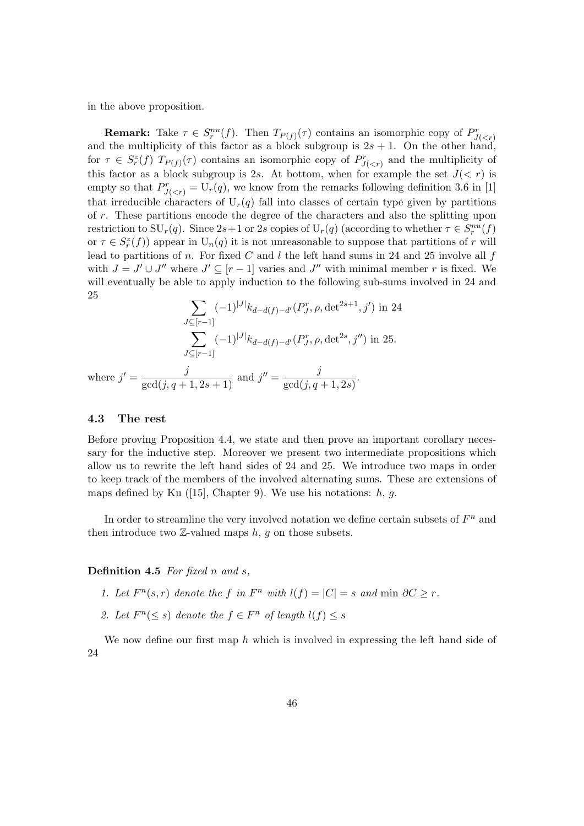in the above proposition.

**Remark:** Take  $\tau \in S_r^{nu}(f)$ . Then  $T_{P(f)}(\tau)$  contains an isomorphic copy of  $P_{J($ and the multiplicity of this factor as a block subgroup is  $2s + 1$ . On the other hand, for  $\tau \in S_r^z(f)$   $T_{P(f)}(\tau)$  contains an isomorphic copy of  $P_{J( and the multiplicity of$ this factor as a block subgroup is 2s. At bottom, when for example the set  $J(< r)$  is empty so that  $P^r_{J(, we know from the remarks following definition 3.6 in [1]$ that irreducible characters of  $U_r(q)$  fall into classes of certain type given by partitions of r. These partitions encode the degree of the characters and also the splitting upon restriction to  $\text{SU}_r(q)$ . Since  $2s+1$  or 2s copies of  $\text{U}_r(q)$  (according to whether  $\tau \in S_r^{nu}(f)$ or  $\tau \in S_r^z(f)$  appear in  $U_n(q)$  it is not unreasonable to suppose that partitions of r will lead to partitions of n. For fixed C and l the left hand sums in 24 and 25 involve all  $f$ with  $J = J' \cup J''$  where  $J' \subseteq [r-1]$  varies and  $J''$  with minimal member r is fixed. We will eventually be able to apply induction to the following sub-sums involved in 24 and 25

$$
\sum_{J \subseteq [r-1]} (-1)^{|J|} k_{d-d(f)-d'}(P_J^r, \rho, \det^{2s+1}, j') \text{ in } 24
$$

$$
\sum_{J \subseteq [r-1]} (-1)^{|J|} k_{d-d(f)-d'}(P_J^r, \rho, \det^{2s}, j'') \text{ in } 25.
$$

where  $j' = \frac{j}{\gcd(j, q+1, 2s+1)}$  and  $j'' = \frac{j}{\gcd(j, q+1)}$  $\frac{f}{\gcd(j,q+1,2s)}$ .

#### 4.3 The rest

Before proving Proposition 4.4, we state and then prove an important corollary necessary for the inductive step. Moreover we present two intermediate propositions which allow us to rewrite the left hand sides of 24 and 25. We introduce two maps in order to keep track of the members of the involved alternating sums. These are extensions of maps defined by Ku  $(15)$ , Chapter 9). We use his notations: h, g.

In order to streamline the very involved notation we define certain subsets of  $F<sup>n</sup>$  and then introduce two  $\mathbb{Z}\text{-valued maps } h, g \text{ on those subsets.}$ 

**Definition 4.5** For fixed n and s,

- 1. Let  $F^n(s,r)$  denote the f in  $F^n$  with  $l(f) = |C| = s$  and min  $\partial C \geq r$ .
- 2. Let  $F^n(\leq s)$  denote the  $f \in F^n$  of length  $l(f) \leq s$

We now define our first map  $h$  which is involved in expressing the left hand side of 24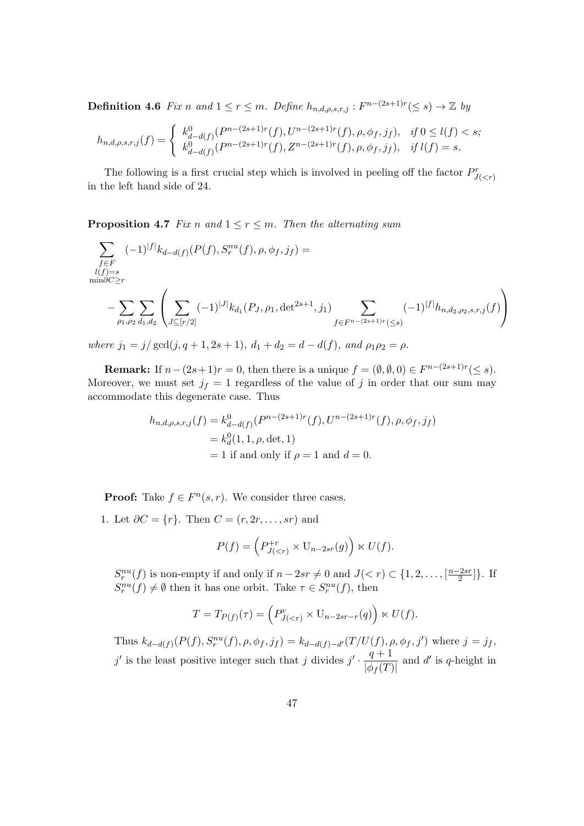**Definition 4.6** Fix n and  $1 \le r \le m$ . Define  $h_{n,d,\rho,s,r,j} : F^{n-(2s+1)r}(\le s) \to \mathbb{Z}$  by

$$
h_{n,d,\rho,s,r,j}(f) = \begin{cases} k_{d-d(f)}^0(P^{n-(2s+1)r}(f), U^{n-(2s+1)r}(f), \rho, \phi_f, j_f), & \text{if } 0 \le l(f) < s; \\ k_{d-d(f)}^0(P^{n-(2s+1)r}(f), Z^{n-(2s+1)r}(f), \rho, \phi_f, j_f), & \text{if } l(f) = s. \end{cases}
$$

The following is a first crucial step which is involved in peeling off the factor  $P_{J($ in the left hand side of 24.

**Proposition 4.7** Fix n and  $1 \le r \le m$ . Then the alternating sum

$$
\sum_{\substack{f \in F \\ l(f) = s \\ \min \partial C \ge r}} (-1)^{|f|} k_{d-d(f)}(P(f), S_r^{nu}(f), \rho, \phi_f, j_f) =
$$
\n
$$
-\sum_{\rho_1, \rho_2} \sum_{d_1, d_2} \left( \sum_{J \subseteq [r/2]} (-1)^{|J|} k_{d_1}(P_{J}, \rho_1, \det^{2s+1}, j_1) \sum_{f \in F^{n-(2s+1)r}(\le s)} (-1)^{|f|} h_{n,d_2, \rho_2, s, r, j}(f) \right)
$$

where  $j_1 = j/gcd(j, q + 1, 2s + 1), d_1 + d_2 = d - d(f),$  and  $\rho_1 \rho_2 = \rho$ .

**Remark:** If  $n - (2s + 1)r = 0$ , then there is a unique  $f = (\emptyset, \emptyset, 0) \in F^{n-(2s+1)r}(\leq s)$ . Moreover, we must set  $j_f = 1$  regardless of the value of j in order that our sum may accommodate this degenerate case. Thus

$$
h_{n,d,\rho,s,r,j}(f) = k_{d-d(f)}^0(P^{n-(2s+1)r}(f), U^{n-(2s+1)r}(f), \rho, \phi_f, j_f)
$$
  
=  $k_d^0(1, 1, \rho, \det, 1)$   
= 1 if and only if  $\rho = 1$  and  $d = 0$ .

**Proof:** Take  $f \in F^n(s, r)$ . We consider three cases.

1. Let  $\partial C = \{r\}$ . Then  $C = (r, 2r, \ldots, sr)$  and

$$
P(f) = \left(P_{J(
$$

 $S_r^{nu}(f)$  is non-empty if and only if  $n-2sr \neq 0$  and  $J(< r) \subset \{1, 2, ..., \lceil \frac{n-2sr}{2} \rceil \}$  $\frac{-2sr}{2}$ ] }. If  $S_r^{nu}(f) \neq \emptyset$  then it has one orbit. Take  $\tau \in S_r^{nu}(f)$ , then

$$
T = T_{P(f)}(\tau) = \left( P_{J(
$$

Thus  $k_{d-d(f)}(P(f), S_r^{nu}(f), \rho, \phi_f, j_f) = k_{d-d(f)-d'}(T/U(f), \rho, \phi_f, j')$  where  $j = j_f$ , j' is the least positive integer such that j divides  $j' \cdot \frac{q+1}{1-q}$  $\frac{q+1}{\left|\phi_f(T)\right|}$  and d' is q-height in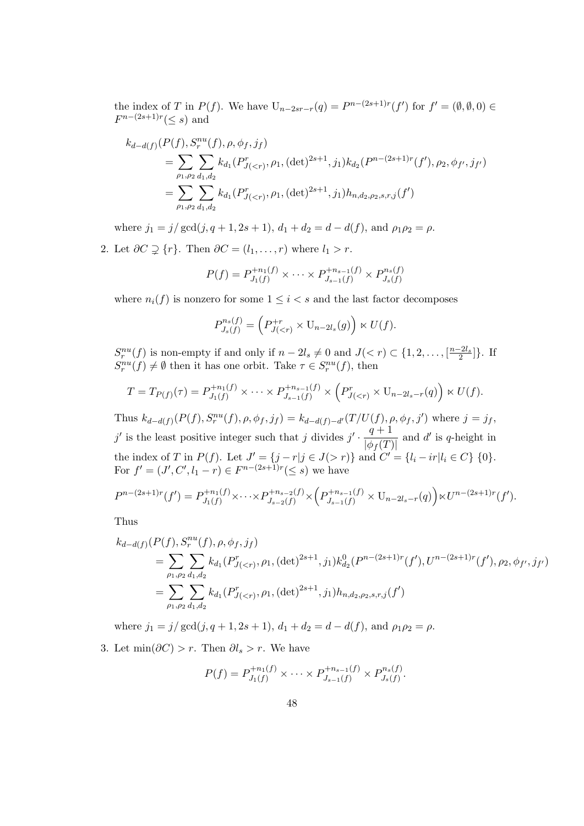the index of T in  $P(f)$ . We have  $U_{n-2sr-r}(q) = P^{n-(2s+1)r}(f')$  for  $f' = (\emptyset, \emptyset, 0) \in$  $F^{n-(2s+1)r}(\leq s)$  and

$$
k_{d-d(f)}(P(f), S_r^{nu}(f), \rho, \phi_f, j_f)
$$
  
= 
$$
\sum_{\rho_1, \rho_2} \sum_{d_1, d_2} k_{d_1}(P_{J(  
= 
$$
\sum_{\rho_1, \rho_2} \sum_{d_1, d_2} k_{d_1}(P_{J(
$$
$$

where  $j_1 = j/gcd(j, q + 1, 2s + 1), d_1 + d_2 = d - d(f)$ , and  $\rho_1 \rho_2 = \rho$ .

2. Let  $\partial C \supsetneq \{r\}$ . Then  $\partial C = (l_1, \ldots, r)$  where  $l_1 > r$ .

$$
P(f) = P_{J_1(f)}^{+n_1(f)} \times \cdots \times P_{J_{s-1}(f)}^{+n_{s-1}(f)} \times P_{J_s(f)}^{n_s(f)}
$$

where  $n_i(f)$  is nonzero for some  $1 \leq i < s$  and the last factor decomposes

$$
P_{J_s(f)}^{n_s(f)} = \left( P_{J(
$$

 $S_r^{nu}(f)$  is non-empty if and only if  $n-2l_s \neq 0$  and  $J(< r) \subset \{1, 2, \ldots, \lfloor \frac{n-2l_s}{2} \rfloor\}$ . If  $S_r^{nu}(f) \neq \emptyset$  then it has one orbit. Take  $\tau \in S_r^{nu}(f)$ , then

$$
T = T_{P(f)}(\tau) = P_{J_1(f)}^{+n_1(f)} \times \cdots \times P_{J_{s-1}(f)}^{+n_{s-1}(f)} \times \left( P_{J(
$$

Thus  $k_{d-d(f)}(P(f), S_r^{nu}(f), \rho, \phi_f, j_f) = k_{d-d(f)-d'}(T/U(f), \rho, \phi_f, j')$  where  $j = j_f$ , j' is the least positive integer such that j divides  $j' \cdot \frac{q+1}{1-q}$  $\frac{q+1}{\left|\phi_f(T)\right|}$  and d' is q-height in the index of T in  $P(f)$ . Let  $J' = \{j - r | j \in J(> r)\}\$  and  $C' = \{l_i - ir | l_i \in C\}\$  {0}. For  $f' = (J', C', l_1 - r) \in F^{n-(2s+1)r}(\leq s)$  we have

$$
P^{n-(2s+1)r}(f') = P_{J_1(f)}^{+n_1(f)} \times \cdots \times P_{J_{s-2}(f)}^{+n_{s-2}(f)} \times \left( P_{J_{s-1}(f)}^{+n_{s-1}(f)} \times U_{n-2l_s-r}(q) \right) \times U^{n-(2s+1)r}(f').
$$

Thus

$$
k_{d-d(f)}(P(f), S_r^{nu}(f), \rho, \phi_f, j_f)
$$
  
= 
$$
\sum_{\rho_1, \rho_2} \sum_{d_1, d_2} k_{d_1}(P_{J(  
= 
$$
\sum_{\rho_1, \rho_2} \sum_{d_1, d_2} k_{d_1}(P_{J(
$$
$$

where  $j_1 = j/gcd(j, q + 1, 2s + 1), d_1 + d_2 = d - d(f)$ , and  $\rho_1 \rho_2 = \rho$ .

3. Let  $\min(\partial C) > r$ . Then  $\partial l_s > r$ . We have

$$
P(f) = P_{J_1(f)}^{+n_1(f)} \times \cdots \times P_{J_{s-1}(f)}^{+n_{s-1}(f)} \times P_{J_s(f)}^{n_s(f)}.
$$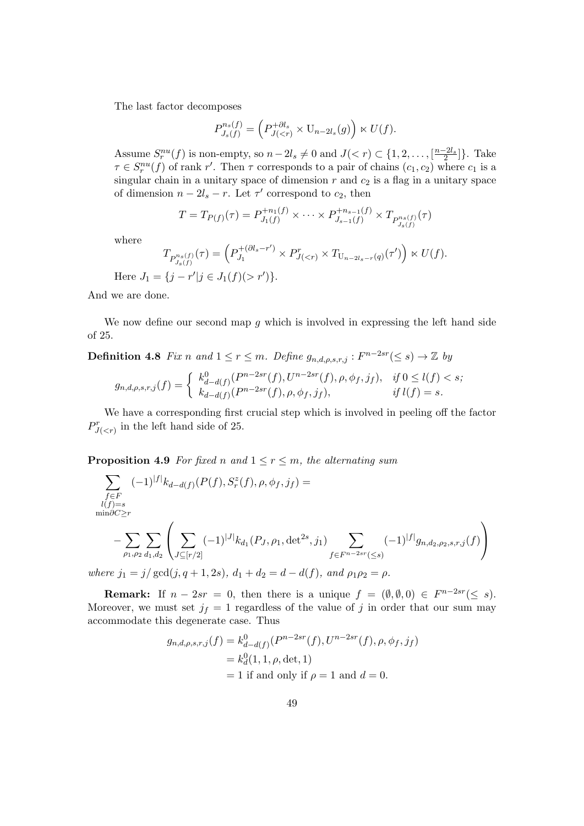The last factor decomposes

$$
P_{J_s(f)}^{n_s(f)} = \left( P_{J(
$$

Assume  $S_r^{nu}(f)$  is non-empty, so  $n-2l_s \neq 0$  and  $J(< r) \subset \{1, 2, ..., \lfloor \frac{n-2l_s}{2} \rfloor\}$ . Take  $\tau \in S_r^{nu}(f)$  of rank r'. Then  $\tau$  corresponds to a pair of chains  $(c_1, c_2)$  where  $c_1$  is a singular chain in a unitary space of dimension  $r$  and  $c_2$  is a flag in a unitary space of dimension  $n - 2l_s - r$ . Let  $\tau'$  correspond to  $c_2$ , then

$$
T = T_{P(f)}(\tau) = P_{J_1(f)}^{+n_1(f)} \times \cdots \times P_{J_{s-1}(f)}^{+n_{s-1}(f)} \times T_{P_{J_s(f)}^{n_s(f)}}(\tau)
$$

where

$$
T_{P_{J_s(f)}^{n_s(f)}}(\tau) = \left( P_{J_1}^{+(\partial l_s - r')} \times P_{J(
$$

Here  $J_1 = \{j - r'|j \in J_1(f)(> r')\}.$ 

And we are done.

We now define our second map  $g$  which is involved in expressing the left hand side of 25.

# **Definition 4.8** Fix n and  $1 \leq r \leq m$ . Define  $g_{n,d,\rho,s,r,j} : F^{n-2sr}(\leq s) \to \mathbb{Z}$  by

$$
g_{n,d,\rho,s,r,j}(f) = \begin{cases} k_{d-d(f)}^0(P^{n-2sr}(f), U^{n-2sr}(f), \rho, \phi_f, j_f), & \text{if } 0 \le l(f) < s; \\ k_{d-d(f)}(P^{n-2sr}(f), \rho, \phi_f, j_f), & \text{if } l(f) = s. \end{cases}
$$

We have a corresponding first crucial step which is involved in peeling off the factor  $P^r_{J( in the left hand side of 25.$ 

**Proposition 4.9** For fixed n and  $1 \le r \le m$ , the alternating sum

$$
\sum_{\substack{f \in F \\ l(f)=s \\ \min \partial C \ge r}} (-1)^{|f|} k_{d-d(f)}(P(f), S_r^z(f), \rho, \phi_f, j_f) =
$$
\n
$$
-\sum_{\rho_1, \rho_2} \sum_{d_1, d_2} \left( \sum_{J \subseteq [r/2]} (-1)^{|J|} k_{d_1}(P_{J}, \rho_1, \det^{2s}, j_1) \sum_{f \in F^{n-2sr}(\le s)} (-1)^{|f|} g_{n, d_2, \rho_2, s, r, j}(f) \right)
$$

where  $j_1 = j/gcd(j, q + 1, 2s)$ ,  $d_1 + d_2 = d - d(f)$ , and  $\rho_1 \rho_2 = \rho$ .

**Remark:** If  $n - 2sr = 0$ , then there is a unique  $f = (\emptyset, \emptyset, 0) \in F^{n-2sr}(\leq s)$ . Moreover, we must set  $j_f = 1$  regardless of the value of j in order that our sum may accommodate this degenerate case. Thus

$$
g_{n,d,\rho,s,r,j}(f) = k_{d-d(f)}^0(P^{n-2sr}(f), U^{n-2sr}(f), \rho, \phi_f, j_f)
$$
  
=  $k_d^0(1, 1, \rho, \det, 1)$   
= 1 if and only if  $\rho = 1$  and  $d = 0$ .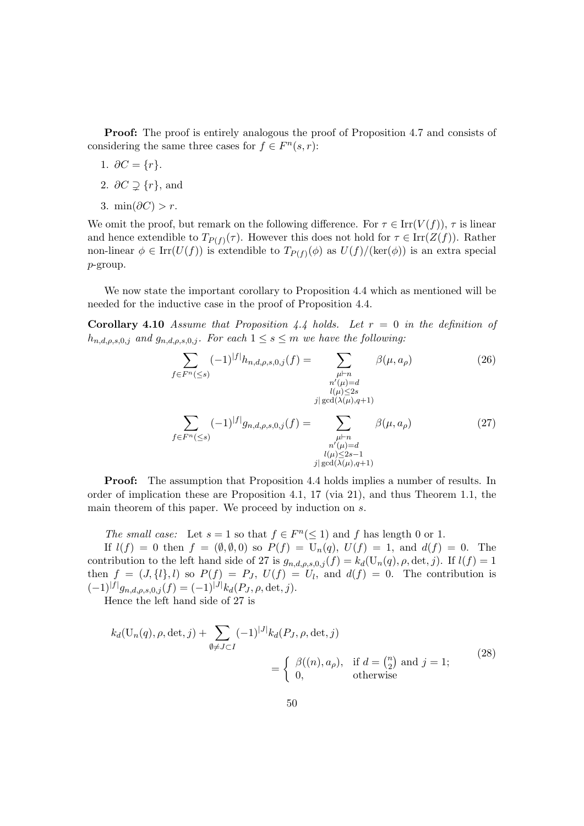Proof: The proof is entirely analogous the proof of Proposition 4.7 and consists of considering the same three cases for  $f \in F<sup>n</sup>(s, r)$ :

- 1.  $\partial C = \{r\}.$
- 2.  $\partial C \supsetneq \{r\}$ , and
- 3. min $(\partial C) > r$ .

We omit the proof, but remark on the following difference. For  $\tau \in \text{Irr}(V(f))$ ,  $\tau$  is linear and hence extendible to  $T_{P(f)}(\tau)$ . However this does not hold for  $\tau \in \text{Irr}(Z(f))$ . Rather non-linear  $\phi \in \text{Irr}(U(f))$  is extendible to  $T_{P(f)}(\phi)$  as  $U(f)/(\text{ker}(\phi))$  is an extra special p-group.

We now state the important corollary to Proposition 4.4 which as mentioned will be needed for the inductive case in the proof of Proposition 4.4.

**Corollary 4.10** Assume that Proposition 4.4 holds. Let  $r = 0$  in the definition of  $h_{n,d,\rho,s,0,j}$  and  $g_{n,d,\rho,s,0,j}$ . For each  $1 \leq s \leq m$  we have the following:

$$
\sum_{f \in F^n(\leq s)} (-1)^{|f|} h_{n,d,\rho,s,0,j}(f) = \sum_{\substack{\mu \vdash n \\ n'(\mu) = d \\ j | \gcd(\lambda(\mu), q+1)}} \beta(\mu, a_\rho)
$$
(26)  

$$
\sum_{\substack{\mu \vdash n \\ \gcd(\lambda(\mu), q+1) \\ \mu \vdash n}} (-1)^{|f|} g_{n,d,\rho,s,0,j}(f) = \sum_{\substack{\mu \vdash n \\ \mu \vdash n}} \beta(\mu, a_\rho)
$$
(27)

 $l(\mu) \leq 2s-1$  $j|\gcd(\lambda(\mu),q+1)$ 

**Proof:** The assumption that Proposition 4.4 holds implies a number of results. In order of implication these are Proposition 4.1, 17 (via 21), and thus Theorem 1.1, the main theorem of this paper. We proceed by induction on s.

The small case: Let  $s = 1$  so that  $f \in F<sup>n</sup>(\leq 1)$  and f has length 0 or 1.

If  $l(f) = 0$  then  $f = (\emptyset, \emptyset, 0)$  so  $P(f) = U_n(q), U(f) = 1$ , and  $d(f) = 0$ . The contribution to the left hand side of 27 is  $g_{n,d,\rho,s,0,j}(f) = k_d(\mathbf{U}_n(q), \rho, \det, j)$ . If  $l(f) = 1$ then  $f = (J, \{l\}, l)$  so  $P(f) = P_J$ ,  $U(f) = U_l$ , and  $d(f) = 0$ . The contribution is  $(-1)^{|f|}g_{n,d,\rho,s,0,j}(f) = (-1)^{|J|}k_d(P_J,\rho,\det,j).$ 

Hence the left hand side of 27 is

$$
k_d(\mathbf{U}_n(q), \rho, \det, j) + \sum_{\emptyset \neq J \subset I} (-1)^{|J|} k_d(P_J, \rho, \det, j)
$$
  
= 
$$
\begin{cases} \beta((n), a_\rho), & \text{if } d = \binom{n}{2} \text{ and } j = 1; \\ 0, & \text{otherwise} \end{cases}
$$
 (28)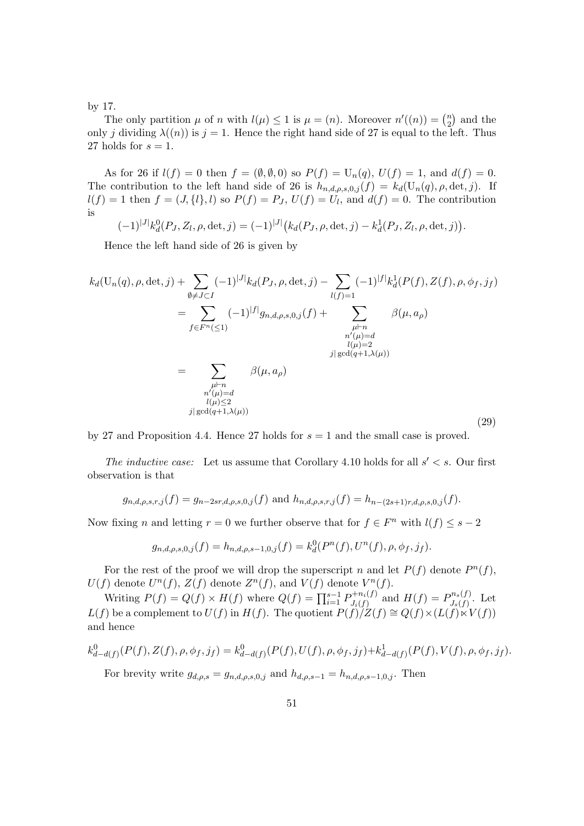by 17.

The only partition  $\mu$  of n with  $l(\mu) \leq 1$  is  $\mu = (n)$ . Moreover  $n'((n)) = \binom{n}{2}$  $n \choose 2$  and the only j dividing  $\lambda((n))$  is  $j = 1$ . Hence the right hand side of 27 is equal to the left. Thus 27 holds for  $s = 1$ .

As for 26 if  $l(f) = 0$  then  $f = (\emptyset, \emptyset, 0)$  so  $P(f) = U_n(q)$ ,  $U(f) = 1$ , and  $d(f) = 0$ . The contribution to the left hand side of 26 is  $h_{n,d,\rho,s,0,j}(f) = k_d(U_n(q), \rho, \det, j)$ . If  $l(f) = 1$  then  $f = (J, \{l\}, l)$  so  $P(f) = P_J$ ,  $U(f) = U_l$ , and  $d(f) = 0$ . The contribution is

 $(-1)^{|J|} k_d^0(P_J, Z_l, \rho, \det, j) = (-1)^{|J|} (k_d(P_J, \rho, \det, j) - k_d^1(P_J, Z_l, \rho, \det, j)).$ 

Hence the left hand side of 26 is given by

$$
k_d(\mathbf{U}_n(q), \rho, \det, j) + \sum_{\emptyset \neq J \subset I} (-1)^{|J|} k_d(P_J, \rho, \det, j) - \sum_{l(f)=1} (-1)^{|f|} k_d^1(P(f), Z(f), \rho, \phi_f, j_f)
$$
  
\n
$$
= \sum_{f \in F^n(\leq 1)} (-1)^{|f|} g_{n,d,\rho,s,0,j}(f) + \sum_{\substack{\mu \vdash n \\ n'(\mu) = d \\ l(\mu) = 2 \\ j | \gcd(q+1, \lambda(\mu))}} \beta(\mu, a_\rho)
$$
  
\n
$$
= \sum_{\substack{\mu \vdash n \\ n'(\mu) = d \\ l(\mu) \leq 2 \\ j | \gcd(q+1, \lambda(\mu))}} \beta(\mu, a_\rho)
$$
\n(29)

by 27 and Proposition 4.4. Hence 27 holds for  $s = 1$  and the small case is proved.

The inductive case: Let us assume that Corollary 4.10 holds for all  $s' < s$ . Our first observation is that

$$
g_{n,d,\rho,s,r,j}(f) = g_{n-2sr,d,\rho,s,0,j}(f)
$$
 and  $h_{n,d,\rho,s,r,j}(f) = h_{n-(2s+1)r,d,\rho,s,0,j}(f)$ .

Now fixing n and letting  $r = 0$  we further observe that for  $f \in F<sup>n</sup>$  with  $l(f) \leq s - 2$ 

$$
g_{n,d,\rho,s,0,j}(f) = h_{n,d,\rho,s-1,0,j}(f) = k_d^0(P^n(f), U^n(f), \rho, \phi_f, j_f).
$$

For the rest of the proof we will drop the superscript n and let  $P(f)$  denote  $P^{n}(f)$ ,  $U(f)$  denote  $U^n(f)$ ,  $Z(f)$  denote  $Z^n(f)$ , and  $V(f)$  denote  $V^n(f)$ .

Writing  $P(f) = Q(f) \times H(f)$  where  $Q(f) = \prod_{i=1}^{s-1} P_{J_i(f)}^{+n_i(f)}$  $D_{J_i(f)}^{+n_i(f)}$  and  $H(f) = P_{J_s(f)}^{n_s(f)}$  $J_s(f)$ . Let  $L(f)$  be a complement to  $U(f)$  in  $H(f)$ . The quotient  $P(f)/Z(f) \cong Q(f) \times (L(f) \times V(f))$ and hence

$$
k_{d-d(f)}^{0}(P(f), Z(f), \rho, \phi_{f}, j_{f}) = k_{d-d(f)}^{0}(P(f), U(f), \rho, \phi_{f}, j_{f}) + k_{d-d(f)}^{1}(P(f), V(f), \rho, \phi_{f}, j_{f}).
$$
  
For basicity series

For brevity write  $g_{d,\rho,s} = g_{n,d,\rho,s,0,j}$  and  $h_{d,\rho,s-1} = h_{n,d,\rho,s-1,0,j}$ . Then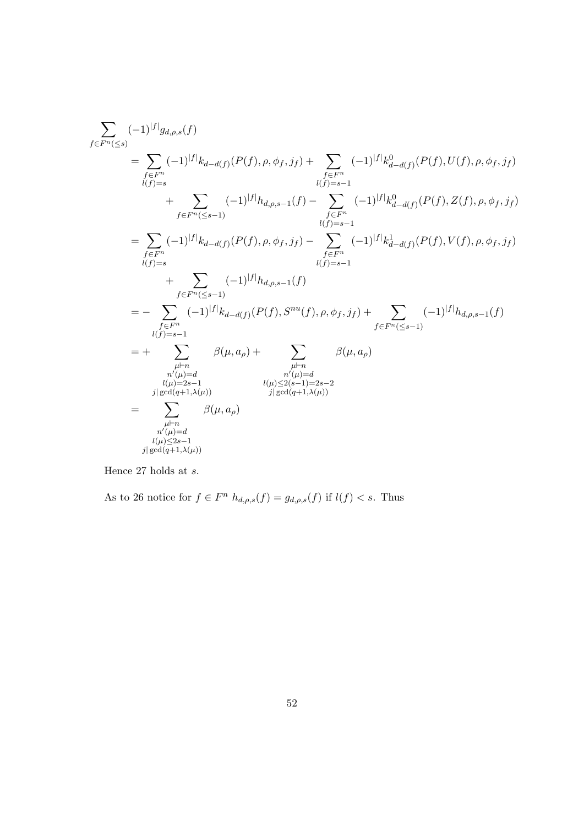$$
\begin{split} \sum_{f \in F^{n}(\leq s)} (-1)^{|f|} g_{d,\rho,s}(f) \\ & = \sum_{\substack{f \in F^{n} \\ l(f)=s}} (-1)^{|f|} k_{d-d(f)}(P(f),\rho,\phi_{f},j_{f}) + \sum_{\substack{f \in F^{n} \\ l(f)=s-1}} (-1)^{|f|} k_{d-d(f)}^{0}(P(f),U(f),\rho,\phi_{f},j_{f}) \\ & \qquad \qquad + \sum_{f \in F^{n}(\leq s-1)} (-1)^{|f|} h_{d,\rho,s-1}(f) - \sum_{\substack{f \in F^{n} \\ l(f)=s-1}} (-1)^{|f|} k_{d-d(f)}^{0}(P(f),Z(f),\rho,\phi_{f},j_{f}) \\ & \qquad \qquad + \sum_{\substack{f \in F^{n} \\ l(f)=s-1}} (-1)^{|f|} k_{d-d(f)}(P(f),\rho,\phi_{f},j_{f}) - \sum_{\substack{f \in F^{n} \\ l(f)=s-1}} (-1)^{|f|} k_{d-d(f)}^{1}(P(f),V(f),\rho,\phi_{f},j_{f}) \\ & \qquad \qquad + \sum_{\substack{f \in F^{n}(\leq s-1) \\ l(f)=s-1}} (-1)^{|f|} k_{d-d(f)}(P(f),S^{nu}(f),\rho,\phi_{f},j_{f}) + \sum_{\substack{f \in F^{n}(\leq s-1) \\ f \in F^{n}(\leq s-1)}} (-1)^{|f|} h_{d,\rho,s-1}(f) \\ & \qquad \qquad \qquad + \sum_{\substack{h \mid n \\ l(f)=2s-1 \\ l(f)=2s-1 \\ l(g,d) = l, \lambda(\mu))}} \beta(\mu,a_{\rho}) + \sum_{\substack{n'(\mu)=d \\ n'(\mu) \leq 2(s-1)=2s-2 \\ l(g,d(q+1,\lambda(\mu)) \\ l(g,d(q+1,\lambda(\mu))}} \beta(\mu,a_{\rho}) \\ & \qquad \qquad \qquad + \sum_{\substack{n'(\mu) = d \\ n'(\mu) \leq 2s-1 \\ l(g,d) = l, \lambda(\mu) \\ l(g,d) = l, \lambda(\mu)}} \beta(\mu,a_{\rho}) \end{split}
$$

Hence 27 holds at  $s$ .

As to 26 notice for  $f \in F^n$   $h_{d,\rho,s}(f) = g_{d,\rho,s}(f)$  if  $l(f) < s$ . Thus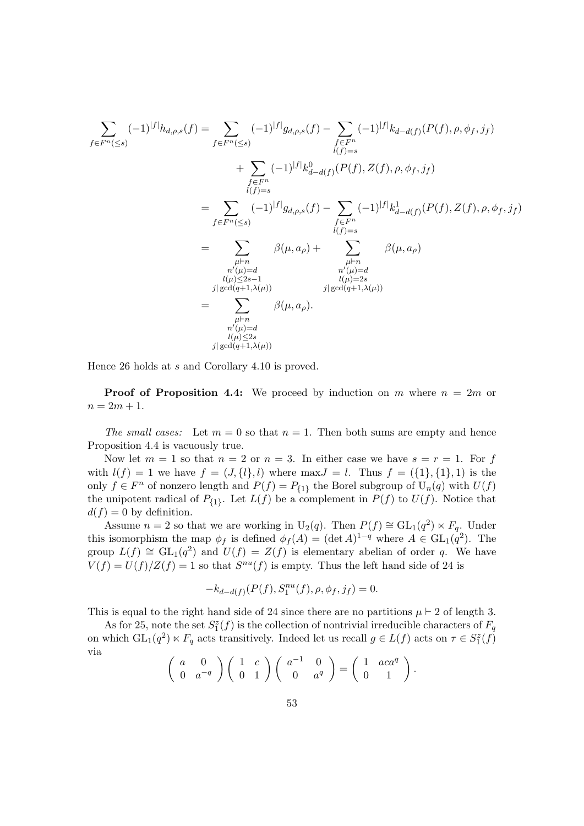$$
\sum_{f \in F^{n}(\leq s)} (-1)^{|f|} h_{d,\rho,s}(f) = \sum_{f \in F^{n}(\leq s)} (-1)^{|f|} g_{d,\rho,s}(f) - \sum_{f \in F^{n}} (-1)^{|f|} k_{d-d(f)}(P(f), \rho, \phi_{f}, j_{f})
$$
\n
$$
+ \sum_{f \in F^{n}} (-1)^{|f|} k_{d-d(f)}^{p}(P(f), Z(f), \rho, \phi_{f}, j_{f})
$$
\n
$$
= \sum_{f \in F^{n}(\leq s)} (-1)^{|f|} g_{d,\rho,s}(f) - \sum_{f \in F^{n}} (-1)^{|f|} k_{d-d(f)}^{1}(P(f), Z(f), \rho, \phi_{f}, j_{f})
$$
\n
$$
= \sum_{\substack{\mu \vdash n \\ n'(\mu) = d \\ n'(\mu) \leq 2s - 1 \\ j | \gcd(q+1,\lambda(\mu))}} \beta(\mu, a_{\rho}) + \sum_{\substack{\mu \vdash n \\ n'(\mu) = d \\ j | \gcd(q+1,\lambda(\mu))}} \beta(\mu, a_{\rho})
$$
\n
$$
= \sum_{\substack{\mu \vdash n \\ n'(\mu) = d \\ n'(\mu) \leq 2s \\ l(\mu) \leq 2s}} \beta(\mu, a_{\rho}).
$$

Hence 26 holds at s and Corollary 4.10 is proved.

**Proof of Proposition 4.4:** We proceed by induction on m where  $n = 2m$  or  $n = 2m + 1.$ 

The small cases: Let  $m = 0$  so that  $n = 1$ . Then both sums are empty and hence Proposition 4.4 is vacuously true.

Now let  $m = 1$  so that  $n = 2$  or  $n = 3$ . In either case we have  $s = r = 1$ . For f with  $l(f) = 1$  we have  $f = (J, \{l\}, l)$  where  $\max J = l$ . Thus  $f = (\{1\}, \{1\}, 1)$  is the only  $f \in F^n$  of nonzero length and  $P(f) = P_{\{1\}}$  the Borel subgroup of  $U_n(q)$  with  $U(f)$ the unipotent radical of  $P_{\{1\}}$ . Let  $L(f)$  be a complement in  $P(f)$  to  $U(f)$ . Notice that  $d(f) = 0$  by definition.

Assume  $n = 2$  so that we are working in U<sub>2</sub>(q). Then  $P(f) \cong GL_1(q^2) \ltimes F_q$ . Under this isomorphism the map  $\phi_f$  is defined  $\phi_f(A) = (\det A)^{1-q}$  where  $A \in GL_1(q^2)$ . The group  $L(f) \cong GL_1(q^2)$  and  $U(f) = Z(f)$  is elementary abelian of order q. We have  $V(f) = U(f)/Z(f) = 1$  so that  $S^{nu}(f)$  is empty. Thus the left hand side of 24 is

$$
-k_{d-d(f)}(P(f), S_1^{nu}(f), \rho, \phi_f, j_f) = 0.
$$

This is equal to the right hand side of 24 since there are no partitions  $\mu \vdash 2$  of length 3.

As for 25, note the set  $S_1^z(f)$  is the collection of nontrivial irreducible characters of  $F_q$ on which  $GL_1(q^2) \ltimes F_q$  acts transitively. Indeed let us recall  $g \in L(f)$  acts on  $\tau \in S_1^z(f)$ via

$$
\left(\begin{array}{cc}a&0\\0&a^{-q}\end{array}\right)\left(\begin{array}{cc}1&c\\0&1\end{array}\right)\left(\begin{array}{cc}a^{-1}&0\\0&a^{q}\end{array}\right)=\left(\begin{array}{cc}1&aca^{q}\\0&1\end{array}\right).
$$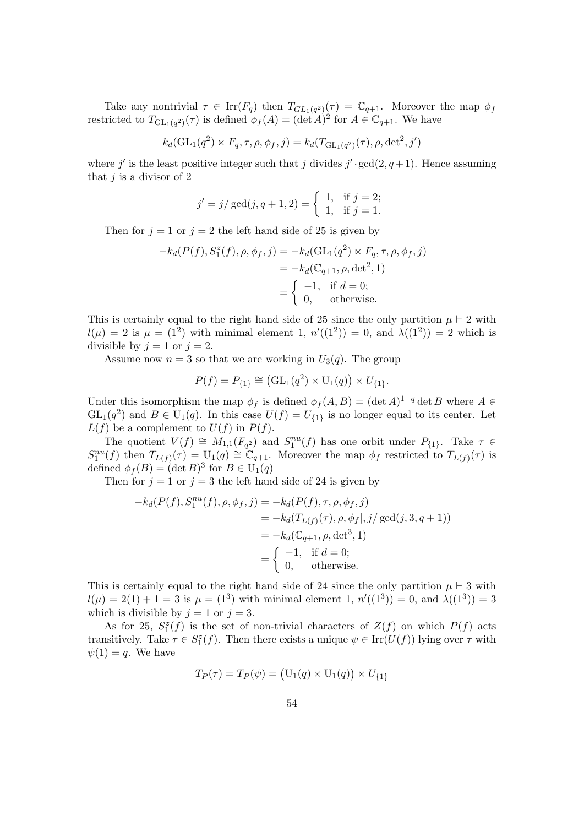Take any nontrivial  $\tau \in \text{Irr}(F_q)$  then  $T_{GL_1(q^2)}(\tau) = \mathbb{C}_{q+1}$ . Moreover the map  $\phi_f$ restricted to  $T_{\text{GL}_1(q^2)}(\tau)$  is defined  $\phi_f(A) = (\det A)^2$  for  $A \in \mathbb{C}_{q+1}$ . We have

$$
k_d(\mathrm{GL}_1(q^2)\ltimes F_q,\tau,\rho,\phi_f,j)=k_d(T_{\mathrm{GL}_1(q^2)}(\tau),\rho,\det^2,j')
$$

where j' is the least positive integer such that j divides  $j' \cdot \gcd(2, q+1)$ . Hence assuming that  $j$  is a divisor of 2

$$
j' = j / \gcd(j, q + 1, 2) = \begin{cases} 1, & \text{if } j = 2; \\ 1, & \text{if } j = 1. \end{cases}
$$

Then for  $j = 1$  or  $j = 2$  the left hand side of 25 is given by

$$
-k_d(P(f), S_1^z(f), \rho, \phi_f, j) = -k_d(\text{GL}_1(q^2) \ltimes F_q, \tau, \rho, \phi_f, j)
$$
  
= 
$$
-k_d(\mathbb{C}_{q+1}, \rho, \det^2, 1)
$$
  
= 
$$
\begin{cases} -1, & \text{if } d = 0; \\ 0, & \text{otherwise.} \end{cases}
$$

This is certainly equal to the right hand side of 25 since the only partition  $\mu \vdash 2$  with  $l(\mu) = 2$  is  $\mu = (1^2)$  with minimal element 1,  $n'((1^2)) = 0$ , and  $\lambda((1^2)) = 2$  which is divisible by  $j = 1$  or  $j = 2$ .

Assume now  $n = 3$  so that we are working in  $U_3(q)$ . The group

$$
P(f) = P_{\{1\}} \cong (\mathrm{GL}_1(q^2) \times \mathrm{U}_1(q)) \ltimes U_{\{1\}}.
$$

Under this isomorphism the map  $\phi_f$  is defined  $\phi_f(A, B) = (\det A)^{1-q} \det B$  where  $A \in$  $GL_1(q^2)$  and  $B \in U_1(q)$ . In this case  $U(f) = U_{\{1\}}$  is no longer equal to its center. Let  $L(f)$  be a complement to  $U(f)$  in  $P(f)$ .

The quotient  $V(f) \cong M_{1,1}(F_{q^2})$  and  $S_1^{nu}(f)$  has one orbit under  $P_{\{1\}}$ . Take  $\tau \in$  $S_1^{nu}(f)$  then  $T_{L(f)}(\tau) = U_1(q) \cong \mathbb{C}_{q+1}$ . Moreover the map  $\phi_f$  restricted to  $T_{L(f)}(\tau)$  is defined  $\phi_f(B) = (\det B)^3$  for  $B \in U_1(q)$ 

Then for  $j = 1$  or  $j = 3$  the left hand side of 24 is given by

$$
-k_d(P(f), S_1^{nu}(f), \rho, \phi_f, j) = -k_d(P(f), \tau, \rho, \phi_f, j)
$$
  
=  $-k_d(T_{L(f)}(\tau), \rho, \phi_f |, j / \gcd(j, 3, q + 1))$   
=  $-k_d(\mathbb{C}_{q+1}, \rho, \det^3, 1)$   
=  $\begin{cases} -1, & \text{if } d = 0; \\ 0, & \text{otherwise.} \end{cases}$ 

This is certainly equal to the right hand side of 24 since the only partition  $\mu \vdash 3$  with  $l(\mu) = 2(1) + 1 = 3$  is  $\mu = (1^3)$  with minimal element 1,  $n'((1^3)) = 0$ , and  $\lambda((1^3)) = 3$ which is divisible by  $j = 1$  or  $j = 3$ .

As for 25,  $S_1^z(f)$  is the set of non-trivial characters of  $Z(f)$  on which  $P(f)$  acts transitively. Take  $\tau \in S_1^z(f)$ . Then there exists a unique  $\psi \in \text{Irr}(U(f))$  lying over  $\tau$  with  $\psi(1) = q$ . We have

$$
T_P(\tau) = T_P(\psi) = (U_1(q) \times U_1(q)) \times U_{\{1\}}
$$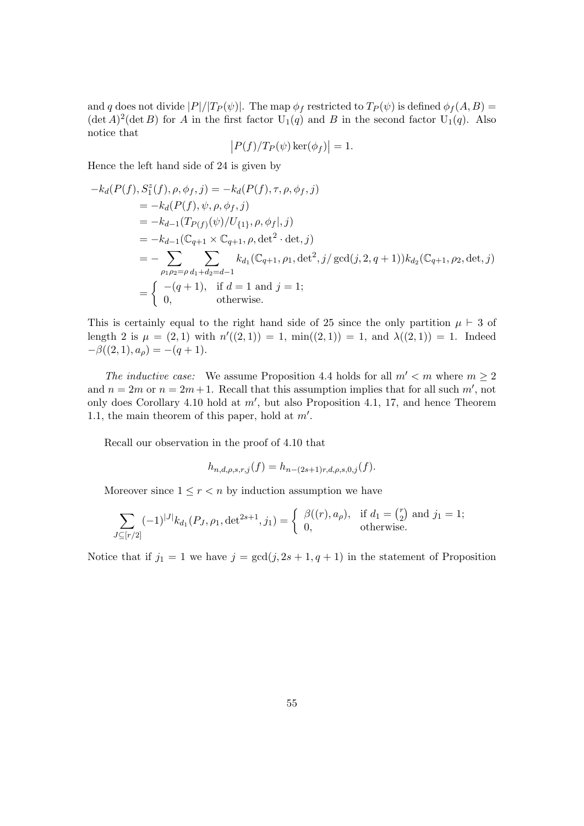and q does not divide  $|P|/|T_P(\psi)|$ . The map  $\phi_f$  restricted to  $T_P(\psi)$  is defined  $\phi_f(A, B)$  $(\det A)^2(\det B)$  for A in the first factor  $U_1(q)$  and B in the second factor  $U_1(q)$ . Also notice that

$$
\left| P(f)/T_P(\psi)\ker(\phi_f) \right| = 1.
$$

Hence the left hand side of 24 is given by

$$
-k_d(P(f), S_1^z(f), \rho, \phi_f, j) = -k_d(P(f), \tau, \rho, \phi_f, j)
$$
  
=  $-k_d(P(f), \psi, \rho, \phi_f, j)$   
=  $-k_{d-1}(T_{P(f)}(\psi)/U_{\{1\}}, \rho, \phi_f|, j)$   
=  $-k_{d-1}(\mathbb{C}_{q+1} \times \mathbb{C}_{q+1}, \rho, \det^2 \cdot \det, j)$   
=  $-\sum_{\rho_1 \rho_2 = \rho} \sum_{d_1 + d_2 = d-1} k_{d_1}(\mathbb{C}_{q+1}, \rho_1, \det^2, j/\gcd(j, 2, q+1)) k_{d_2}(\mathbb{C}_{q+1}, \rho_2, \det, j)$   
=  $\begin{cases} -(q+1), & \text{if } d = 1 \text{ and } j = 1; \\ 0, & \text{otherwise.} \end{cases}$ 

This is certainly equal to the right hand side of 25 since the only partition  $\mu \vdash 3$  of length 2 is  $\mu = (2, 1)$  with  $n'((2, 1)) = 1$ ,  $\min((2, 1)) = 1$ , and  $\lambda((2, 1)) = 1$ . Indeed  $-\beta((2,1), a_{\rho}) = -(q+1).$ 

The inductive case: We assume Proposition 4.4 holds for all  $m' < m$  where  $m \geq 2$ and  $n = 2m$  or  $n = 2m + 1$ . Recall that this assumption implies that for all such m', not only does Corollary 4.10 hold at  $m'$ , but also Proposition 4.1, 17, and hence Theorem 1.1, the main theorem of this paper, hold at  $m'$ .

Recall our observation in the proof of 4.10 that

$$
h_{n,d,\rho,s,r,j}(f) = h_{n-(2s+1)r,d,\rho,s,0,j}(f).
$$

Moreover since  $1 \leq r < n$  by induction assumption we have

$$
\sum_{J \subseteq [r/2]} (-1)^{|J|} k_{d_1}(P_J, \rho_1, \det^{2s+1}, j_1) = \begin{cases} \beta((r), a_\rho), & \text{if } d_1 = \binom{r}{2} \text{ and } j_1 = 1; \\ 0, & \text{otherwise.} \end{cases}
$$

Notice that if  $j_1 = 1$  we have  $j = \gcd(j, 2s + 1, q + 1)$  in the statement of Proposition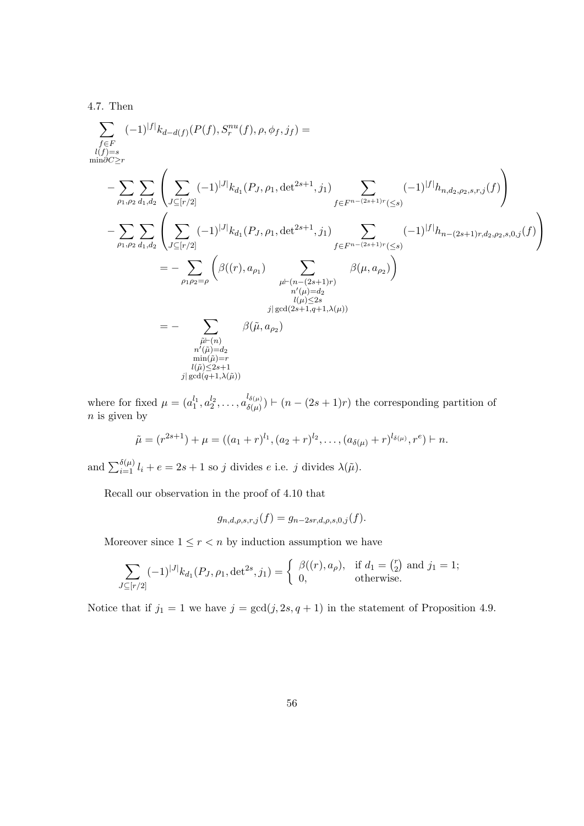4.7. Then

X f∈F l(f)=s min∂C≥r (−1)|f<sup>|</sup> kd−d(f) (P(f), Snu r (f), ρ, φ<sup>f</sup> , j<sup>f</sup> ) = − X ρ1,ρ<sup>2</sup> X d1,d<sup>2</sup> X J⊆[r/2] (−1)|J<sup>|</sup> kd<sup>1</sup> (P<sup>J</sup> , ρ1, det2s+1, j1) X f∈F <sup>n</sup>−(2s+1)r(≤s) (−1)|f|hn,d2,ρ2,s,r,j (f) − X ρ1,ρ<sup>2</sup> X d1,d<sup>2</sup> X J⊆[r/2] (−1)|J<sup>|</sup> kd<sup>1</sup> (P<sup>J</sup> , ρ1, det2s+1, j1) X f∈F <sup>n</sup>−(2s+1)r(≤s) (−1)|f|hn−(2s+1)r,d2,ρ2,s,0,j (f) = − X ρ1ρ2=ρ β((r), aρ<sup>1</sup> ) X µ`(n−(2s+1)r) n 0 (µ)=d<sup>2</sup> l(µ)≤2s j| gcd(2s+1,q+1,λ(µ)) β(µ, aρ<sup>2</sup> ) = − X µ˜`(n) n 0 (˜µ)=d<sup>2</sup> min(˜µ)=r l(˜µ)≤2s+1 j| gcd(q+1,λ(˜µ)) β(˜µ, aρ<sup>2</sup> )

where for fixed  $\mu = (a_1^{l_1}, a_2^{l_2}, \dots, a_{\delta(\mu)}^{l_{\delta(\mu)}})$  $\delta(\mu)(\delta(\mu)) \vdash (n - (2s + 1)r)$  the corresponding partition of  $n$  is given by

$$
\tilde{\mu} = (r^{2s+1}) + \mu = ((a_1 + r)^{l_1}, (a_2 + r)^{l_2}, \dots, (a_{\delta(\mu)} + r)^{l_{\delta(\mu)}}, r^e) \vdash n.
$$

and  $\sum_{i=1}^{\delta(\mu)} l_i + e = 2s + 1$  so j divides  $e$  i.e. j divides  $\lambda(\tilde{\mu})$ .

Recall our observation in the proof of 4.10 that

$$
g_{n,d,\rho,s,r,j}(f) = g_{n-2sr,d,\rho,s,0,j}(f).
$$

Moreover since  $1 \leq r < n$  by induction assumption we have

$$
\sum_{J \subseteq [r/2]} (-1)^{|J|} k_{d_1}(P_J, \rho_1, \det^{2s}, j_1) = \begin{cases} \beta((r), a_\rho), & \text{if } d_1 = \binom{r}{2} \text{ and } j_1 = 1; \\ 0, & \text{otherwise.} \end{cases}
$$

Notice that if  $j_1 = 1$  we have  $j = \gcd(j, 2s, q + 1)$  in the statement of Proposition 4.9.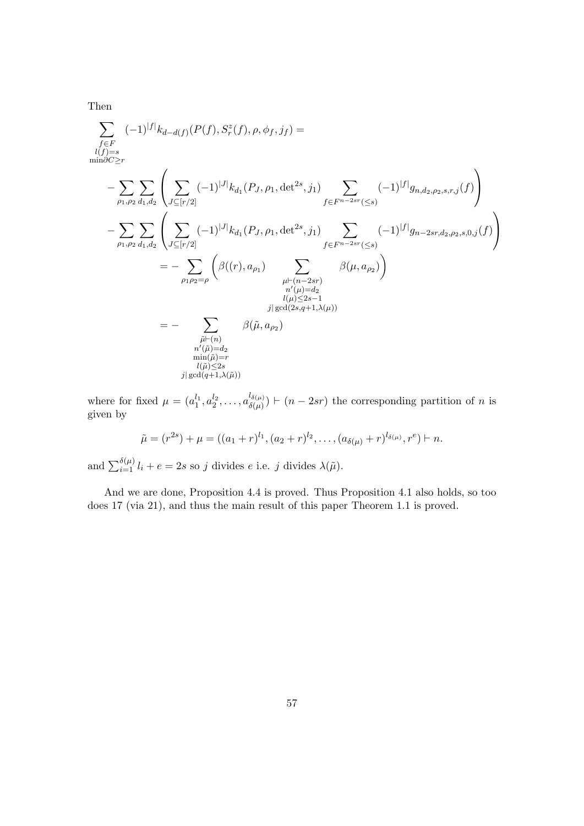Then

$$
\sum_{f \in F} (-1)^{|f|} k_{d-d(f)}(P(f), S_r^z(f), \rho, \phi_f, j_f) =
$$
\n
$$
- \sum_{\rho_1, \rho_2} \sum_{d_1, d_2} \left( \sum_{J \subseteq [r/2]} (-1)^{|J|} k_{d_1}(P_J, \rho_1, \det^{2s}, j_1) \sum_{f \in F^{n-2sr}(\leq s)} (-1)^{|f|} g_{n,d_2, \rho_2, s, r, j}(f) \right)
$$
\n
$$
- \sum_{\rho_1, \rho_2} \sum_{d_1, d_2} \left( \sum_{J \subseteq [r/2]} (-1)^{|J|} k_{d_1}(P_J, \rho_1, \det^{2s}, j_1) \sum_{f \in F^{n-2sr}(\leq s)} (-1)^{|f|} g_{n-2sr, d_2, \rho_2, s, 0, j}(f) \right)
$$
\n
$$
= - \sum_{\rho_1, \rho_2, d_1, d_2} \left( \beta((r), a_{\rho_1}) \sum_{\substack{\mu \vdash (n-2sr) \\ \mu'(\mu) = d_2 \\ l(\mu) \leq 2s - 1 \\ l(\mu) \leq 2s - 1 \\ l(\mu) \leq 2s - 1 \\ \text{and} (\bar{\mu}) = r \\ n'(\bar{\mu}) = 2s} \beta(\tilde{\mu}, a_{\rho_2})
$$

where for fixed  $\mu = (a_1^{l_1}, a_2^{l_2}, \dots, a_{\delta(\mu)}^{l_{\delta(\mu)}})$  $\delta(\mu)$   $\mid$   $(n - 2sr)$  the corresponding partition of n is given by

$$
\tilde{\mu} = (r^{2s}) + \mu = ((a_1 + r)^{l_1}, (a_2 + r)^{l_2}, \dots, (a_{\delta(\mu)} + r)^{l_{\delta(\mu)}}, r^e) \vdash n.
$$

and  $\sum_{i=1}^{\delta(\mu)} l_i + e = 2s$  so j divides e i.e. j divides  $\lambda(\tilde{\mu})$ .

And we are done, Proposition 4.4 is proved. Thus Proposition 4.1 also holds, so too does 17 (via 21), and thus the main result of this paper Theorem 1.1 is proved.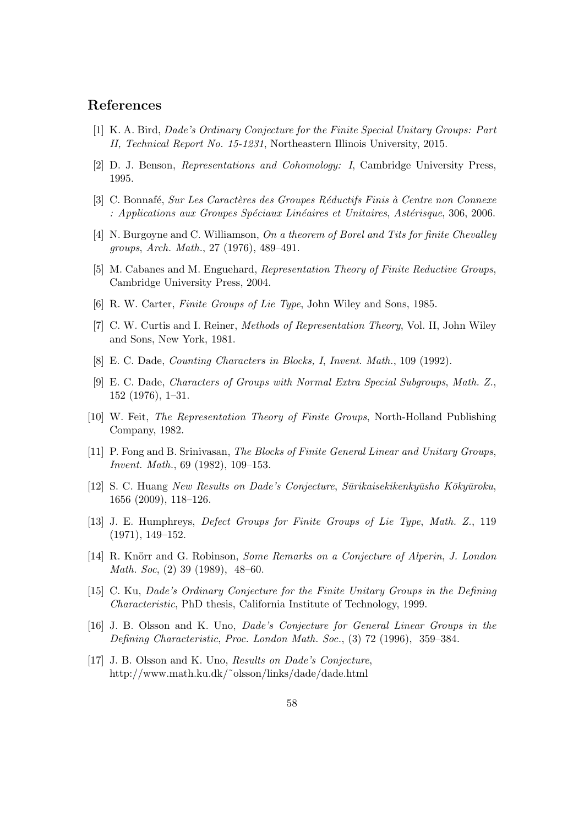# References

- [1] K. A. Bird, Dade's Ordinary Conjecture for the Finite Special Unitary Groups: Part II, Technical Report No. 15-1231, Northeastern Illinois University, 2015.
- [2] D. J. Benson, Representations and Cohomology: I, Cambridge University Press, 1995.
- [3] C. Bonnafé, Sur Les Caractères des Groupes Réductifs Finis à Centre non Connexe : Applications aux Groupes Spéciaux Linéaires et Unitaires, Astérisque, 306, 2006.
- [4] N. Burgoyne and C. Williamson, On a theorem of Borel and Tits for finite Chevalley groups, Arch. Math., 27 (1976), 489–491.
- [5] M. Cabanes and M. Enguehard, Representation Theory of Finite Reductive Groups, Cambridge University Press, 2004.
- [6] R. W. Carter, Finite Groups of Lie Type, John Wiley and Sons, 1985.
- [7] C. W. Curtis and I. Reiner, Methods of Representation Theory, Vol. II, John Wiley and Sons, New York, 1981.
- [8] E. C. Dade, Counting Characters in Blocks, I, Invent. Math., 109 (1992).
- [9] E. C. Dade, Characters of Groups with Normal Extra Special Subgroups, Math. Z., 152 (1976), 1–31.
- [10] W. Feit, The Representation Theory of Finite Groups, North-Holland Publishing Company, 1982.
- [11] P. Fong and B. Srinivasan, The Blocks of Finite General Linear and Unitary Groups, Invent. Math., 69 (1982), 109–153.
- [12] S. C. Huang New Results on Dade's Conjecture, Sūrikaisekikenkyūsho Kōkyūroku, 1656 (2009), 118–126.
- [13] J. E. Humphreys, Defect Groups for Finite Groups of Lie Type, Math. Z., 119 (1971), 149–152.
- [14] R. Knörr and G. Robinson, Some Remarks on a Conjecture of Alperin, J. London Math. Soc, (2) 39 (1989), 48–60.
- [15] C. Ku, Dade's Ordinary Conjecture for the Finite Unitary Groups in the Defining Characteristic, PhD thesis, California Institute of Technology, 1999.
- [16] J. B. Olsson and K. Uno, Dade's Conjecture for General Linear Groups in the Defining Characteristic, Proc. London Math. Soc., (3) 72 (1996), 359–384.
- [17] J. B. Olsson and K. Uno, *Results on Dade's Conjecture*, http://www.math.ku.dk/˜olsson/links/dade/dade.html